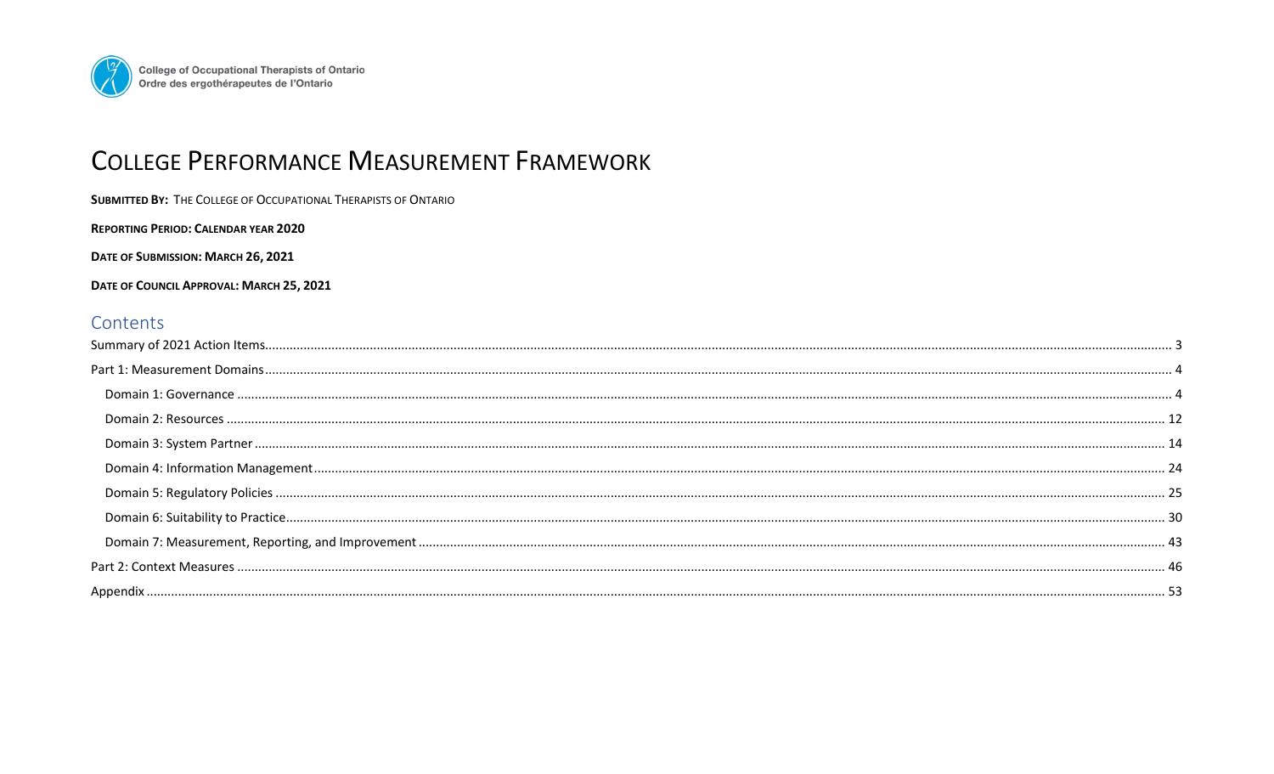

# **COLLEGE PERFORMANCE MEASUREMENT FRAMEWORK**

DATE OF SUBMISSION: MARCH 26, 2021

DATE OF COUNCIL APPROVAL: MARCH 25, 2021

# Contents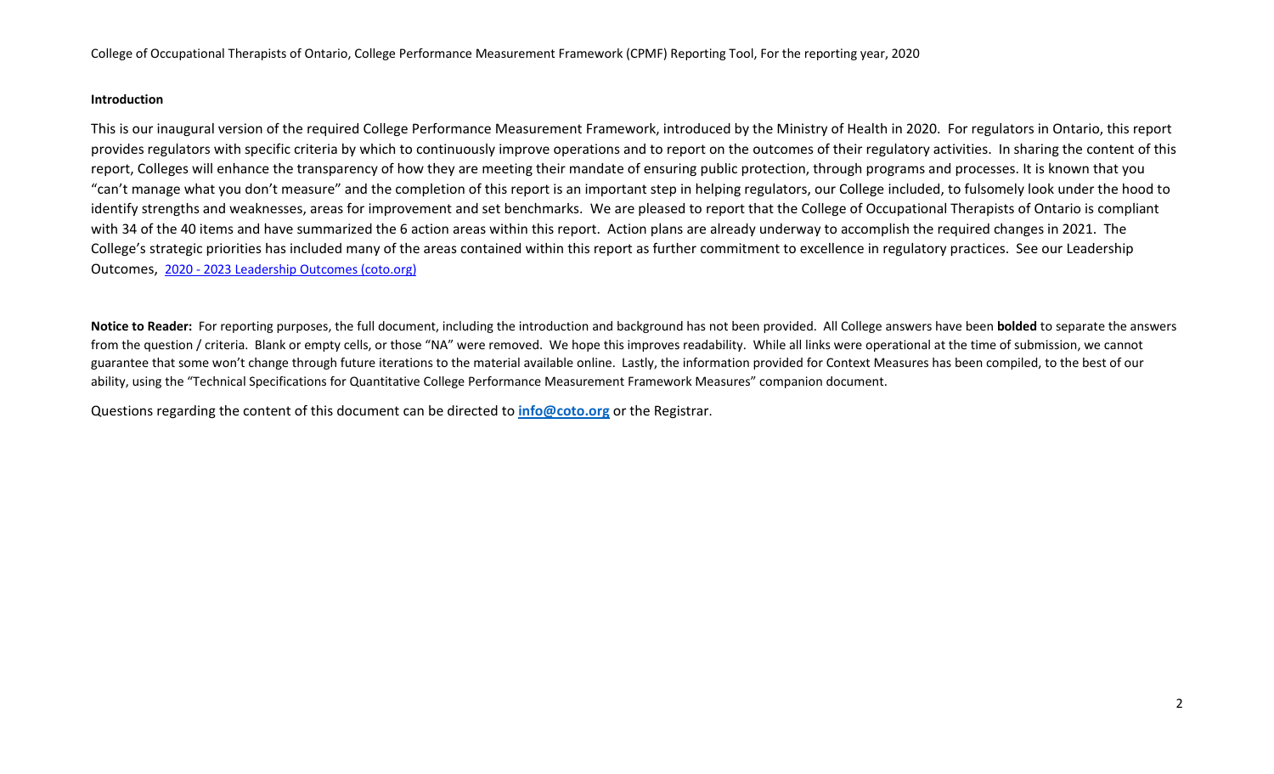# **Introduction**

This is our inaugural version of the required College Performance Measurement Framework, introduced by the Ministry of Health in 2020. For regulators in Ontario, this report provides regulators with specific criteria by which to continuously improve operations and to report on the outcomes of their regulatory activities. In sharing the content of this report, Colleges will enhance the transparency of how they are meeting their mandate of ensuring public protection, through programs and processes. It is known that you "can't manage what you don't measure" and the completion of this report is an important step in helping regulators, our College included, to fulsomely look under the hood to identify strengths and weaknesses, areas for improvement and set benchmarks. We are pleased to report that the College of Occupational Therapists of Ontario is compliant with 34 of the 40 items and have summarized the 6 action areas within this report. Action plans are already underway to accomplish the required changes in 2021. The College's strategic priorities has included many of the areas contained within this report as further commitment to excellence in regulatory practices. See our Leadership Outcomes, 2020 - [2023 Leadership Outcomes \(coto.org\)](https://www.coto.org/about/who-we-are/strategic-priorities/2020---2023-leadership-outcomes)

**Notice to Reader:** For reporting purposes, the full document, including the introduction and background has not been provided. All College answers have been **bolded** to separate the answers from the question / criteria. Blank or empty cells, or those "NA" were removed. We hope this improves readability. While all links were operational at the time of submission, we cannot guarantee that some won't change through future iterations to the material available online. Lastly, the information provided for Context Measures has been compiled, to the best of our ability, using the "Technical Specifications for Quantitative College Performance Measurement Framework Measures" companion document.

Questions regarding the content of this document can be directed to **[info@coto.org](mailto:info@coto.org)** or the Registrar.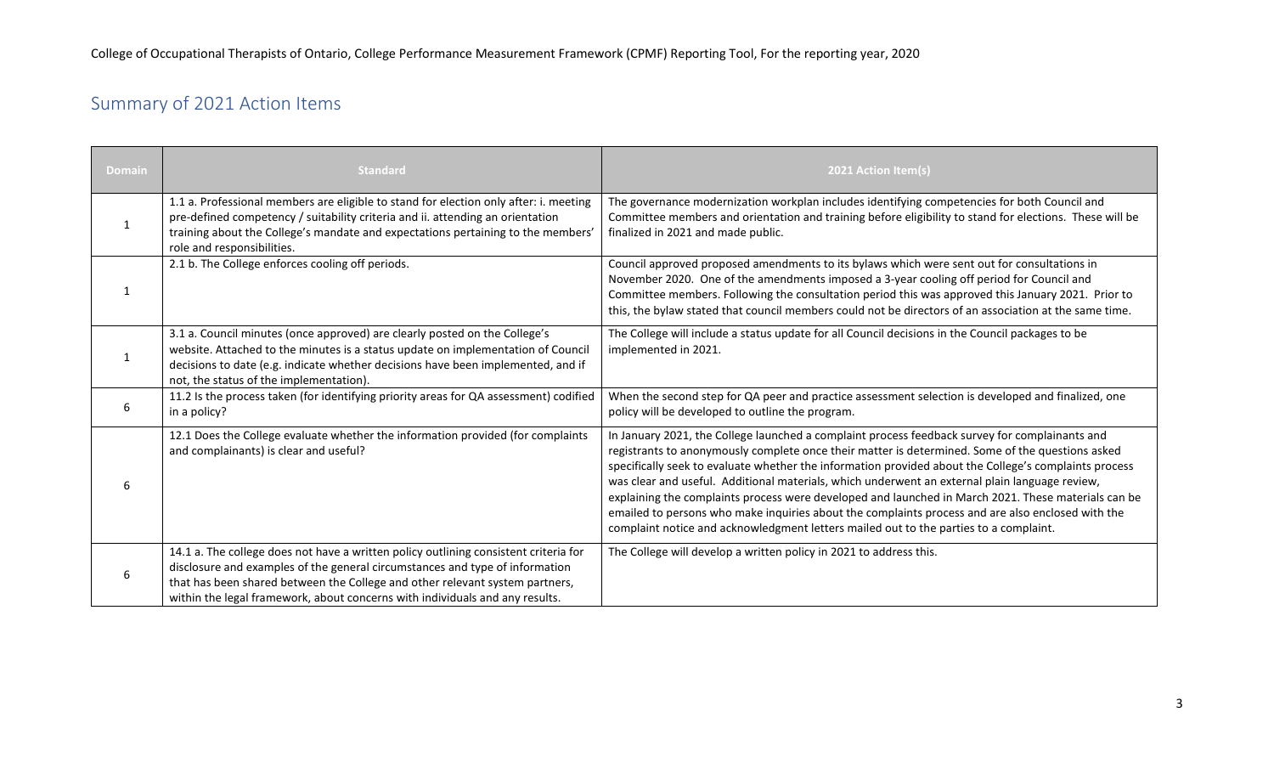# <span id="page-2-0"></span>Summary of 2021 Action Items

| <b>Domain</b> | <b>Standard</b>                                                                                                                                                                                                                                                                                                                      | 2021 Action Item(s)                                                                                                                                                                                                                                                                                                                                                                                                                                                                                                                                                                                                                                                                                                |
|---------------|--------------------------------------------------------------------------------------------------------------------------------------------------------------------------------------------------------------------------------------------------------------------------------------------------------------------------------------|--------------------------------------------------------------------------------------------------------------------------------------------------------------------------------------------------------------------------------------------------------------------------------------------------------------------------------------------------------------------------------------------------------------------------------------------------------------------------------------------------------------------------------------------------------------------------------------------------------------------------------------------------------------------------------------------------------------------|
| $\mathbf{1}$  | 1.1 a. Professional members are eligible to stand for election only after: i. meeting<br>pre-defined competency / suitability criteria and ii. attending an orientation<br>training about the College's mandate and expectations pertaining to the members'<br>role and responsibilities.                                            | The governance modernization workplan includes identifying competencies for both Council and<br>Committee members and orientation and training before eligibility to stand for elections. These will be<br>finalized in 2021 and made public.                                                                                                                                                                                                                                                                                                                                                                                                                                                                      |
| 1             | 2.1 b. The College enforces cooling off periods.                                                                                                                                                                                                                                                                                     | Council approved proposed amendments to its bylaws which were sent out for consultations in<br>November 2020. One of the amendments imposed a 3-year cooling off period for Council and<br>Committee members. Following the consultation period this was approved this January 2021. Prior to<br>this, the bylaw stated that council members could not be directors of an association at the same time.                                                                                                                                                                                                                                                                                                            |
| $\mathbf{1}$  | 3.1 a. Council minutes (once approved) are clearly posted on the College's<br>website. Attached to the minutes is a status update on implementation of Council<br>decisions to date (e.g. indicate whether decisions have been implemented, and if<br>not, the status of the implementation).                                        | The College will include a status update for all Council decisions in the Council packages to be<br>implemented in 2021.                                                                                                                                                                                                                                                                                                                                                                                                                                                                                                                                                                                           |
| 6             | 11.2 Is the process taken (for identifying priority areas for QA assessment) codified<br>in a policy?                                                                                                                                                                                                                                | When the second step for QA peer and practice assessment selection is developed and finalized, one<br>policy will be developed to outline the program.                                                                                                                                                                                                                                                                                                                                                                                                                                                                                                                                                             |
| 6             | 12.1 Does the College evaluate whether the information provided (for complaints<br>and complainants) is clear and useful?                                                                                                                                                                                                            | In January 2021, the College launched a complaint process feedback survey for complainants and<br>registrants to anonymously complete once their matter is determined. Some of the questions asked<br>specifically seek to evaluate whether the information provided about the College's complaints process<br>was clear and useful. Additional materials, which underwent an external plain language review,<br>explaining the complaints process were developed and launched in March 2021. These materials can be<br>emailed to persons who make inquiries about the complaints process and are also enclosed with the<br>complaint notice and acknowledgment letters mailed out to the parties to a complaint. |
| 6             | 14.1 a. The college does not have a written policy outlining consistent criteria for<br>disclosure and examples of the general circumstances and type of information<br>that has been shared between the College and other relevant system partners,<br>within the legal framework, about concerns with individuals and any results. | The College will develop a written policy in 2021 to address this.                                                                                                                                                                                                                                                                                                                                                                                                                                                                                                                                                                                                                                                 |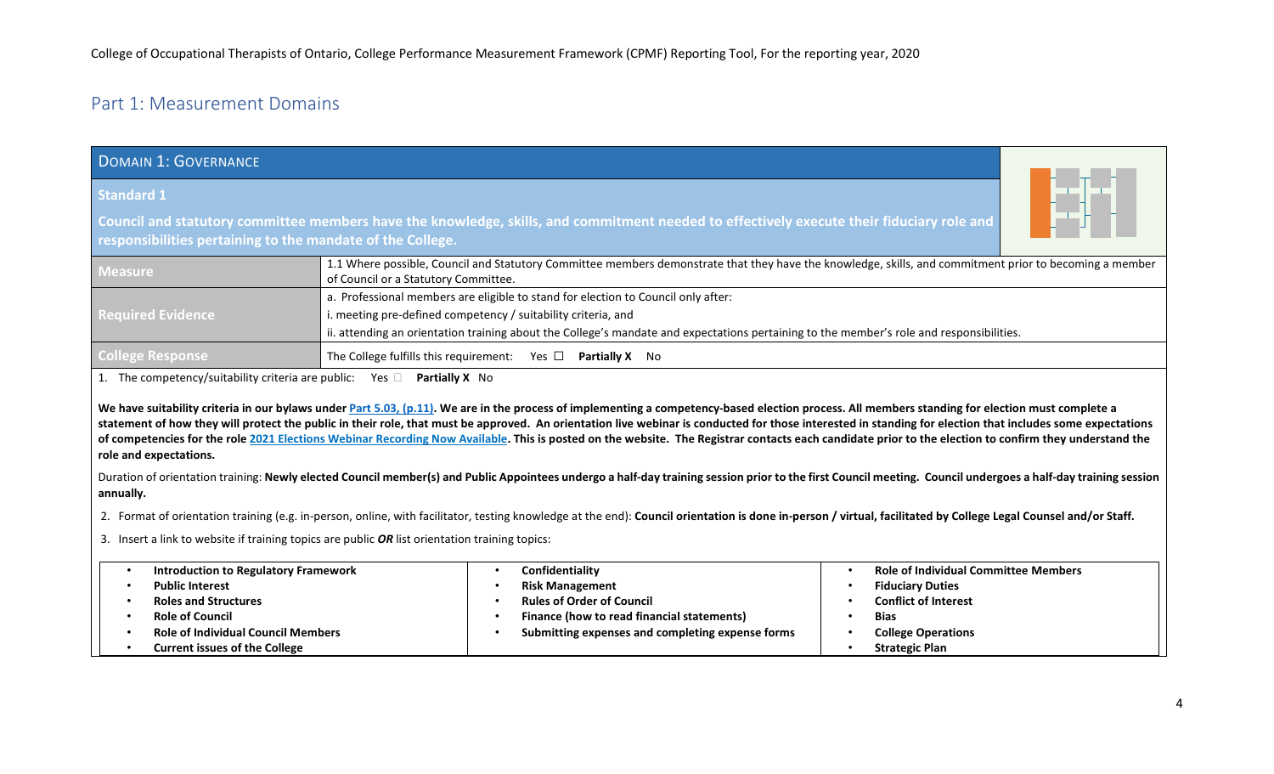# <span id="page-3-0"></span>Part 1: Measurement Domains

<span id="page-3-1"></span>

| <b>DOMAIN 1: GOVERNANCE</b>                                                                                                                                                                                      |                                                                                                                                                                                                 |  |  |
|------------------------------------------------------------------------------------------------------------------------------------------------------------------------------------------------------------------|-------------------------------------------------------------------------------------------------------------------------------------------------------------------------------------------------|--|--|
| <b>Standard 1</b>                                                                                                                                                                                                |                                                                                                                                                                                                 |  |  |
| ▊▅▛▅▌<br>Council and statutory committee members have the knowledge, skills, and commitment needed to effectively execute their fiduciary role and<br>responsibilities pertaining to the mandate of the College. |                                                                                                                                                                                                 |  |  |
| <b>Measure</b>                                                                                                                                                                                                   | 1.1 Where possible, Council and Statutory Committee members demonstrate that they have the knowledge, skills, and commitment prior to becoming a member<br>of Council or a Statutory Committee. |  |  |
|                                                                                                                                                                                                                  | a. Professional members are eligible to stand for election to Council only after:                                                                                                               |  |  |
| <b>Required Evidence</b>                                                                                                                                                                                         | i. meeting pre-defined competency / suitability criteria, and                                                                                                                                   |  |  |
|                                                                                                                                                                                                                  | ii. attending an orientation training about the College's mandate and expectations pertaining to the member's role and responsibilities.                                                        |  |  |
| <b>College Response</b>                                                                                                                                                                                          | The College fulfills this requirement: Yes $\Box$ Partially X No                                                                                                                                |  |  |

1. The competency/suitability criteria are public: Yes **Partially X** No

We have suitability criteria in our bylaws unde[r Part 5.03, \(p.11\).](https://www.coto.org/docs/default-source/bylaws/bylaws.pdf?sfvrsn=35395359_54) We are in the process of implementing a competency-based election process. All members standing for election must complete a statement of how they will protect the public in their role, that must be approved. An orientation live webinar is conducted for those interested in standing for election that includes some expectations **of competencies for the rol[e 2021 Elections Webinar Recording Now Available.](https://www.coto.org/news/2021-elections-webinar) This is posted on the website. The Registrar contacts each candidate prior to the election to confirm they understand the role and expectations.** 

Duration of orientation training: **Newly elected Council member(s) and Public Appointees undergo a half-day training session prior to the first Council meeting. Council undergoes a half-day training session annually.**

2. Format of orientation training (e.g. in-person, online, with facilitator, testing knowledge at the end): **Council orientation is done in-person / virtual, facilitated by College Legal Counsel and/or Staff.**

3. Insert a link to website if training topics are public *OR* list orientation training topics:

| <b>Introduction to Regulatory Framework</b> | Confidentiality                                  | <b>Role of Individual Committee Members</b> |
|---------------------------------------------|--------------------------------------------------|---------------------------------------------|
| <b>Public Interest</b>                      | <b>Risk Management</b>                           | <b>Fiduciary Duties</b>                     |
| <b>Roles and Structures</b>                 | <b>Rules of Order of Council</b>                 | <b>Conflict of Interest</b>                 |
| <b>Role of Council</b>                      | Finance (how to read financial statements)       | <b>Bias</b>                                 |
| <b>Role of Individual Council Members</b>   | Submitting expenses and completing expense forms | <b>College Operations</b>                   |
| <b>Current issues of the College</b>        |                                                  | <b>Strategic Plan</b>                       |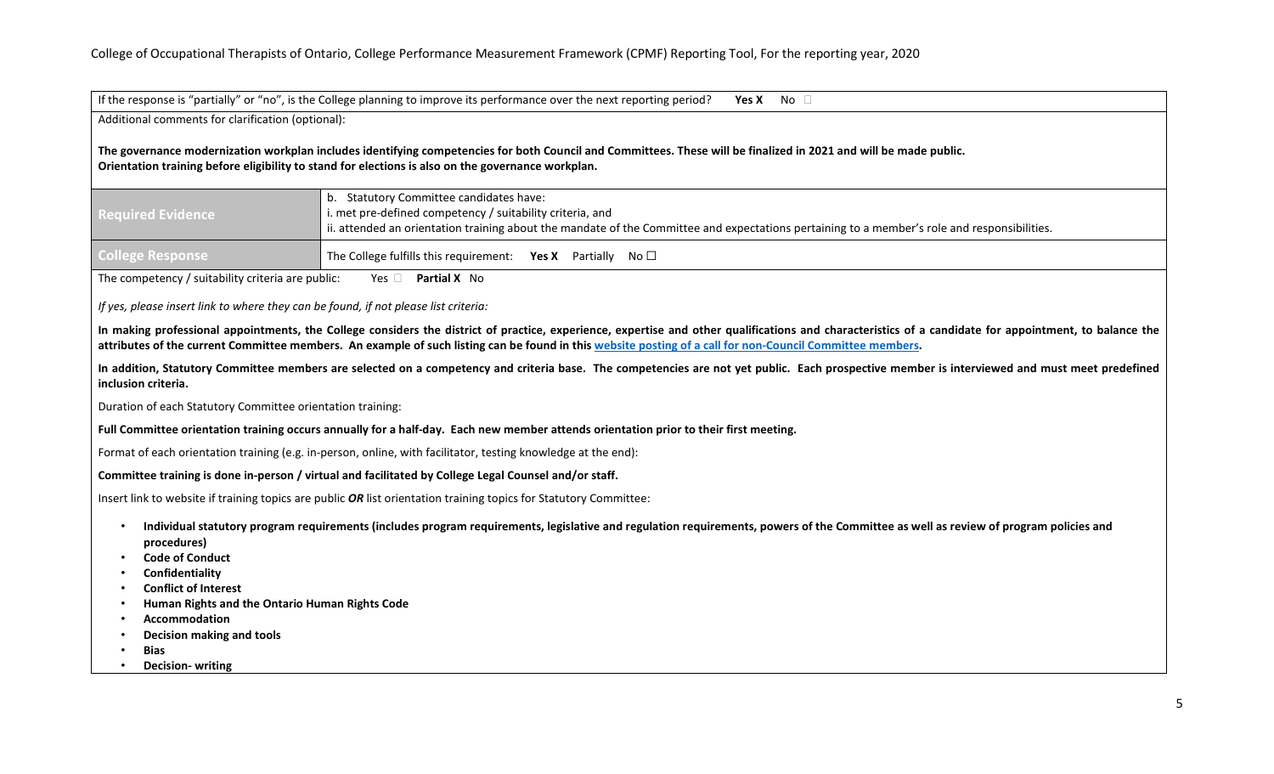If the response is "partially" or "no", is the College planning to improve its performance over the next reporting period? **Yes X** No  $\Box$ 

Additional comments for clarification (optional):

**The governance modernization workplan includes identifying competencies for both Council and Committees. These will be finalized in 2021 and will be made public. Orientation training before eligibility to stand for elections is also on the governance workplan.**

| <b>Required Evidence</b> | b. Statutory Committee candidates have:<br>I i. met pre-defined competency / suitability criteria, and<br>ii. attended an orientation training about the mandate of the Committee and expectations pertaining to a member's role and responsibilities. |  |
|--------------------------|--------------------------------------------------------------------------------------------------------------------------------------------------------------------------------------------------------------------------------------------------------|--|
| <b>College Response</b>  | The College fulfills this requirement: Yes X Partially No $\square$                                                                                                                                                                                    |  |

The competency / suitability criteria are public: Yes **Partial X** No

*If yes, please insert link to where they can be found, if not please list criteria:*

**In making professional appointments, the College considers the district of practice, experience, expertise and other qualifications and characteristics of a candidate for appointment, to balance the attributes of the current Committee members. An example of such listing can be found in this [website posting of a call for non-Council Committee members.](https://www.coto.org/news/opportunity-seeking-two-non-council-committee-members)**

**In addition, Statutory Committee members are selected on a competency and criteria base. The competencies are not yet public. Each prospective member is interviewed and must meet predefined inclusion criteria.**

Duration of each Statutory Committee orientation training:

**Full Committee orientation training occurs annually for a half-day. Each new member attends orientation prior to their first meeting.**

Format of each orientation training (e.g. in-person, online, with facilitator, testing knowledge at the end):

**Committee training is done in-person / virtual and facilitated by College Legal Counsel and/or staff.**

Insert link to website if training topics are public *OR* list orientation training topics for Statutory Committee:

- **Individual statutory program requirements (includes program requirements, legislative and regulation requirements, powers of the Committee as well as review of program policies and procedures)**
- **Code of Conduct**
- **Confidentiality**
- **Conflict of Interest**
- **Human Rights and the Ontario Human Rights Code**
- **Accommodation**
- **Decision making and tools**
- **Bias**
- **Decision- writing**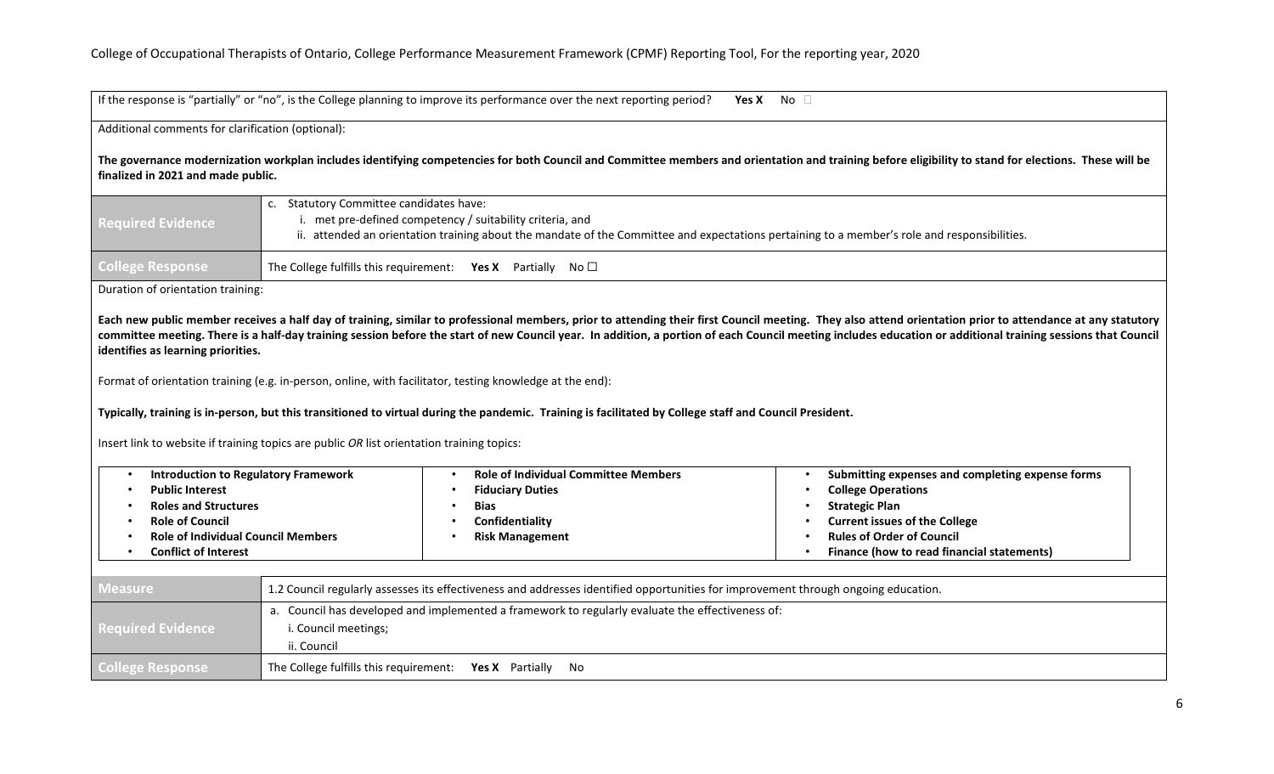If the response is "partially" or "no", is the College planning to improve its performance over the next reporting period? **Yes X** No

#### Additional comments for clarification (optional):

**The governance modernization workplan includes identifying competencies for both Council and Committee members and orientation and training before eligibility to stand for elections. These will be finalized in 2021 and made public.**

| <b>Required Evidence</b> | Statutory Committee candidates have:<br>met pre-defined competency / suitability criteria, and<br>ii. attended an orientation training about the mandate of the Committee and expectations pertaining to a member's role and responsibilities. |  |
|--------------------------|------------------------------------------------------------------------------------------------------------------------------------------------------------------------------------------------------------------------------------------------|--|
| <b>College Response</b>  | The College fulfills this requirement: <b>Yes X</b> Partially No $\Box$                                                                                                                                                                        |  |

Duration of orientation training:

**Each new public member receives a half day of training, similar to professional members, prior to attending their first Council meeting. They also attend orientation prior to attendance at any statutory committee meeting. There is a half-day training session before the start of new Council year. In addition, a portion of each Council meeting includes education or additional training sessions that Council identifies as learning priorities.**

Format of orientation training (e.g. in-person, online, with facilitator, testing knowledge at the end):

**Typically, training is in-person, but this transitioned to virtual during the pandemic. Training is facilitated by College staff and Council President.**

Insert link to website if training topics are public *OR* list orientation training topics:

| <b>Introduction to Regulatory Framework</b> | <b>Role of Individual Committee Members</b> | Submitting expenses and completing expense forms |
|---------------------------------------------|---------------------------------------------|--------------------------------------------------|
| <b>Public Interest</b>                      | <b>Fiduciary Duties</b>                     | <b>College Operations</b>                        |
| <b>Roles and Structures</b>                 | <b>Bias</b>                                 | <b>Strategic Plan</b>                            |
| <b>Role of Council</b>                      | Confidentiality                             | <b>Current issues of the College</b>             |
| <b>Role of Individual Council Members</b>   | <b>Risk Management</b>                      | <b>Rules of Order of Council</b>                 |
| Conflict of Interest                        |                                             | Finance (how to read financial statements)       |

| <b>Measure</b>           | 1.2 Council regularly assesses its effectiveness and addresses identified opportunities for improvement through ongoing education. |  |  |
|--------------------------|------------------------------------------------------------------------------------------------------------------------------------|--|--|
|                          | a. Council has developed and implemented a framework to regularly evaluate the effectiveness of:                                   |  |  |
| <b>Required Evidence</b> | i. Council meetings;                                                                                                               |  |  |
|                          | ii. Council                                                                                                                        |  |  |
| <b>College Response</b>  | The College fulfills this requirement: Yes X Partially No                                                                          |  |  |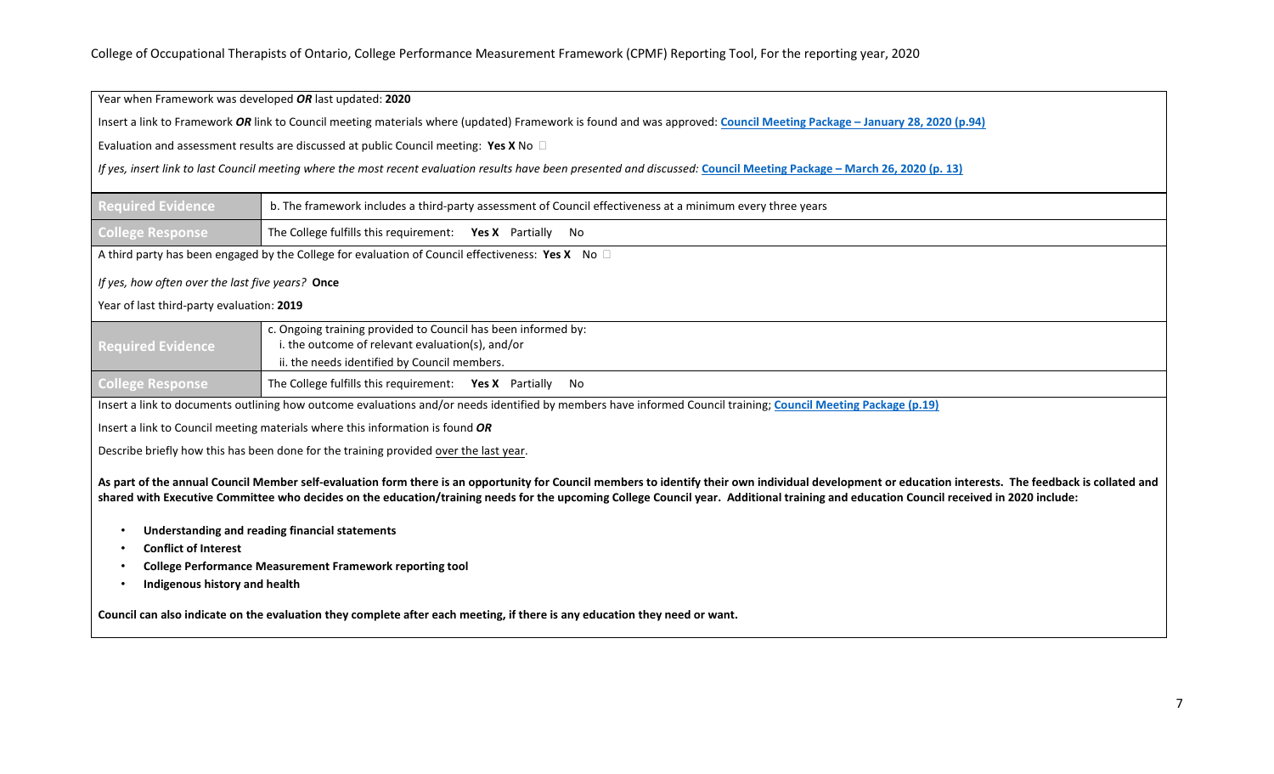| Year when Framework was developed OR last updated: 2020                                                                                                                                                                                                                                                                                                                                           |                                                                                                                                                                          |  |  |  |
|---------------------------------------------------------------------------------------------------------------------------------------------------------------------------------------------------------------------------------------------------------------------------------------------------------------------------------------------------------------------------------------------------|--------------------------------------------------------------------------------------------------------------------------------------------------------------------------|--|--|--|
|                                                                                                                                                                                                                                                                                                                                                                                                   | Insert a link to Framework OR link to Council meeting materials where (updated) Framework is found and was approved: Council Meeting Package - January 28, 2020 (p.94)   |  |  |  |
|                                                                                                                                                                                                                                                                                                                                                                                                   | Evaluation and assessment results are discussed at public Council meeting: Yes X No $\Box$                                                                               |  |  |  |
|                                                                                                                                                                                                                                                                                                                                                                                                   | If yes, insert link to last Council meeting where the most recent evaluation results have been presented and discussed: Council Meeting Package - March 26, 2020 (p. 13) |  |  |  |
| <b>Required Evidence</b>                                                                                                                                                                                                                                                                                                                                                                          | b. The framework includes a third-party assessment of Council effectiveness at a minimum every three years                                                               |  |  |  |
| <b>College Response</b>                                                                                                                                                                                                                                                                                                                                                                           | The College fulfills this requirement: Yes X Partially No                                                                                                                |  |  |  |
|                                                                                                                                                                                                                                                                                                                                                                                                   | A third party has been engaged by the College for evaluation of Council effectiveness: Yes X No $\square$                                                                |  |  |  |
| If yes, how often over the last five years? Once                                                                                                                                                                                                                                                                                                                                                  |                                                                                                                                                                          |  |  |  |
| Year of last third-party evaluation: 2019                                                                                                                                                                                                                                                                                                                                                         |                                                                                                                                                                          |  |  |  |
| <b>Required Evidence</b>                                                                                                                                                                                                                                                                                                                                                                          | c. Ongoing training provided to Council has been informed by:<br>i. the outcome of relevant evaluation(s), and/or<br>ii. the needs identified by Council members.        |  |  |  |
| <b>College Response</b>                                                                                                                                                                                                                                                                                                                                                                           | The College fulfills this requirement: Yes X Partially No                                                                                                                |  |  |  |
| Insert a link to documents outlining how outcome evaluations and/or needs identified by members have informed Council training; Council Meeting Package (p.19)                                                                                                                                                                                                                                    |                                                                                                                                                                          |  |  |  |
| Insert a link to Council meeting materials where this information is found OR                                                                                                                                                                                                                                                                                                                     |                                                                                                                                                                          |  |  |  |
| Describe briefly how this has been done for the training provided over the last year.                                                                                                                                                                                                                                                                                                             |                                                                                                                                                                          |  |  |  |
| As part of the annual Council Member self-evaluation form there is an opportunity for Council members to identify their own individual development or education interests. The feedback is collated and<br>shared with Executive Committee who decides on the education/training needs for the upcoming College Council year. Additional training and education Council received in 2020 include: |                                                                                                                                                                          |  |  |  |
| <b>Understanding and reading financial statements</b><br><b>Conflict of Interest</b>                                                                                                                                                                                                                                                                                                              |                                                                                                                                                                          |  |  |  |
| <b>College Performance Measurement Framework reporting tool</b>                                                                                                                                                                                                                                                                                                                                   |                                                                                                                                                                          |  |  |  |
| Indigenous history and health                                                                                                                                                                                                                                                                                                                                                                     |                                                                                                                                                                          |  |  |  |
| Council can also indicate on the evaluation they complete after each meeting, if there is any education they need or want.                                                                                                                                                                                                                                                                        |                                                                                                                                                                          |  |  |  |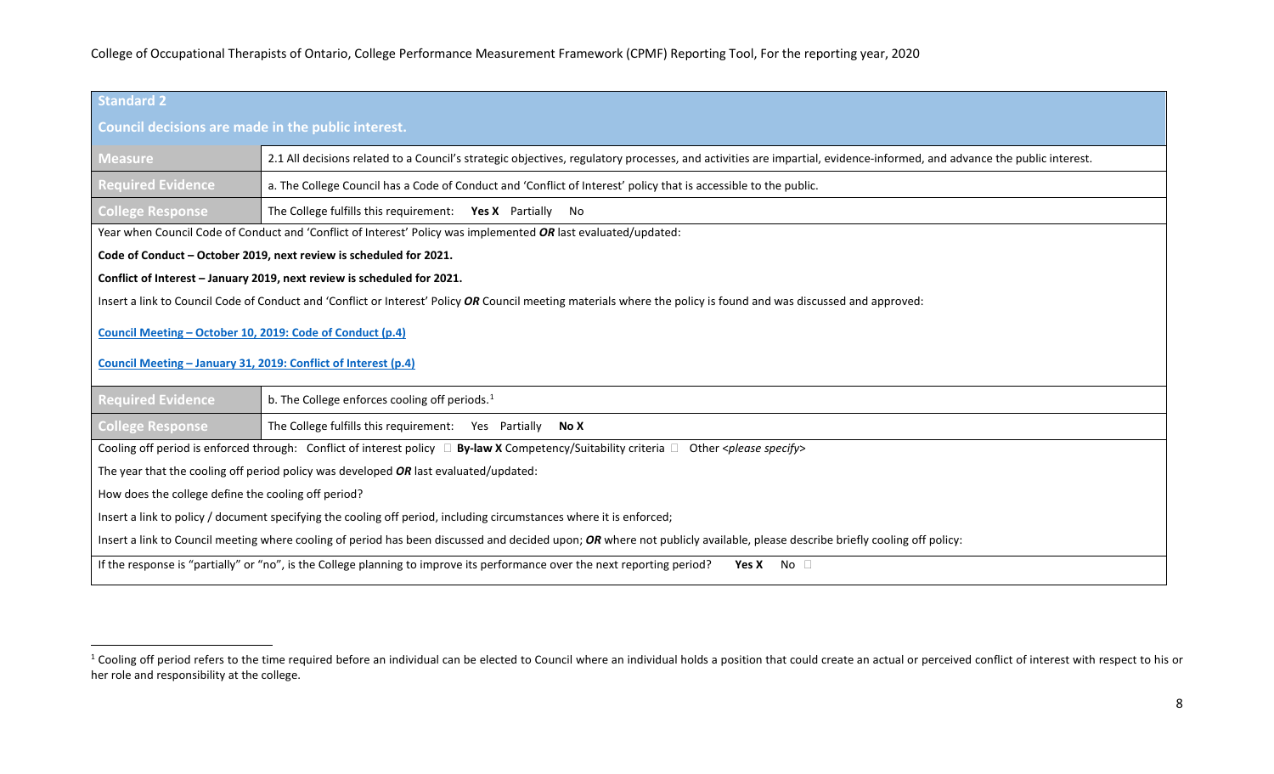<span id="page-7-0"></span>

| Standard <sub>2</sub>                                                                                                                                                      |                                                                                                                                                                        |  |  |
|----------------------------------------------------------------------------------------------------------------------------------------------------------------------------|------------------------------------------------------------------------------------------------------------------------------------------------------------------------|--|--|
| Council decisions are made in the public interest.                                                                                                                         |                                                                                                                                                                        |  |  |
| <b>Measure</b>                                                                                                                                                             | 2.1 All decisions related to a Council's strategic objectives, regulatory processes, and activities are impartial, evidence-informed, and advance the public interest. |  |  |
| <b>Required Evidence</b>                                                                                                                                                   | a. The College Council has a Code of Conduct and 'Conflict of Interest' policy that is accessible to the public.                                                       |  |  |
| <b>College Response</b>                                                                                                                                                    | The College fulfills this requirement: Yes X Partially No                                                                                                              |  |  |
|                                                                                                                                                                            | Year when Council Code of Conduct and 'Conflict of Interest' Policy was implemented OR last evaluated/updated:                                                         |  |  |
|                                                                                                                                                                            | Code of Conduct - October 2019, next review is scheduled for 2021.                                                                                                     |  |  |
|                                                                                                                                                                            | Conflict of Interest - January 2019, next review is scheduled for 2021.                                                                                                |  |  |
|                                                                                                                                                                            | Insert a link to Council Code of Conduct and 'Conflict or Interest' Policy OR Council meeting materials where the policy is found and was discussed and approved:      |  |  |
| Council Meeting - October 10, 2019: Code of Conduct (p.4)                                                                                                                  |                                                                                                                                                                        |  |  |
| Council Meeting - January 31, 2019: Conflict of Interest (p.4)                                                                                                             |                                                                                                                                                                        |  |  |
| <b>Required Evidence</b>                                                                                                                                                   | b. The College enforces cooling off periods. <sup>1</sup>                                                                                                              |  |  |
| <b>College Response</b>                                                                                                                                                    | The College fulfills this requirement: Yes Partially<br>No X                                                                                                           |  |  |
| Cooling off period is enforced through: Conflict of interest policy □ By-law X Competency/Suitability criteria □ Other <please specify=""></please>                        |                                                                                                                                                                        |  |  |
| The year that the cooling off period policy was developed $OR$ last evaluated/updated:                                                                                     |                                                                                                                                                                        |  |  |
| How does the college define the cooling off period?                                                                                                                        |                                                                                                                                                                        |  |  |
| Insert a link to policy / document specifying the cooling off period, including circumstances where it is enforced;                                                        |                                                                                                                                                                        |  |  |
| Insert a link to Council meeting where cooling of period has been discussed and decided upon; OR where not publicly available, please describe briefly cooling off policy: |                                                                                                                                                                        |  |  |
| If the response is "partially" or "no", is the College planning to improve its performance over the next reporting period?<br>Yes X No $\Box$                              |                                                                                                                                                                        |  |  |

<sup>&</sup>lt;sup>1</sup> Cooling off period refers to the time required before an individual can be elected to Council where an individual holds a position that could create an actual or perceived conflict of interest with respect to his or her role and responsibility at the college.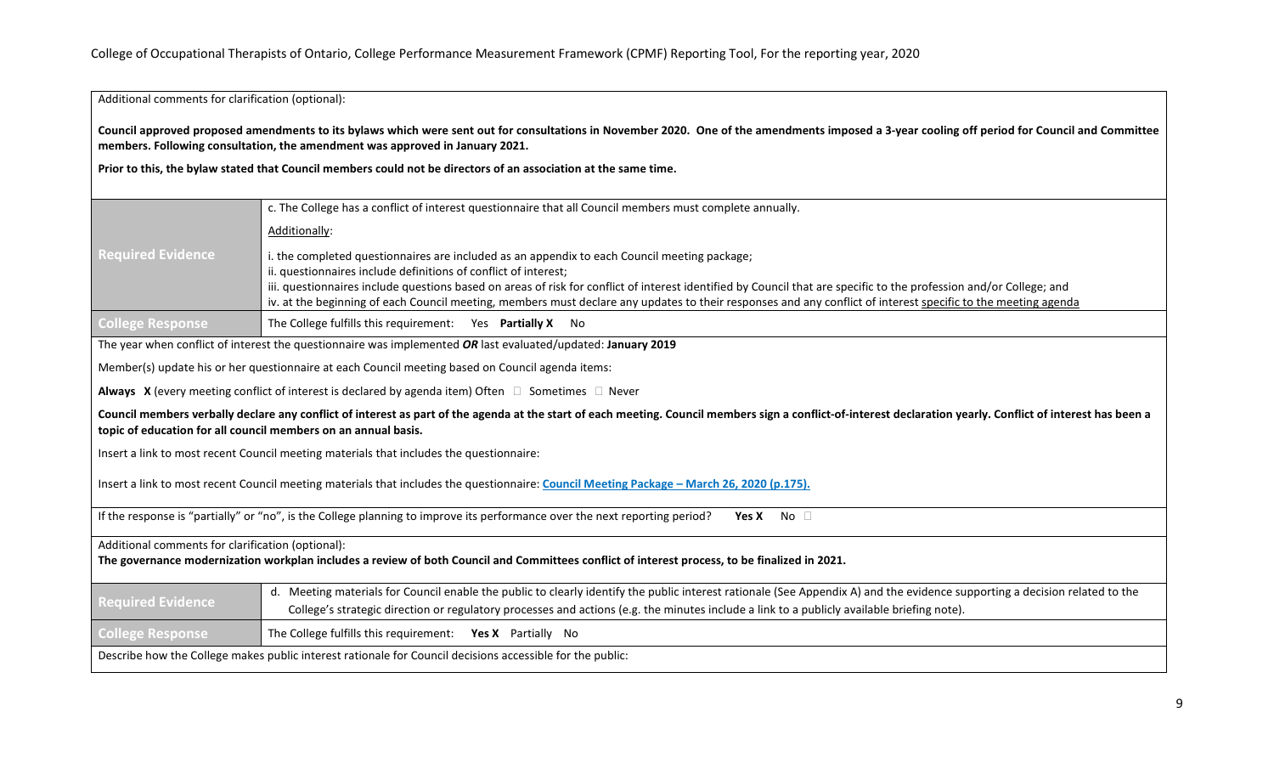Additional comments for clarification (optional):

**Council approved proposed amendments to its bylaws which were sent out for consultations in November 2020. One of the amendments imposed a 3-year cooling off period for Council and Committee members. Following consultation, the amendment was approved in January 2021.**

**Prior to this, the bylaw stated that Council members could not be directors of an association at the same time.** 

|                                                                                                                                                                                                                                                                                 | c. The College has a conflict of interest questionnaire that all Council members must complete annually.                                                                    |  |
|---------------------------------------------------------------------------------------------------------------------------------------------------------------------------------------------------------------------------------------------------------------------------------|-----------------------------------------------------------------------------------------------------------------------------------------------------------------------------|--|
|                                                                                                                                                                                                                                                                                 | Additionally:                                                                                                                                                               |  |
| <b>Required Evidence</b>                                                                                                                                                                                                                                                        | i. the completed questionnaires are included as an appendix to each Council meeting package;                                                                                |  |
|                                                                                                                                                                                                                                                                                 | ii. questionnaires include definitions of conflict of interest;                                                                                                             |  |
|                                                                                                                                                                                                                                                                                 | iii. questionnaires include questions based on areas of risk for conflict of interest identified by Council that are specific to the profession and/or College; and         |  |
|                                                                                                                                                                                                                                                                                 | iv. at the beginning of each Council meeting, members must declare any updates to their responses and any conflict of interest specific to the meeting agenda               |  |
| <b>College Response</b>                                                                                                                                                                                                                                                         | The College fulfills this requirement: Yes Partially X No                                                                                                                   |  |
|                                                                                                                                                                                                                                                                                 | The year when conflict of interest the questionnaire was implemented OR last evaluated/updated: January 2019                                                                |  |
| Member(s) update his or her questionnaire at each Council meeting based on Council agenda items:                                                                                                                                                                                |                                                                                                                                                                             |  |
| Always X (every meeting conflict of interest is declared by agenda item) Often $\Box$ Sometimes $\Box$ Never                                                                                                                                                                    |                                                                                                                                                                             |  |
| Council members verbally declare any conflict of interest as part of the agenda at the start of each meeting. Council members sign a conflict-of-interest declaration yearly. Conflict of interest has been a<br>topic of education for all council members on an annual basis. |                                                                                                                                                                             |  |
| Insert a link to most recent Council meeting materials that includes the questionnaire:                                                                                                                                                                                         |                                                                                                                                                                             |  |
| Insert a link to most recent Council meeting materials that includes the questionnaire: Council Meeting Package - March 26, 2020 (p.175).                                                                                                                                       |                                                                                                                                                                             |  |
| If the response is "partially" or "no", is the College planning to improve its performance over the next reporting period?<br>No <sub>1</sub><br><b>Yes X</b>                                                                                                                   |                                                                                                                                                                             |  |
| Additional comments for clarification (optional):                                                                                                                                                                                                                               |                                                                                                                                                                             |  |
| The governance modernization workplan includes a review of both Council and Committees conflict of interest process, to be finalized in 2021.                                                                                                                                   |                                                                                                                                                                             |  |
|                                                                                                                                                                                                                                                                                 |                                                                                                                                                                             |  |
| <b>Required Evidence</b>                                                                                                                                                                                                                                                        | d. Meeting materials for Council enable the public to clearly identify the public interest rationale (See Appendix A) and the evidence supporting a decision related to the |  |
|                                                                                                                                                                                                                                                                                 | College's strategic direction or regulatory processes and actions (e.g. the minutes include a link to a publicly available briefing note).                                  |  |
| <b>College Response</b>                                                                                                                                                                                                                                                         | The College fulfills this requirement: Yes X Partially No                                                                                                                   |  |
| Describe how the College makes public interest rationale for Council decisions accessible for the public:                                                                                                                                                                       |                                                                                                                                                                             |  |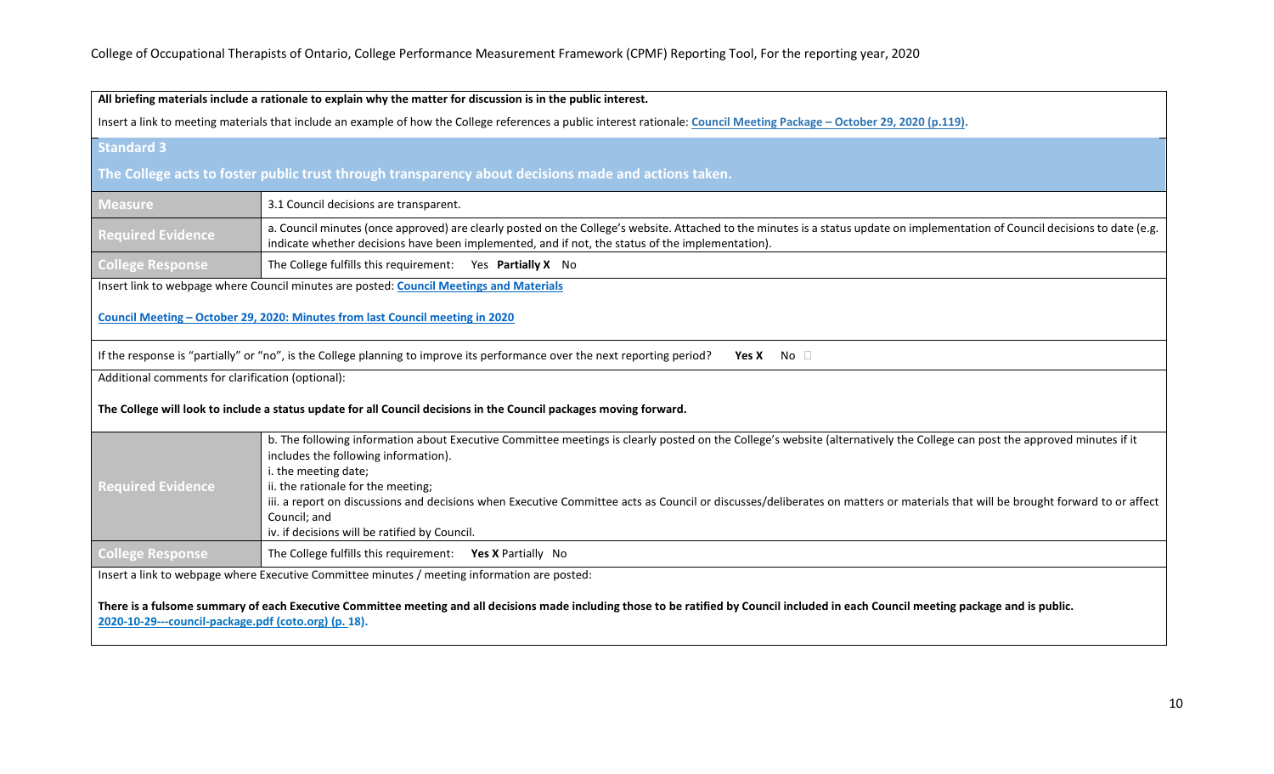|                                                                                                                                                                                                                                                 | All briefing materials include a rationale to explain why the matter for discussion is in the public interest.                                                                                                                                                                        |
|-------------------------------------------------------------------------------------------------------------------------------------------------------------------------------------------------------------------------------------------------|---------------------------------------------------------------------------------------------------------------------------------------------------------------------------------------------------------------------------------------------------------------------------------------|
| Insert a link to meeting materials that include an example of how the College references a public interest rationale: Council Meeting Package - October 29, 2020 (p.119).                                                                       |                                                                                                                                                                                                                                                                                       |
| <b>Standard 3</b>                                                                                                                                                                                                                               |                                                                                                                                                                                                                                                                                       |
|                                                                                                                                                                                                                                                 | The College acts to foster public trust through transparency about decisions made and actions taken.                                                                                                                                                                                  |
| <b>Measure</b>                                                                                                                                                                                                                                  | 3.1 Council decisions are transparent.                                                                                                                                                                                                                                                |
| <b>Required Evidence</b>                                                                                                                                                                                                                        | a. Council minutes (once approved) are clearly posted on the College's website. Attached to the minutes is a status update on implementation of Council decisions to date (e.g.<br>indicate whether decisions have been implemented, and if not, the status of the implementation).   |
| <b>College Response</b>                                                                                                                                                                                                                         | The College fulfills this requirement: Yes Partially X No                                                                                                                                                                                                                             |
|                                                                                                                                                                                                                                                 | Insert link to webpage where Council minutes are posted: Council Meetings and Materials                                                                                                                                                                                               |
|                                                                                                                                                                                                                                                 | Council Meeting - October 29, 2020: Minutes from last Council meeting in 2020                                                                                                                                                                                                         |
|                                                                                                                                                                                                                                                 | If the response is "partially" or "no", is the College planning to improve its performance over the next reporting period?<br>Yes X No $\square$                                                                                                                                      |
| Additional comments for clarification (optional):                                                                                                                                                                                               |                                                                                                                                                                                                                                                                                       |
|                                                                                                                                                                                                                                                 | The College will look to include a status update for all Council decisions in the Council packages moving forward.                                                                                                                                                                    |
|                                                                                                                                                                                                                                                 | b. The following information about Executive Committee meetings is clearly posted on the College's website (alternatively the College can post the approved minutes if it<br>includes the following information).<br>i. the meeting date;                                             |
| <b>Required Evidence</b>                                                                                                                                                                                                                        | ii. the rationale for the meeting;<br>iii. a report on discussions and decisions when Executive Committee acts as Council or discusses/deliberates on matters or materials that will be brought forward to or affect<br>Council; and<br>iv. if decisions will be ratified by Council. |
| <b>College Response</b>                                                                                                                                                                                                                         | The College fulfills this requirement: Yes X Partially No                                                                                                                                                                                                                             |
| Insert a link to webpage where Executive Committee minutes / meeting information are posted:                                                                                                                                                    |                                                                                                                                                                                                                                                                                       |
| There is a fulsome summary of each Executive Committee meeting and all decisions made including those to be ratified by Council included in each Council meeting package and is public.<br>2020-10-29---council-package.pdf (coto.org) (p. 18). |                                                                                                                                                                                                                                                                                       |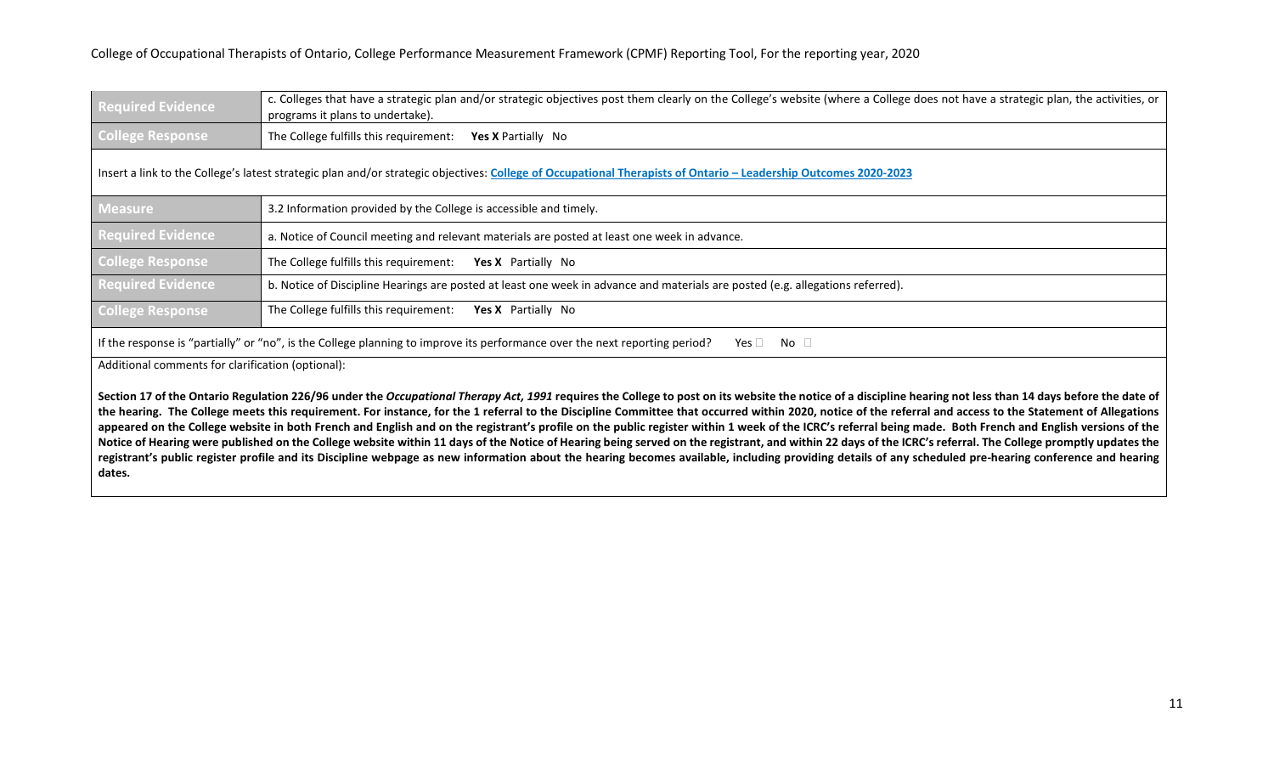| <b>Required Evidence</b> | [c. Colleges that have a strategic plan and/or strategic objectives post them clearly on the College's website (where a College does not have a strategic plan, the activities, or<br>programs it plans to undertake). |
|--------------------------|------------------------------------------------------------------------------------------------------------------------------------------------------------------------------------------------------------------------|
| <b>College Response</b>  | The College fulfills this requirement: Yes X Partially No                                                                                                                                                              |

# Insert a link to the College's latest strategic plan and/or strategic objectives: **[College of Occupational Therapists of Ontario –](https://www.coto.org/docs/default-source/pdfs/2020-2023-leadership-outcomes.pdf?sfvrsn=21689276_2) Leadership Outcomes 2020-2023**

| <b>Measure</b>           | 3.2 Information provided by the College is accessible and timely.                                                              |  |
|--------------------------|--------------------------------------------------------------------------------------------------------------------------------|--|
| <b>Required Evidence</b> | a. Notice of Council meeting and relevant materials are posted at least one week in advance.                                   |  |
| <b>College Response</b>  | The College fulfills this requirement:<br><b>Yes X</b> Partially No                                                            |  |
| <b>Required Evidence</b> | b. Notice of Discipline Hearings are posted at least one week in advance and materials are posted (e.g. allegations referred). |  |
| <b>College Response</b>  | The College fulfills this requirement:<br><b>Yes X</b> Partially No                                                            |  |

If the response is "partially" or "no", is the College planning to improve its performance over the next reporting period? Yes  $\Box$  No  $\Box$ 

Additional comments for clarification (optional):

Section 17 of the Ontario Regulation 226/96 under the Occupational Therapy Act, 1991 requires the College to post on its website the notice of a discipline hearing not less than 14 days before the date of **the hearing. The College meets this requirement. For instance, for the 1 referral to the Discipline Committee that occurred within 2020, notice of the referral and access to the Statement of Allegations**  appeared on the College website in both French and English and on the registrant's profile on the public register within 1 week of the ICRC's referral being made. Both French and English versions of the Notice of Hearing were published on the College website within 11 days of the Notice of Hearing being served on the registrant, and within 22 days of the ICRC's referral. The College promptly updates the **registrant's public register profile and its Discipline webpage as new information about the hearing becomes available, including providing details of any scheduled pre-hearing conference and hearing dates.**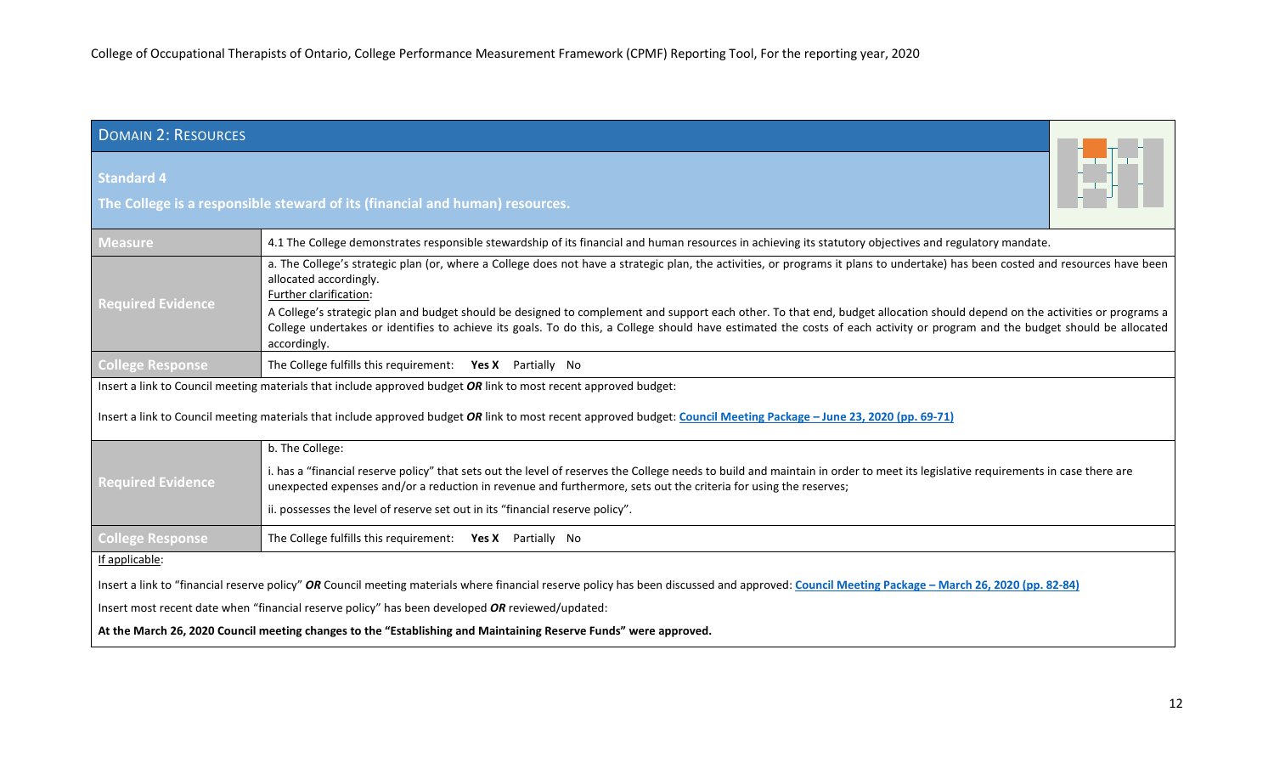<span id="page-11-0"></span>

| <b>DOMAIN 2: RESOURCES</b>                                                                                                                                                                    |                                                                                                                                                                                                                                                                                                                                                                            |  |
|-----------------------------------------------------------------------------------------------------------------------------------------------------------------------------------------------|----------------------------------------------------------------------------------------------------------------------------------------------------------------------------------------------------------------------------------------------------------------------------------------------------------------------------------------------------------------------------|--|
| <b>Standard 4</b>                                                                                                                                                                             | The College is a responsible steward of its (financial and human) resources.                                                                                                                                                                                                                                                                                               |  |
| <b>Measure</b>                                                                                                                                                                                | 4.1 The College demonstrates responsible stewardship of its financial and human resources in achieving its statutory objectives and regulatory mandate.                                                                                                                                                                                                                    |  |
| <b>Required Evidence</b>                                                                                                                                                                      | a. The College's strategic plan (or, where a College does not have a strategic plan, the activities, or programs it plans to undertake) has been costed and resources have been<br>allocated accordingly.<br>Further clarification:                                                                                                                                        |  |
|                                                                                                                                                                                               | A College's strategic plan and budget should be designed to complement and support each other. To that end, budget allocation should depend on the activities or programs a<br>College undertakes or identifies to achieve its goals. To do this, a College should have estimated the costs of each activity or program and the budget should be allocated<br>accordingly. |  |
| <b>College Response</b>                                                                                                                                                                       | The College fulfills this requirement: Yes X Partially No                                                                                                                                                                                                                                                                                                                  |  |
| Insert a link to Council meeting materials that include approved budget OR link to most recent approved budget:                                                                               |                                                                                                                                                                                                                                                                                                                                                                            |  |
| Insert a link to Council meeting materials that include approved budget OR link to most recent approved budget: Council Meeting Package - June 23, 2020 (pp. 69-71)                           |                                                                                                                                                                                                                                                                                                                                                                            |  |
|                                                                                                                                                                                               | b. The College:                                                                                                                                                                                                                                                                                                                                                            |  |
| <b>Required Evidence</b>                                                                                                                                                                      | i. has a "financial reserve policy" that sets out the level of reserves the College needs to build and maintain in order to meet its legislative requirements in case there are<br>unexpected expenses and/or a reduction in revenue and furthermore, sets out the criteria for using the reserves;                                                                        |  |
|                                                                                                                                                                                               | ii. possesses the level of reserve set out in its "financial reserve policy".                                                                                                                                                                                                                                                                                              |  |
| <b>College Response</b>                                                                                                                                                                       | The College fulfills this requirement: Yes X Partially No                                                                                                                                                                                                                                                                                                                  |  |
| If applicable:                                                                                                                                                                                |                                                                                                                                                                                                                                                                                                                                                                            |  |
| Insert a link to "financial reserve policy" OR Council meeting materials where financial reserve policy has been discussed and approved: Council Meeting Package - March 26, 2020 (pp. 82-84) |                                                                                                                                                                                                                                                                                                                                                                            |  |
| Insert most recent date when "financial reserve policy" has been developed OR reviewed/updated:                                                                                               |                                                                                                                                                                                                                                                                                                                                                                            |  |
| At the March 26, 2020 Council meeting changes to the "Establishing and Maintaining Reserve Funds" were approved.                                                                              |                                                                                                                                                                                                                                                                                                                                                                            |  |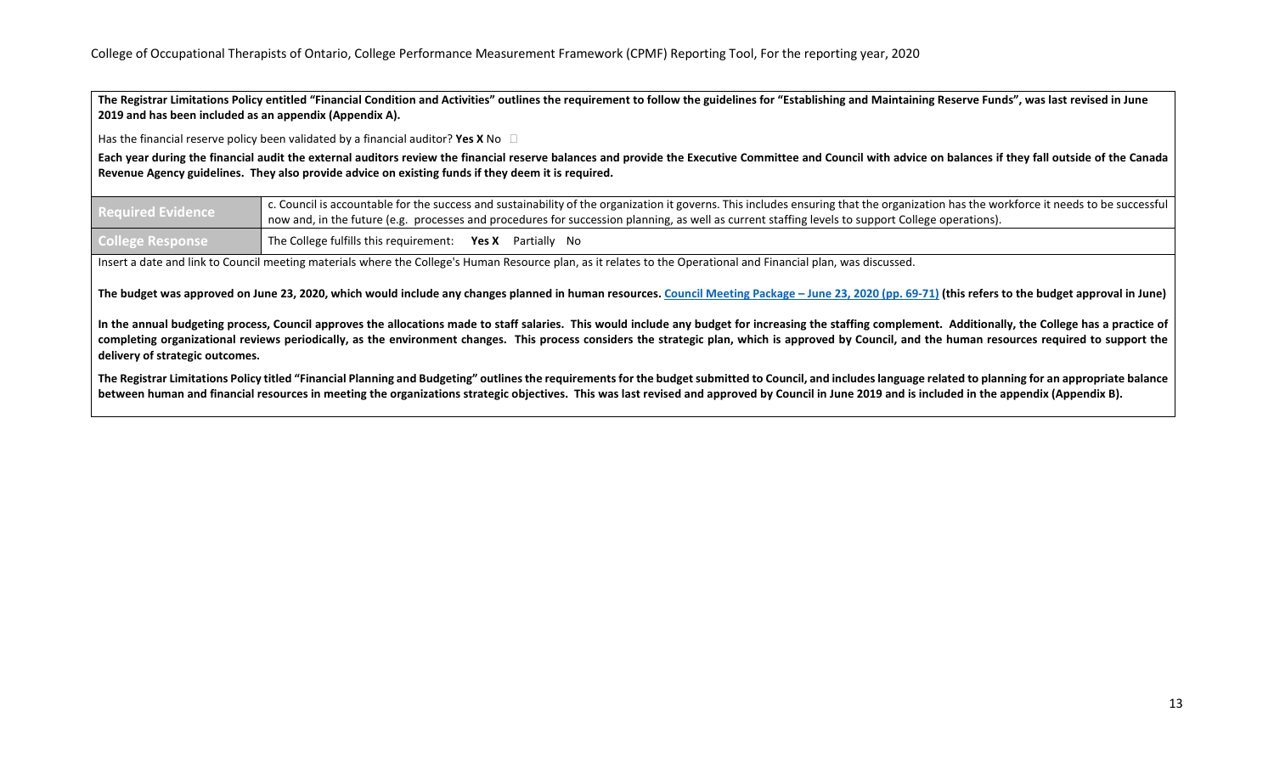**The Registrar Limitations Policy entitled "Financial Condition and Activities" outlines the requirement to follow the guidelines for "Establishing and Maintaining Reserve Funds", was last revised in June 2019 and has been included as an appendix (Appendix A).**

Has the financial reserve policy been validated by a financial auditor? **Yes X** No

**Each year during the financial audit the external auditors review the financial reserve balances and provide the Executive Committee and Council with advice on balances if they fall outside of the Canada Revenue Agency guidelines. They also provide advice on existing funds if they deem it is required.**

| <b>Required Evidence</b> | c. Council is accountable for the success and sustainability of the organization it governs. This includes ensuring that the organization has the workforce it needs to be successful |
|--------------------------|---------------------------------------------------------------------------------------------------------------------------------------------------------------------------------------|
|                          | now and, in the future (e.g. processes and procedures for succession planning, as well as current staffing levels to support College operations).                                     |
| <b>College Response</b>  | The College fulfills this requirement: Yes X Partially No                                                                                                                             |

Insert a date and link to Council meeting materials where the College's Human Resource plan, as it relates to the Operational and Financial plan, was discussed.

The budget was approved on June 23, 2020, which would include any changes planned in human resources. Council Meeting Package - June 23, 2020 (pp. 69-71) (this refers to the budget approval in June)

**In the annual budgeting process, Council approves the allocations made to staff salaries. This would include any budget for increasing the staffing complement. Additionally, the College has a practice of completing organizational reviews periodically, as the environment changes. This process considers the strategic plan, which is approved by Council, and the human resources required to support the delivery of strategic outcomes.**

**The Registrar Limitations Policy titled "Financial Planning and Budgeting" outlines the requirements for the budget submitted to Council, and includes language related to planning for an appropriate balance**  between human and financial resources in meeting the organizations strategic objectives. This was last revised and approved by Council in June 2019 and is included in the appendix (Appendix B).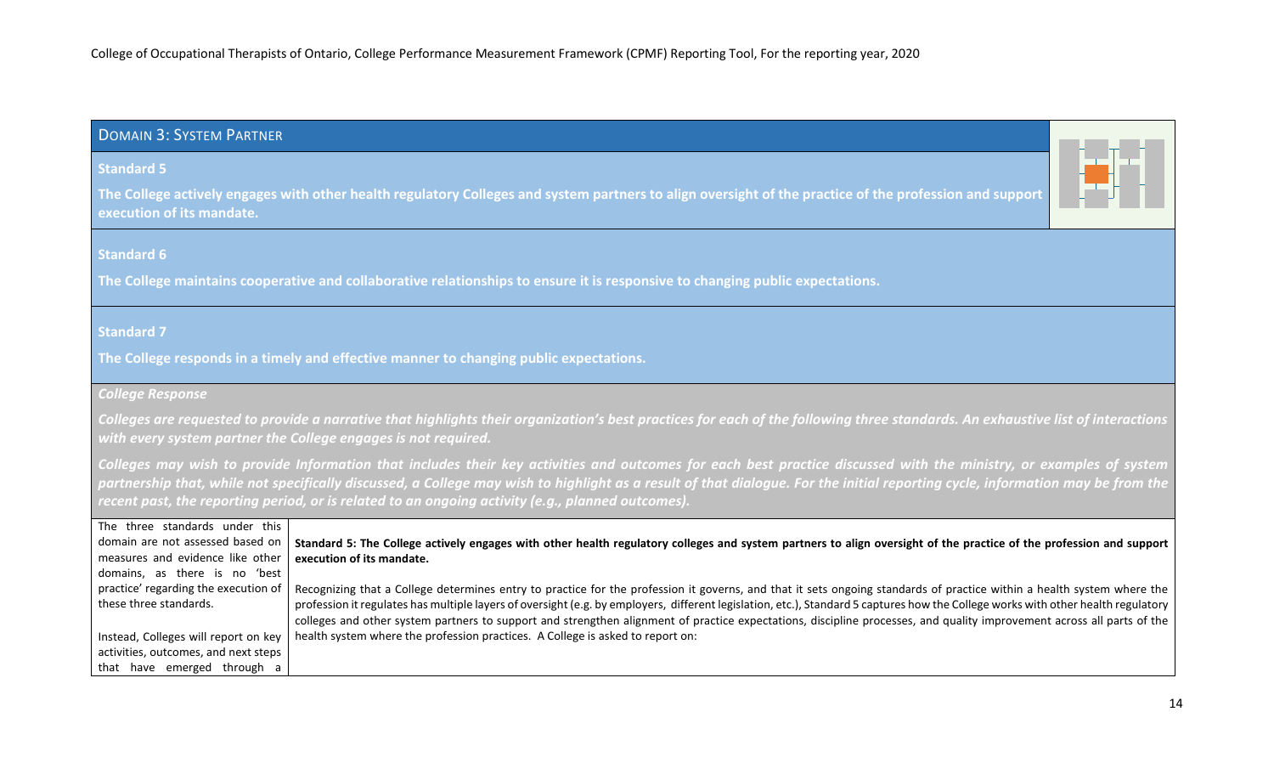# <span id="page-13-0"></span>DOMAIN 3: SYSTEM PARTNER

# **Standard 5**

**The College actively engages with other health regulatory Colleges and system partners to align oversight of the practice of the profession and support execution of its mandate.**

# **Standard 6**

**The College maintains cooperative and collaborative relationships to ensure it is responsive to changing public expectations.**

# **Standard 7**

**The College responds in a timely and effective manner to changing public expectations.**

## *College Response*

*Colleges are requested to provide a narrative that highlights their organization's best practices for each of the following three standards. An exhaustive list of interactions with every system partner the College engages is not required.*

*Colleges may wish to provide Information that includes their key activities and outcomes for each best practice discussed with the ministry, or examples of system*  partnership that, while not specifically discussed, a College may wish to highlight as a result of that dialogue. For the initial reporting cycle, information may be from the *recent past, the reporting period, or is related to an ongoing activity (e.g., planned outcomes).*

| The three standards under this       |                                                                                                                                                                                   |
|--------------------------------------|-----------------------------------------------------------------------------------------------------------------------------------------------------------------------------------|
| domain are not assessed based on     | Standard 5: The College actively engages with other health regulatory colleges and system partners to align oversight of the practice of the profession and support               |
| measures and evidence like other     | execution of its mandate.                                                                                                                                                         |
| domains, as there is no 'best        |                                                                                                                                                                                   |
| practice' regarding the execution of | Recognizing that a College determines entry to practice for the profession it governs, and that it sets ongoing standards of practice within a health system where the            |
| these three standards.               | profession it regulates has multiple layers of oversight (e.g. by employers, different legislation, etc.), Standard 5 captures how the College works with other health regulatory |
|                                      | colleges and other system partners to support and strengthen alignment of practice expectations, discipline processes, and quality improvement across all parts of the            |
| Instead, Colleges will report on key | health system where the profession practices. A College is asked to report on:                                                                                                    |
| activities, outcomes, and next steps |                                                                                                                                                                                   |
| that have emerged through a          |                                                                                                                                                                                   |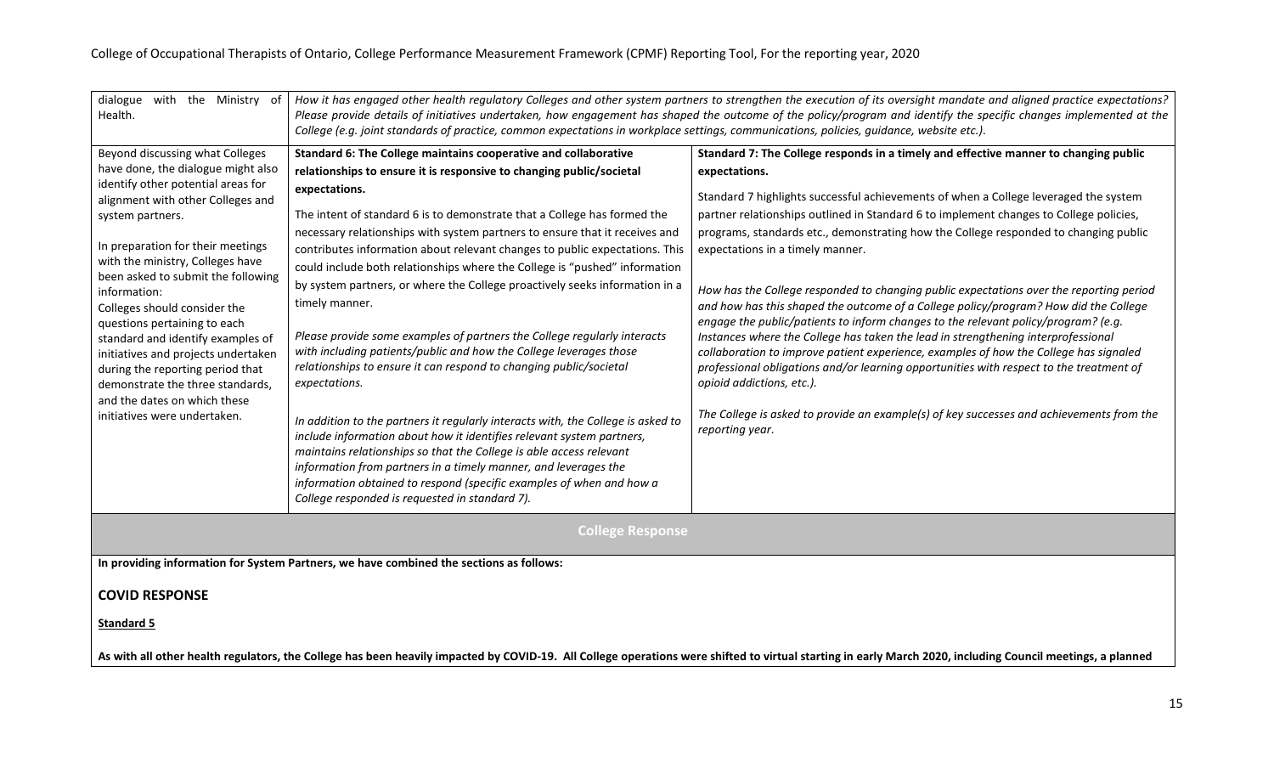| dialogue with the Ministry of<br>Health.                                                                                                                                                                                                                                                                                                                                                                                                                                                                                                                                                | How it has engaged other health regulatory Colleges and other system partners to strengthen the execution of its oversight mandate and aligned practice expectations?<br>Please provide details of initiatives undertaken, how engagement has shaped the outcome of the policy/program and identify the specific changes implemented at the<br>College (e.g. joint standards of practice, common expectations in workplace settings, communications, policies, quidance, website etc.).                                                                                                                                                                                                                                                                                                                                                                                                                                                                                                                                                                                                                                                                                                                                                                     |                                                                                                                                                                                                                                                                                                                                                                                                                                                                                                                                                                                                                                                                                                                                                                                                                                                                                                                                                                                                                                                                                                                   |
|-----------------------------------------------------------------------------------------------------------------------------------------------------------------------------------------------------------------------------------------------------------------------------------------------------------------------------------------------------------------------------------------------------------------------------------------------------------------------------------------------------------------------------------------------------------------------------------------|-------------------------------------------------------------------------------------------------------------------------------------------------------------------------------------------------------------------------------------------------------------------------------------------------------------------------------------------------------------------------------------------------------------------------------------------------------------------------------------------------------------------------------------------------------------------------------------------------------------------------------------------------------------------------------------------------------------------------------------------------------------------------------------------------------------------------------------------------------------------------------------------------------------------------------------------------------------------------------------------------------------------------------------------------------------------------------------------------------------------------------------------------------------------------------------------------------------------------------------------------------------|-------------------------------------------------------------------------------------------------------------------------------------------------------------------------------------------------------------------------------------------------------------------------------------------------------------------------------------------------------------------------------------------------------------------------------------------------------------------------------------------------------------------------------------------------------------------------------------------------------------------------------------------------------------------------------------------------------------------------------------------------------------------------------------------------------------------------------------------------------------------------------------------------------------------------------------------------------------------------------------------------------------------------------------------------------------------------------------------------------------------|
| Beyond discussing what Colleges<br>have done, the dialogue might also<br>identify other potential areas for<br>alignment with other Colleges and<br>system partners.<br>In preparation for their meetings<br>with the ministry, Colleges have<br>been asked to submit the following<br>information:<br>Colleges should consider the<br>questions pertaining to each<br>standard and identify examples of<br>initiatives and projects undertaken<br>during the reporting period that<br>demonstrate the three standards,<br>and the dates on which these<br>initiatives were undertaken. | Standard 6: The College maintains cooperative and collaborative<br>relationships to ensure it is responsive to changing public/societal<br>expectations.<br>The intent of standard 6 is to demonstrate that a College has formed the<br>necessary relationships with system partners to ensure that it receives and<br>contributes information about relevant changes to public expectations. This<br>could include both relationships where the College is "pushed" information<br>by system partners, or where the College proactively seeks information in a<br>timely manner.<br>Please provide some examples of partners the College regularly interacts<br>with including patients/public and how the College leverages those<br>relationships to ensure it can respond to changing public/societal<br>expectations.<br>In addition to the partners it regularly interacts with, the College is asked to<br>include information about how it identifies relevant system partners,<br>maintains relationships so that the College is able access relevant<br>information from partners in a timely manner, and leverages the<br>information obtained to respond (specific examples of when and how a<br>College responded is requested in standard 7). | Standard 7: The College responds in a timely and effective manner to changing public<br>expectations.<br>Standard 7 highlights successful achievements of when a College leveraged the system<br>partner relationships outlined in Standard 6 to implement changes to College policies,<br>programs, standards etc., demonstrating how the College responded to changing public<br>expectations in a timely manner.<br>How has the College responded to changing public expectations over the reporting period<br>and how has this shaped the outcome of a College policy/program? How did the College<br>engage the public/patients to inform changes to the relevant policy/program? (e.g.<br>Instances where the College has taken the lead in strengthening interprofessional<br>collaboration to improve patient experience, examples of how the College has signaled<br>professional obligations and/or learning opportunities with respect to the treatment of<br>opioid addictions, etc.).<br>The College is asked to provide an example(s) of key successes and achievements from the<br>reporting year. |
| <b>College Response</b>                                                                                                                                                                                                                                                                                                                                                                                                                                                                                                                                                                 |                                                                                                                                                                                                                                                                                                                                                                                                                                                                                                                                                                                                                                                                                                                                                                                                                                                                                                                                                                                                                                                                                                                                                                                                                                                             |                                                                                                                                                                                                                                                                                                                                                                                                                                                                                                                                                                                                                                                                                                                                                                                                                                                                                                                                                                                                                                                                                                                   |
| In providing information for System Partners, we have combined the sections as follows:                                                                                                                                                                                                                                                                                                                                                                                                                                                                                                 |                                                                                                                                                                                                                                                                                                                                                                                                                                                                                                                                                                                                                                                                                                                                                                                                                                                                                                                                                                                                                                                                                                                                                                                                                                                             |                                                                                                                                                                                                                                                                                                                                                                                                                                                                                                                                                                                                                                                                                                                                                                                                                                                                                                                                                                                                                                                                                                                   |
| <b>COVID RESPONSE</b>                                                                                                                                                                                                                                                                                                                                                                                                                                                                                                                                                                   |                                                                                                                                                                                                                                                                                                                                                                                                                                                                                                                                                                                                                                                                                                                                                                                                                                                                                                                                                                                                                                                                                                                                                                                                                                                             |                                                                                                                                                                                                                                                                                                                                                                                                                                                                                                                                                                                                                                                                                                                                                                                                                                                                                                                                                                                                                                                                                                                   |
| <b>Standard 5</b>                                                                                                                                                                                                                                                                                                                                                                                                                                                                                                                                                                       |                                                                                                                                                                                                                                                                                                                                                                                                                                                                                                                                                                                                                                                                                                                                                                                                                                                                                                                                                                                                                                                                                                                                                                                                                                                             |                                                                                                                                                                                                                                                                                                                                                                                                                                                                                                                                                                                                                                                                                                                                                                                                                                                                                                                                                                                                                                                                                                                   |
|                                                                                                                                                                                                                                                                                                                                                                                                                                                                                                                                                                                         |                                                                                                                                                                                                                                                                                                                                                                                                                                                                                                                                                                                                                                                                                                                                                                                                                                                                                                                                                                                                                                                                                                                                                                                                                                                             | As with all other health regulators, the College has been heavily impacted by COVID-19. All College operations were shifted to virtual starting in early March 2020, including Council meetings, a planned                                                                                                                                                                                                                                                                                                                                                                                                                                                                                                                                                                                                                                                                                                                                                                                                                                                                                                        |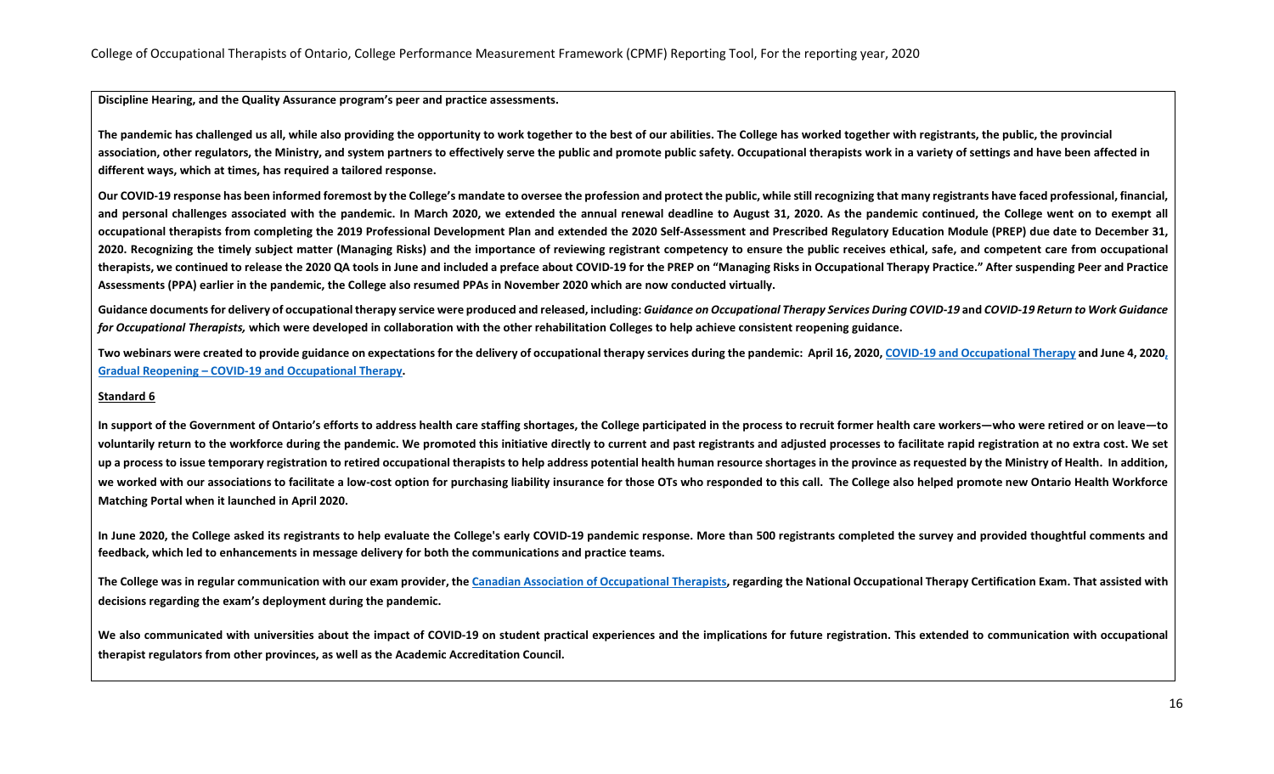**Discipline Hearing, and the Quality Assurance program's peer and practice assessments.** 

**The pandemic has challenged us all, while also providing the opportunity to work together to the best of our abilities. The College has worked together with registrants, the public, the provincial association, other regulators, the Ministry, and system partners to effectively serve the public and promote public safety. Occupational therapists work in a variety of settings and have been affected in different ways, which at times, has required a tailored response.** 

Our COVID-19 response has been informed foremost by the College's mandate to oversee the profession and protect the public, while still recognizing that many registrants have faced professional, financial, **and personal challenges associated with the pandemic. In March 2020, we extended the annual renewal deadline to August 31, 2020. As the pandemic continued, the College went on to exempt all occupational therapists from completing the 2019 Professional Development Plan and extended the 2020 Self-Assessment and Prescribed Regulatory Education Module (PREP) due date to December 31, 2020. Recognizing the timely subject matter (Managing Risks) and the importance of reviewing registrant competency to ensure the public receives ethical, safe, and competent care from occupational therapists, we continued to release the 2020 QA tools in June and included a preface about COVID-19 for the PREP on "Managing Risks in Occupational Therapy Practice." After suspending Peer and Practice Assessments (PPA) earlier in the pandemic, the College also resumed PPAs in November 2020 which are now conducted virtually.**

Guidance documents for delivery of occupational therapy service were produced and released, including: Guidance on Occupational Therapy Services During COVID-19 and COVID-19 Return to Work Guidance for Occupational Therapists, which were developed in collaboration with the other rehabilitation Colleges to help achieve consistent reopening guidance.

Two webinars were created to provide guidance on expectations for the delivery of occupational therapy services during the pandemic: April 16, 2020, COVID-19 and [Occupational](https://youtu.be/9zr6yFgp2w8) Therapy and June 4, 202[0,](https://youtu.be/VNs3WuxsjsI) **Gradual Reopening – COVID-19 and [Occupational](https://youtu.be/VNs3WuxsjsI) Therapy.**

#### **Standard 6**

In support of the Government of Ontario's efforts to address health care staffing shortages, the College participated in the process to recruit former health care workers—who were retired or on leave—to voluntarily return to the workforce during the pandemic. We promoted this initiative directly to current and past registrants and adjusted processes to facilitate rapid registration at no extra cost. We set up a process to issue temporary registration to retired occupational therapists to help address potential health human resource shortages in the province as requested by the Ministry of Health. In addition, we worked with our associations to facilitate a low-cost option for purchasing liability insurance for those OTs who responded to this call. The College also helped promote new Ontario Health Workforce **Matching Portal when it launched in April 2020.**

**In June 2020, the College asked its registrants to help evaluate the College's early COVID-19 pandemic response. More than 500 registrants completed the survey and provided thoughtful comments and feedback, which led to enhancements in message delivery for both the communications and practice teams.** 

The College was in regular communication with our exam provider, the Canadian Association of [Occupational](https://www.caot.ca/) Therapists, regarding the National Occupational Therapy Certification Exam. That assisted with **decisions regarding the exam's deployment during the pandemic.**

We also communicated with universities about the impact of COVID-19 on student practical experiences and the implications for future registration. This extended to communication with occupational **therapist regulators from other provinces, as well as the Academic Accreditation Council.**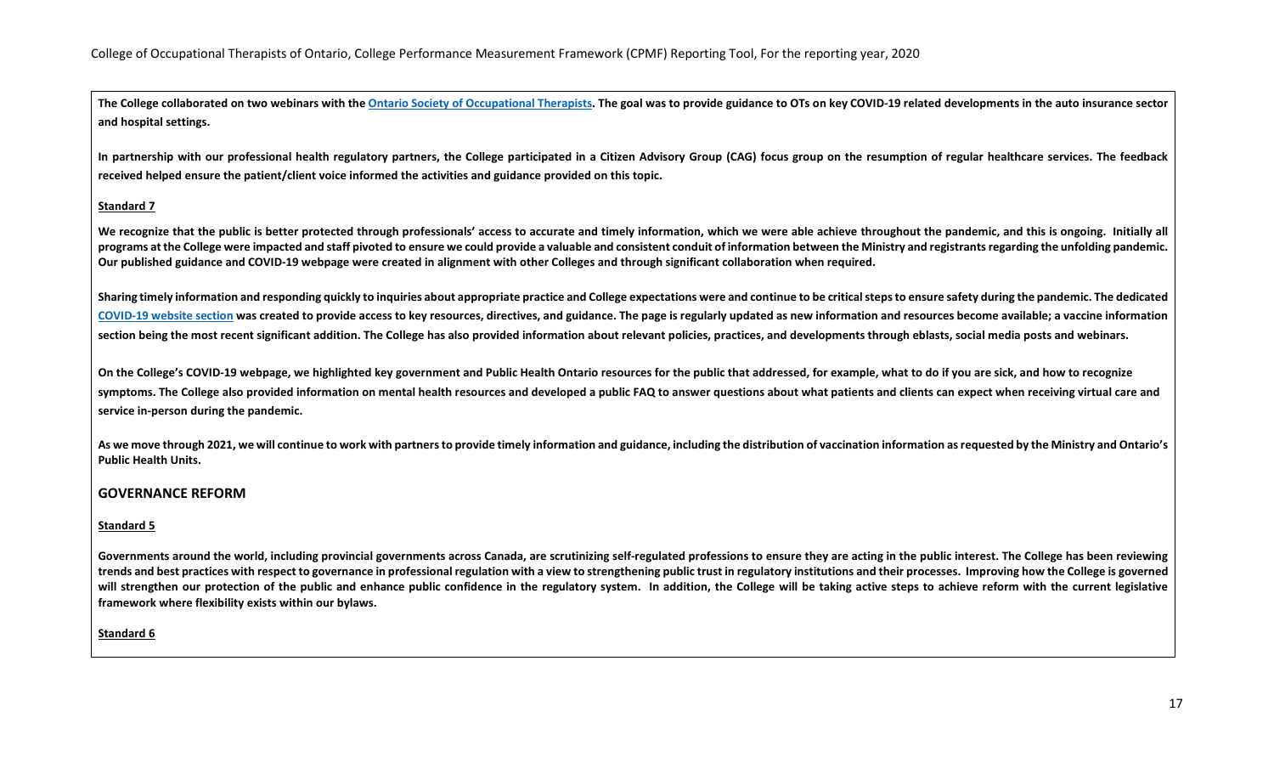The College collaborated on two webinars with the Ontario Society of [Occupational](https://www.osot.on.ca/) Therapists. The goal was to provide guidance to OTs on key COVID-19 related developments in the auto insurance sector **and hospital settings.**

In partnership with our professional health regulatory partners, the College participated in a Citizen Advisory Group (CAG) focus group on the resumption of regular healthcare services. The feedback **received helped ensure the patient/client voice informed the activities and guidance provided on this topic.**

### **Standard 7**

We recognize that the public is better protected through professionals' access to accurate and timely information, which we were able achieve throughout the pandemic, and this is ongoing. Initially all **programs at the College were impacted and staff pivoted to ensure we could provide a valuable and consistent conduit of information between the Ministry and registrants regarding the unfolding pandemic. Our published guidance and COVID-19 webpage were created in alignment with other Colleges and through significant collaboration when required.** 

Sharing timely information and responding quickly to inquiries about appropriate practice and College expectations were and continue to be critical steps to ensure safety during the pandemic. The dedicated [COVID-19](https://www.coto.org/you-and-your-ot/information-on-covid-19) website section was created to provide access to key resources, directives, and guidance. The page is regularly updated as new information and resources become available; a vaccine information section being the most recent significant addition. The College has also provided information about relevant policies, practices, and developments through eblasts, social media posts and webinars.

On the College's COVID-19 webpage, we highlighted key government and Public Health Ontario resources for the public that addressed, for example, what to do if you are sick, and how to recognize symptoms. The College also provided information on mental health resources and developed a public FAQ to answer questions about what patients and clients can expect when receiving virtual care and **service in-person during the pandemic.**

As we move through 2021, we will continue to work with partners to provide timely information and guidance, including the distribution of vaccination information as requested by the Ministry and Ontario's **Public Health Units.**

### **GOVERNANCE REFORM**

#### **Standard 5**

Governments around the world, including provincial governments across Canada, are scrutinizing self-regulated professions to ensure they are acting in the public interest. The College has been reviewing **trends and best practices with respect to governance in professional regulation with a view to strengthening public trust in regulatory institutions and their processes. Improving how the College is governed will strengthen our protection of the public and enhance public confidence in the regulatory system. In addition, the College will be taking active steps to achieve reform with the current legislative framework where flexibility exists within our bylaws.** 

### **Standard 6**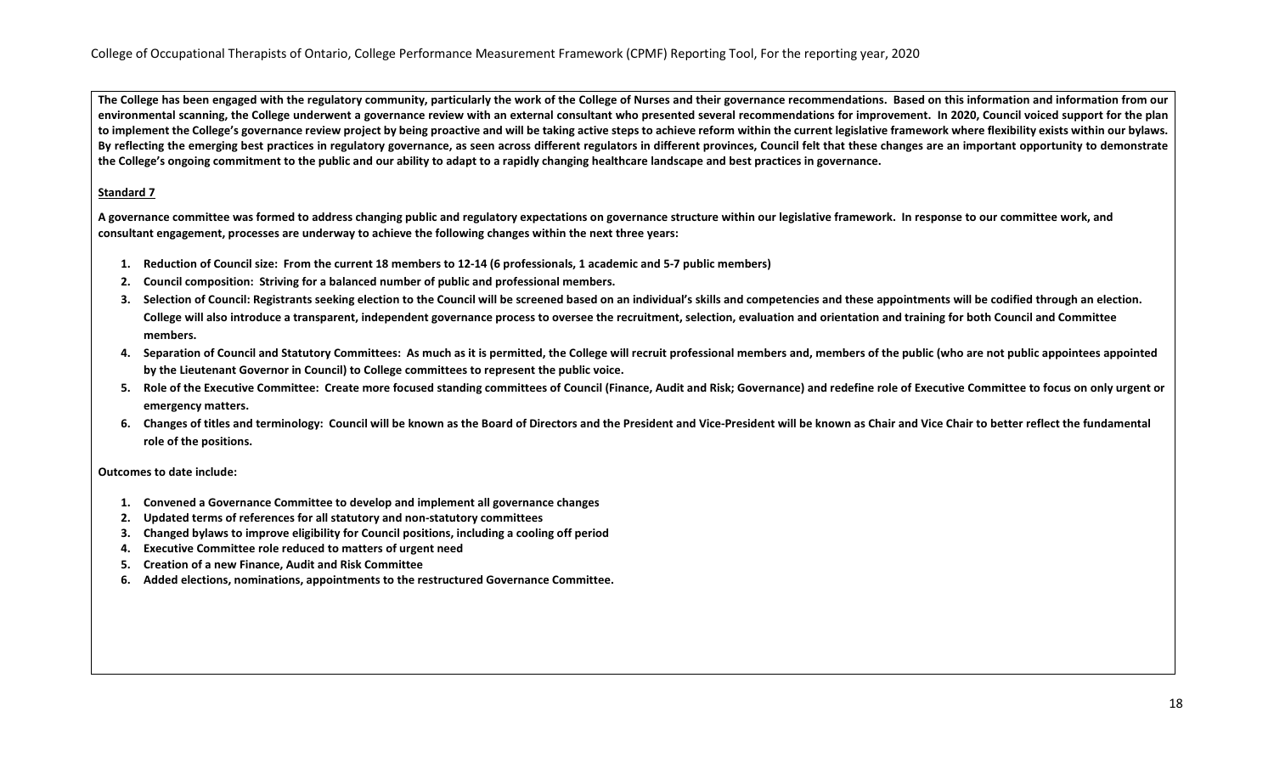**The College has been engaged with the regulatory community, particularly the work of the College of Nurses and their governance recommendations. Based on this information and information from our environmental scanning, the College underwent a governance review with an external consultant who presented several recommendations for improvement. In 2020, Council voiced support for the plan to implement the College's governance review project by being proactive and will be taking active steps to achieve reform within the current legislative framework where flexibility exists within our bylaws. By reflecting the emerging best practices in regulatory governance, as seen across different regulators in different provinces, Council felt that these changes are an important opportunity to demonstrate the College's ongoing commitment to the public and our ability to adapt to a rapidly changing healthcare landscape and best practices in governance.**

### **Standard 7**

**A governance committee was formed to address changing public and regulatory expectations on governance structure within our legislative framework. In response to our committee work, and consultant engagement, processes are underway to achieve the following changes within the next three years:**

- **1. Reduction of Council size: From the current 18 members to 12-14 (6 professionals, 1 academic and 5-7 public members)**
- **2. Council composition: Striving for a balanced number of public and professional members.**
- **3. Selection of Council: Registrants seeking election to the Council will be screened based on an individual's skills and competencies and these appointments will be codified through an election. College will also introduce a transparent, independent governance process to oversee the recruitment, selection, evaluation and orientation and training for both Council and Committee members.**
- **4. Separation of Council and Statutory Committees: As much as it is permitted, the College will recruit professional members and, members of the public (who are not public appointees appointed by the Lieutenant Governor in Council) to College committees to represent the public voice.**
- **5. Role of the Executive Committee: Create more focused standing committees of Council (Finance, Audit and Risk; Governance) and redefine role of Executive Committee to focus on only urgent or emergency matters.**
- **6. Changes of titles and terminology: Council will be known as the Board of Directors and the President and Vice-President will be known as Chair and Vice Chair to better reflect the fundamental role of the positions.**

**Outcomes to date include:**

- **1. Convened a Governance Committee to develop and implement all governance changes**
- **2. Updated terms of references for all statutory and non-statutory committees**
- **3. Changed bylaws to improve eligibility for Council positions, including a cooling off period**
- **4. Executive Committee role reduced to matters of urgent need**
- **5. Creation of a new Finance, Audit and Risk Committee**
- **6. Added elections, nominations, appointments to the restructured Governance Committee.**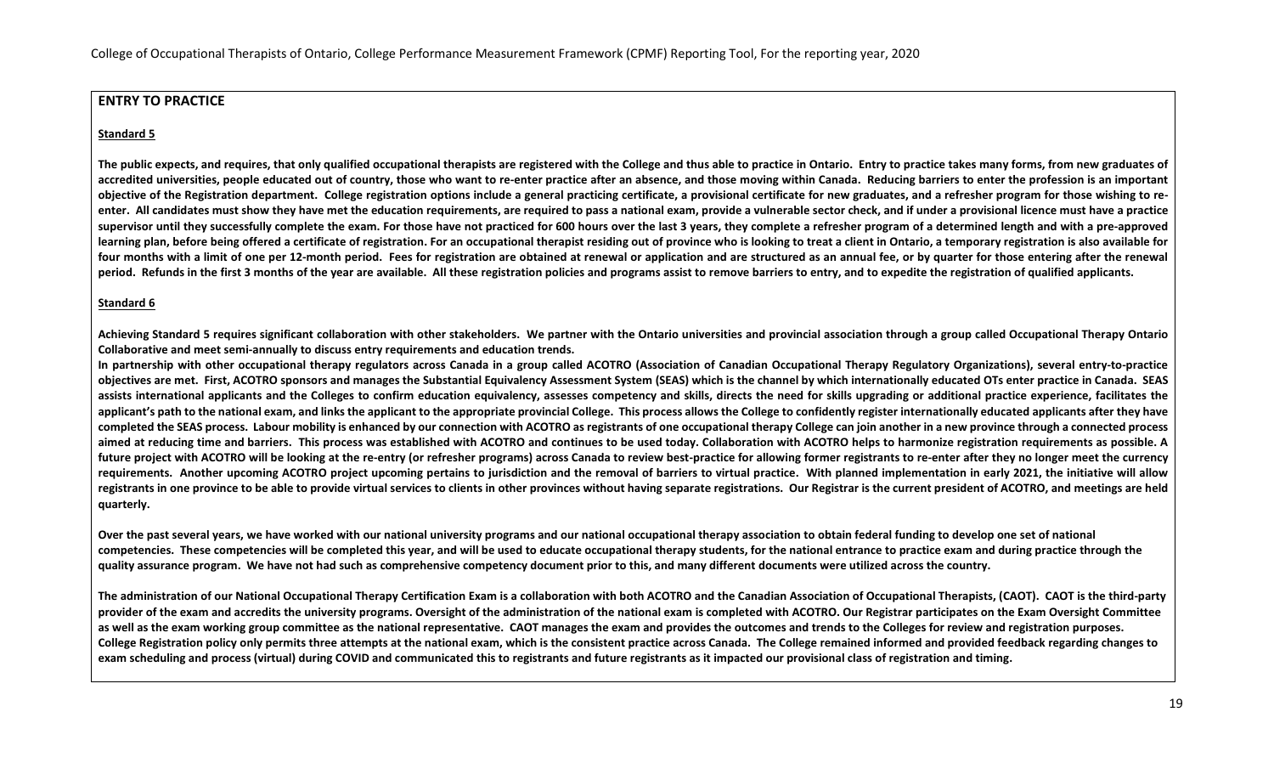# **ENTRY TO PRACTICE**

# **Standard 5**

**The public expects, and requires, that only qualified occupational therapists are registered with the College and thus able to practice in Ontario. Entry to practice takes many forms, from new graduates of accredited universities, people educated out of country, those who want to re-enter practice after an absence, and those moving within Canada. Reducing barriers to enter the profession is an important objective of the Registration department. College registration options include a general practicing certificate, a provisional certificate for new graduates, and a refresher program for those wishing to reenter. All candidates must show they have met the education requirements, are required to pass a national exam, provide a vulnerable sector check, and if under a provisional licence must have a practice**  supervisor until they successfully complete the exam. For those have not practiced for 600 hours over the last 3 years, they complete a refresher program of a determined length and with a pre-approved learning plan, before being offered a certificate of registration. For an occupational therapist residing out of province who is looking to treat a client in Ontario, a temporary registration is also available for four months with a limit of one per 12-month period. Fees for registration are obtained at renewal or application and are structured as an annual fee, or by quarter for those entering after the renewal **period. Refunds in the first 3 months of the year are available. All these registration policies and programs assist to remove barriers to entry, and to expedite the registration of qualified applicants.**

# **Standard 6**

**Achieving Standard 5 requires significant collaboration with other stakeholders. We partner with the Ontario universities and provincial association through a group called Occupational Therapy Ontario Collaborative and meet semi-annually to discuss entry requirements and education trends.** 

**In partnership with other occupational therapy regulators across Canada in a group called ACOTRO (Association of Canadian Occupational Therapy Regulatory Organizations), several entry-to-practice objectives are met. First, ACOTRO sponsors and manages the Substantial Equivalency Assessment System (SEAS) which is the channel by which internationally educated OTs enter practice in Canada. SEAS assists international applicants and the Colleges to confirm education equivalency, assesses competency and skills, directs the need for skills upgrading or additional practice experience, facilitates the**  applicant's path to the national exam, and links the applicant to the appropriate provincial College. This process allows the College to confidently register internationally educated applicants after they have **completed the SEAS process. Labour mobility is enhanced by our connection with ACOTRO as registrants of one occupational therapy College can join another in a new province through a connected process aimed at reducing time and barriers. This process was established with ACOTRO and continues to be used today. Collaboration with ACOTRO helps to harmonize registration requirements as possible. A future project with ACOTRO will be looking at the re-entry (or refresher programs) across Canada to review best-practice for allowing former registrants to re-enter after they no longer meet the currency requirements. Another upcoming ACOTRO project upcoming pertains to jurisdiction and the removal of barriers to virtual practice. With planned implementation in early 2021, the initiative will allow registrants in one province to be able to provide virtual services to clients in other provinces without having separate registrations. Our Registrar is the current president of ACOTRO, and meetings are held quarterly.** 

**Over the past several years, we have worked with our national university programs and our national occupational therapy association to obtain federal funding to develop one set of national competencies. These competencies will be completed this year, and will be used to educate occupational therapy students, for the national entrance to practice exam and during practice through the quality assurance program. We have not had such as comprehensive competency document prior to this, and many different documents were utilized across the country.**

**The administration of our National Occupational Therapy Certification Exam is a collaboration with both ACOTRO and the Canadian Association of Occupational Therapists, (CAOT). CAOT is the third-party provider of the exam and accredits the university programs. Oversight of the administration of the national exam is completed with ACOTRO. Our Registrar participates on the Exam Oversight Committee as well as the exam working group committee as the national representative. CAOT manages the exam and provides the outcomes and trends to the Colleges for review and registration purposes. College Registration policy only permits three attempts at the national exam, which is the consistent practice across Canada. The College remained informed and provided feedback regarding changes to exam scheduling and process (virtual) during COVID and communicated this to registrants and future registrants as it impacted our provisional class of registration and timing.**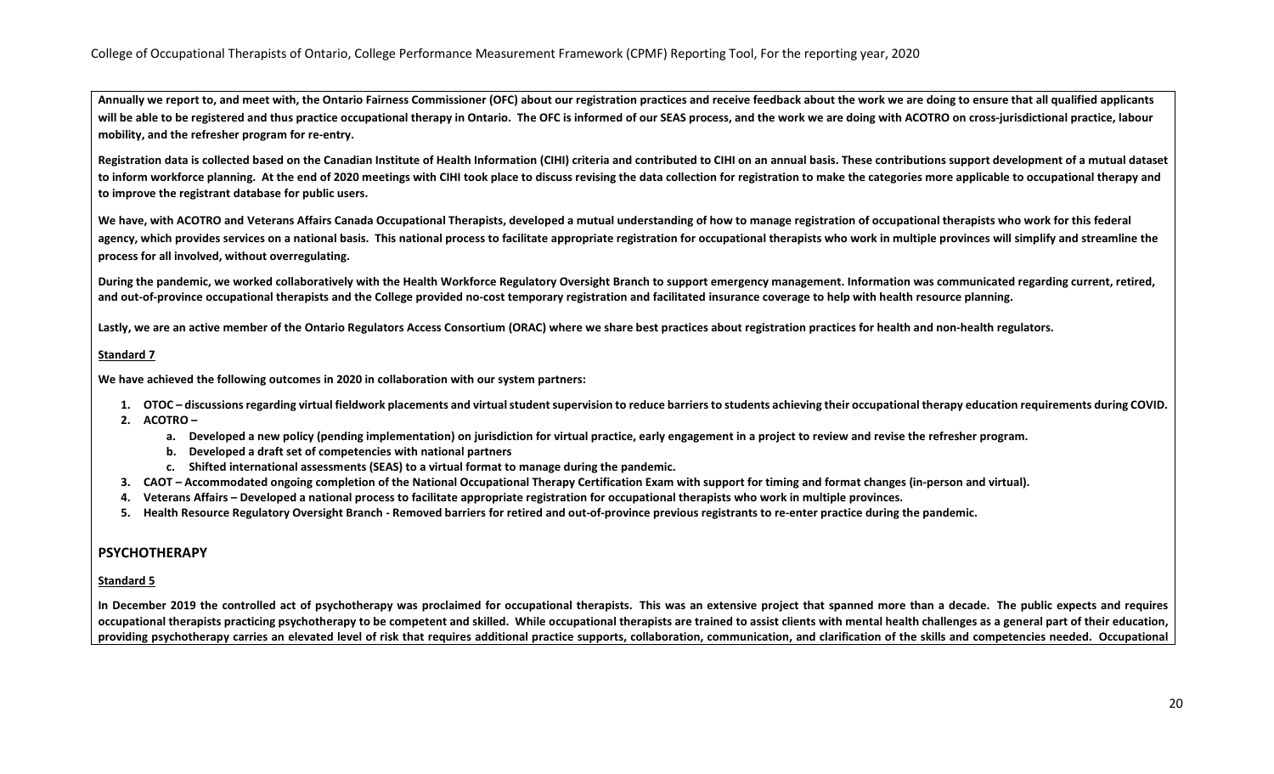**Annually we report to, and meet with, the Ontario Fairness Commissioner (OFC) about our registration practices and receive feedback about the work we are doing to ensure that all qualified applicants**  will be able to be registered and thus practice occupational therapy in Ontario. The OFC is informed of our SEAS process, and the work we are doing with ACOTRO on cross-jurisdictional practice, labour **mobility, and the refresher program for re-entry.**

Registration data is collected based on the Canadian Institute of Health Information (CIHI) criteria and contributed to CIHI on an annual basis. These contributions support development of a mutual dataset **to inform workforce planning. At the end of 2020 meetings with CIHI took place to discuss revising the data collection for registration to make the categories more applicable to occupational therapy and to improve the registrant database for public users.**

**We have, with ACOTRO and Veterans Affairs Canada Occupational Therapists, developed a mutual understanding of how to manage registration of occupational therapists who work for this federal**  agency, which provides services on a national basis. This national process to facilitate appropriate registration for occupational therapists who work in multiple provinces will simplify and streamline the **process for all involved, without overregulating.**

**During the pandemic, we worked collaboratively with the Health Workforce Regulatory Oversight Branch to support emergency management. Information was communicated regarding current, retired, and out-of-province occupational therapists and the College provided no-cost temporary registration and facilitated insurance coverage to help with health resource planning.** 

Lastly, we are an active member of the Ontario Regulators Access Consortium (ORAC) where we share best practices about registration practices for health and non-health regulators.

#### **Standard 7**

**We have achieved the following outcomes in 2020 in collaboration with our system partners:**

**1. OTOC – discussions regarding virtual fieldwork placements and virtual student supervision to reduce barriers to students achieving their occupational therapy education requirements during COVID.** 

- **2. ACOTRO –**
	- **a. Developed a new policy (pending implementation) on jurisdiction for virtual practice, early engagement in a project to review and revise the refresher program.**
	- **b. Developed a draft set of competencies with national partners**
	- **c. Shifted international assessments (SEAS) to a virtual format to manage during the pandemic.**
- **3. CAOT – Accommodated ongoing completion of the National Occupational Therapy Certification Exam with support for timing and format changes (in-person and virtual).**
- **4. Veterans Affairs – Developed a national process to facilitate appropriate registration for occupational therapists who work in multiple provinces.**
- **5. Health Resource Regulatory Oversight Branch - Removed barriers for retired and out-of-province previous registrants to re-enter practice during the pandemic.**

#### **PSYCHOTHERAPY**

#### **Standard 5**

**In December 2019 the controlled act of psychotherapy was proclaimed for occupational therapists. This was an extensive project that spanned more than a decade. The public expects and requires occupational therapists practicing psychotherapy to be competent and skilled. While occupational therapists are trained to assist clients with mental health challenges as a general part of their education,**  providing psychotherapy carries an elevated level of risk that requires additional practice supports, collaboration, communication, and clarification of the skills and competencies needed. Occupational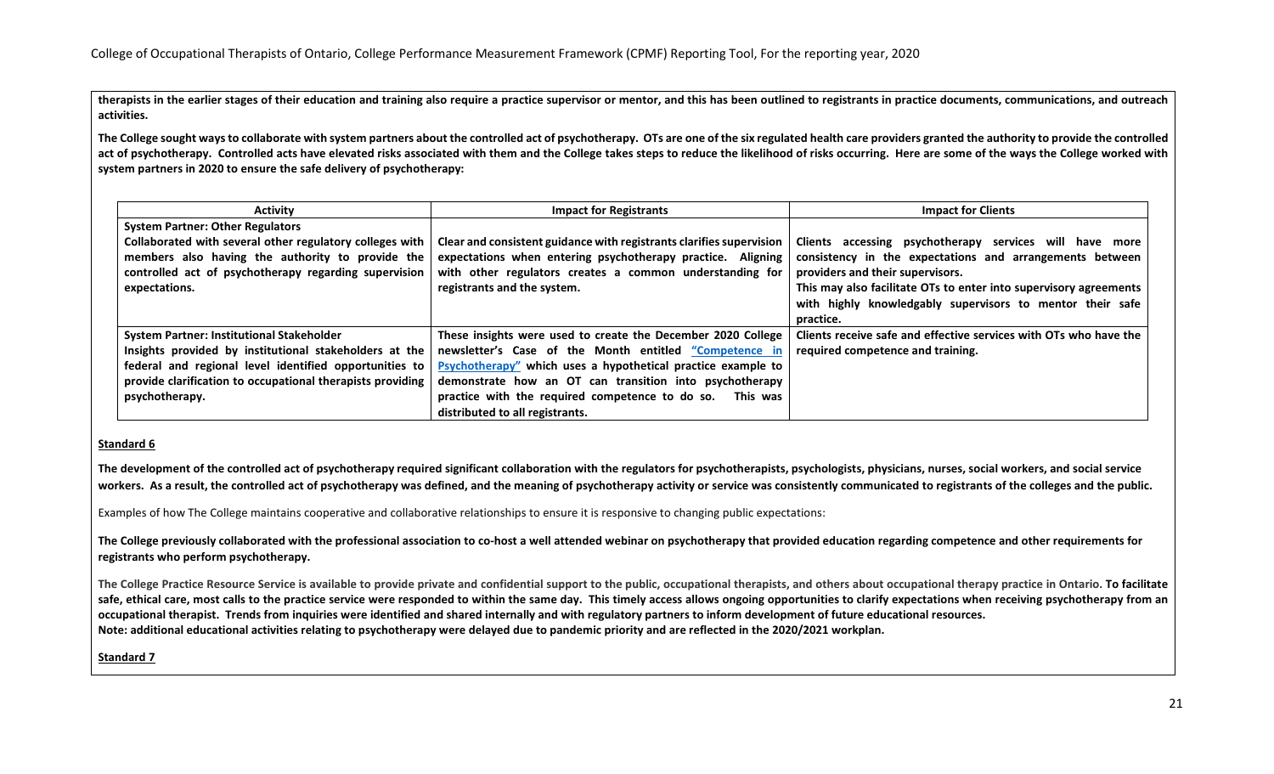**therapists in the earlier stages of their education and training also require a practice supervisor or mentor, and this has been outlined to registrants in practice documents, communications, and outreach activities.**

**The College sought ways to collaborate with system partners about the controlled act of psychotherapy. OTs are one of the six regulated health care providers granted the authority to provide the controlled**  act of psychotherapy. Controlled acts have elevated risks associated with them and the College takes steps to reduce the likelihood of risks occurring. Here are some of the ways the College worked with **system partners in 2020 to ensure the safe delivery of psychotherapy:** 

| <b>Activity</b>                                            | <b>Impact for Registrants</b>                                        | <b>Impact for Clients</b>                                         |
|------------------------------------------------------------|----------------------------------------------------------------------|-------------------------------------------------------------------|
| <b>System Partner: Other Regulators</b>                    |                                                                      |                                                                   |
| Collaborated with several other regulatory colleges with   | Clear and consistent guidance with registrants clarifies supervision | Clients accessing psychotherapy services will have more           |
| members also having the authority to provide the           | expectations when entering psychotherapy practice. Aligning          | consistency in the expectations and arrangements between          |
| controlled act of psychotherapy regarding supervision      | with other regulators creates a common understanding for             | providers and their supervisors.                                  |
| expectations.                                              | registrants and the system.                                          | This may also facilitate OTs to enter into supervisory agreements |
|                                                            |                                                                      | with highly knowledgably supervisors to mentor their safe         |
|                                                            |                                                                      | practice.                                                         |
| <b>System Partner: Institutional Stakeholder</b>           | These insights were used to create the December 2020 College         | Clients receive safe and effective services with OTs who have the |
| Insights provided by institutional stakeholders at the     | newsletter's Case of the Month entitled "Competence in               | required competence and training.                                 |
| federal and regional level identified opportunities to     | Psychotherapy" which uses a hypothetical practice example to         |                                                                   |
| provide clarification to occupational therapists providing | demonstrate how an OT can transition into psychotherapy              |                                                                   |
| psychotherapy.                                             | practice with the required competence to do so. This was             |                                                                   |
|                                                            | distributed to all registrants.                                      |                                                                   |

#### **Standard 6**

**The development of the controlled act of psychotherapy required significant collaboration with the regulators for psychotherapists, psychologists, physicians, nurses, social workers, and social service**  workers. As a result, the controlled act of psychotherapy was defined, and the meaning of psychotherapy activity or service was consistently communicated to registrants of the colleges and the public.

Examples of how The College maintains cooperative and collaborative relationships to ensure it is responsive to changing public expectations:

**The College previously collaborated with the professional association to co-host a well attended webinar on psychotherapy that provided education regarding competence and other requirements for registrants who perform psychotherapy.** 

**The College Practice Resource Service is available to provide private and confidential support to the public, occupational therapists, and others about occupational therapy practice in Ontario. To facilitate**  safe, ethical care, most calls to the practice service were responded to within the same day. This timely access allows ongoing opportunities to clarify expectations when receiving psychotherapy from an **occupational therapist. Trends from inquiries were identified and shared internally and with regulatory partners to inform development of future educational resources. Note: additional educational activities relating to psychotherapy were delayed due to pandemic priority and are reflected in the 2020/2021 workplan.** 

**Standard 7**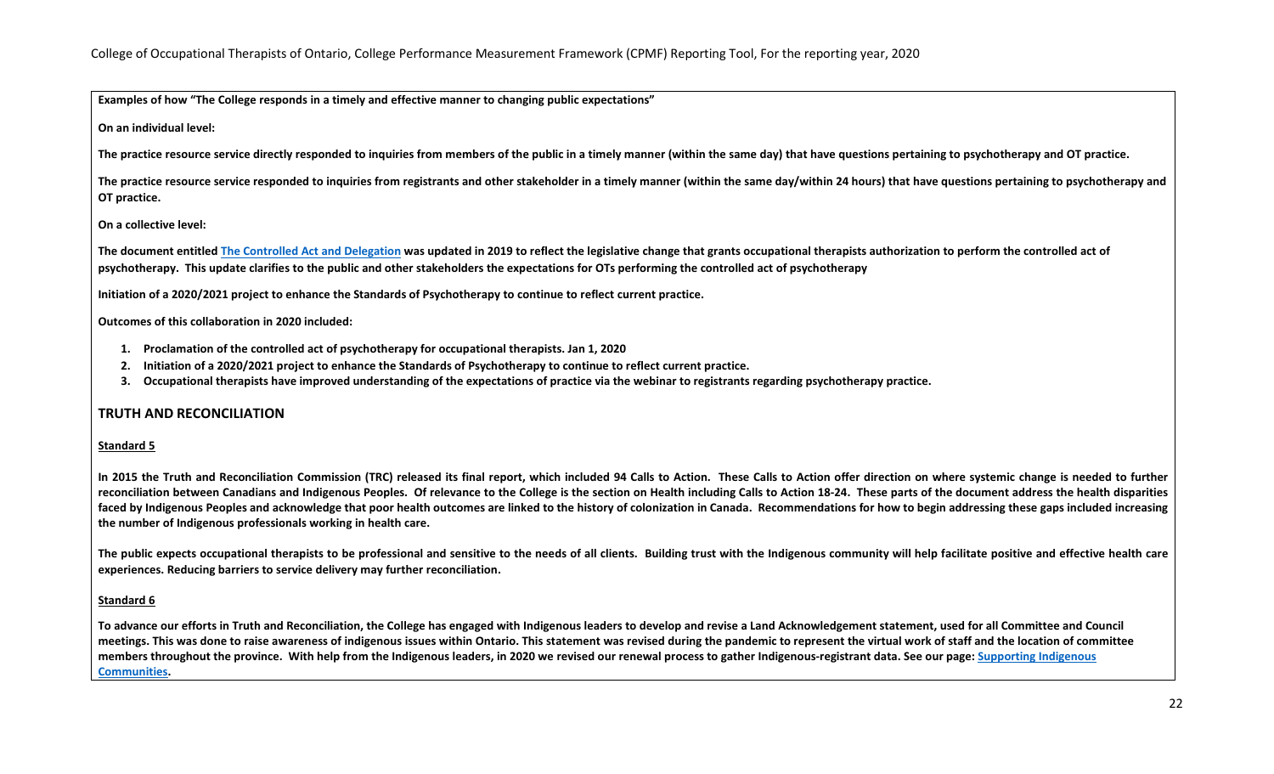**Examples of how "The College responds in a timely and effective manner to changing public expectations"**

**On an individual level:**

**The practice resource service directly responded to inquiries from members of the public in a timely manner (within the same day) that have questions pertaining to psychotherapy and OT practice.**

**The practice resource service responded to inquiries from registrants and other stakeholder in a timely manner (within the same day/within 24 hours) that have questions pertaining to psychotherapy and OT practice.**

#### **On a collective level:**

The document entitle[d The Controlled Act and Delegation](https://www.coto.org/resources/guide-to-controlled-acts-and-delegation) was updated in 2019 to reflect the legislative change that grants occupational therapists authorization to perform the controlled act of **psychotherapy. This update clarifies to the public and other stakeholders the expectations for OTs performing the controlled act of psychotherapy** 

**Initiation of a 2020/2021 project to enhance the Standards of Psychotherapy to continue to reflect current practice.**

#### **Outcomes of this collaboration in 2020 included:**

- **1. Proclamation of the controlled act of psychotherapy for occupational therapists. Jan 1, 2020**
- **2. Initiation of a 2020/2021 project to enhance the Standards of Psychotherapy to continue to reflect current practice.**
- **3. Occupational therapists have improved understanding of the expectations of practice via the webinar to registrants regarding psychotherapy practice.**

#### **TRUTH AND RECONCILIATION**

#### **Standard 5**

**In 2015 the Truth and Reconciliation Commission (TRC) released its final report, which included 94 Calls to Action. These Calls to Action offer direction on where systemic change is needed to further reconciliation between Canadians and Indigenous Peoples. Of relevance to the College is the section on Health including Calls to Action 18-24. These parts of the document address the health disparities faced by Indigenous Peoples and acknowledge that poor health outcomes are linked to the history of colonization in Canada. Recommendations for how to begin addressing these gaps included increasing the number of Indigenous professionals working in health care.**

**The public expects occupational therapists to be professional and sensitive to the needs of all clients. Building trust with the Indigenous community will help facilitate positive and effective health care experiences. Reducing barriers to service delivery may further reconciliation.** 

#### **Standard 6**

**To advance our efforts in Truth and Reconciliation, the College has engaged with Indigenous leaders to develop and revise a Land Acknowledgement statement, used for all Committee and Council meetings. This was done to raise awareness of indigenous issues within Ontario. This statement was revised during the pandemic to represent the virtual work of staff and the location of committee members throughout the province. With help from the Indigenous leaders, in 2020 we revised our renewal process to gather Indigenous-registrant data. See our page: [Supporting Indigenous](https://www.coto.org/memberservices/supporting-indigenous-communities)  [Communities.](https://www.coto.org/memberservices/supporting-indigenous-communities)**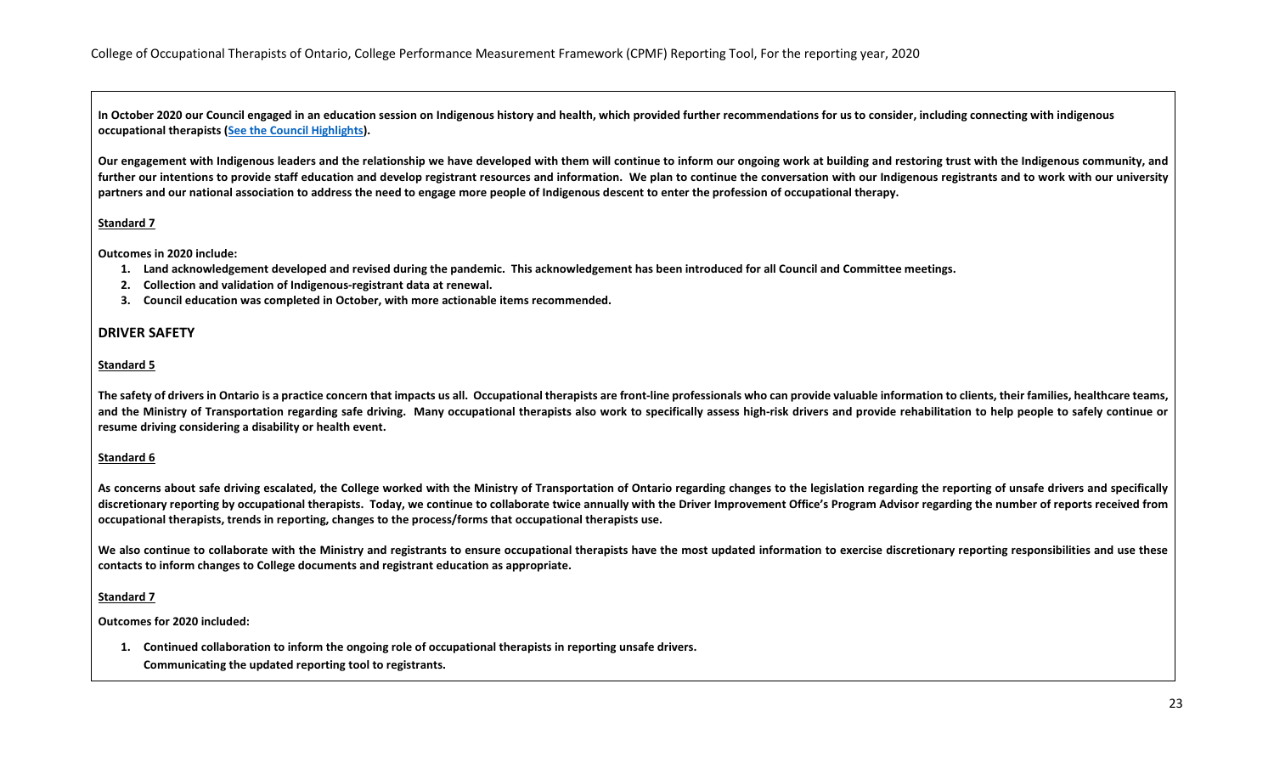**In October 2020 our Council engaged in an education session on Indigenous history and health, which provided further recommendations for us to consider, including connecting with indigenous occupational therapists [\(See the Council Highlights\)](https://www.coto.org/news/october-29-2020-council-highlights).**

**Our engagement with Indigenous leaders and the relationship we have developed with them will continue to inform our ongoing work at building and restoring trust with the Indigenous community, and further our intentions to provide staff education and develop registrant resources and information. We plan to continue the conversation with our Indigenous registrants and to work with our university partners and our national association to address the need to engage more people of Indigenous descent to enter the profession of occupational therapy.**

### **Standard 7**

**Outcomes in 2020 include:**

- **1. Land acknowledgement developed and revised during the pandemic. This acknowledgement has been introduced for all Council and Committee meetings.**
- **2. Collection and validation of Indigenous-registrant data at renewal.**
- **3. Council education was completed in October, with more actionable items recommended.**

#### **DRIVER SAFETY**

#### **Standard 5**

The safety of drivers in Ontario is a practice concern that impacts us all. Occupational therapists are front-line professionals who can provide valuable information to clients, their families, healthcare teams, **and the Ministry of Transportation regarding safe driving. Many occupational therapists also work to specifically assess high-risk drivers and provide rehabilitation to help people to safely continue or resume driving considering a disability or health event.** 

#### **Standard 6**

**As concerns about safe driving escalated, the College worked with the Ministry of Transportation of Ontario regarding changes to the legislation regarding the reporting of unsafe drivers and specifically discretionary reporting by occupational therapists. Today, we continue to collaborate twice annually with the Driver Improvement Office's Program Advisor regarding the number of reports received from occupational therapists, trends in reporting, changes to the process/forms that occupational therapists use.**

We also continue to collaborate with the Ministry and registrants to ensure occupational therapists have the most updated information to exercise discretionary reporting responsibilities and use these **contacts to inform changes to College documents and registrant education as appropriate.**

#### **Standard 7**

**Outcomes for 2020 included:**

**1. Continued collaboration to inform the ongoing role of occupational therapists in reporting unsafe drivers.** *2.* **Communicating the updated reporting tool to registrants.**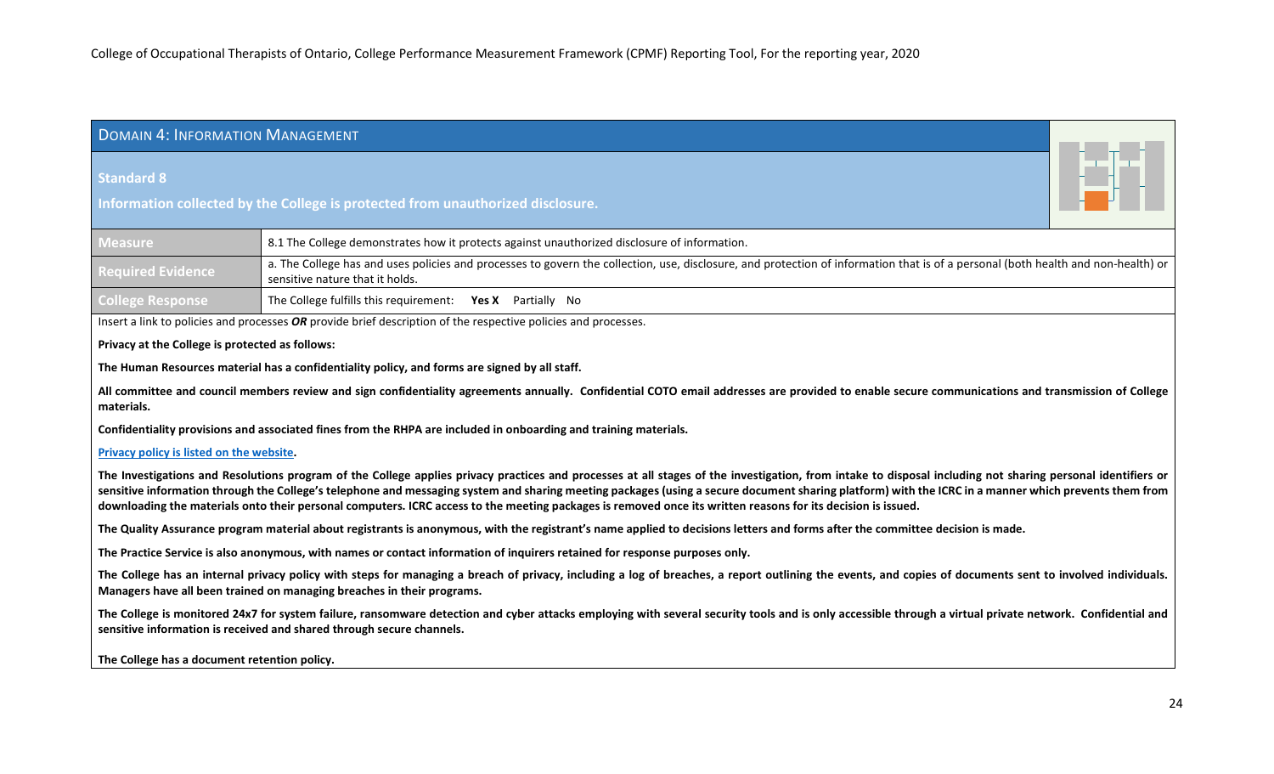# <span id="page-23-0"></span>DOMAIN 4: INFORMATION MANAGEMENT

### **Standard 8**

**Information collected by the College is protected from unauthorized disclosure.**

| <b>Measure</b>           | 8.1 The College demonstrates how it protects against unauthorized disclosure of information.                                                                                                                         |
|--------------------------|----------------------------------------------------------------------------------------------------------------------------------------------------------------------------------------------------------------------|
| <b>Required Evidence</b> | a. The College has and uses policies and processes to govern the collection, use, disclosure, and protection of information that is of a personal (both health and non-health) or<br>sensitive nature that it holds. |
| <b>College Response</b>  | The College fulfills this requirement: Yes X Partially No                                                                                                                                                            |

Insert a link to policies and processes *OR* provide brief description of the respective policies and processes.

#### **Privacy at the College is protected as follows:**

**The Human Resources material has a confidentiality policy, and forms are signed by all staff.**

**All committee and council members review and sign confidentiality agreements annually. Confidential COTO email addresses are provided to enable secure communications and transmission of College materials.**

**Confidentiality provisions and associated fines from the RHPA are included in onboarding and training materials.**

#### **[Privacy policy is listed on the website.](https://www.coto.org/about/privacy-at-the-college/privacy-policy)**

The Investigations and Resolutions program of the College applies privacy practices and processes at all stages of the investigation, from intake to disposal including not sharing personal identifiers or **sensitive information through the College's telephone and messaging system and sharing meeting packages (using a secure document sharing platform) with the ICRC in a manner which prevents them from downloading the materials onto their personal computers. ICRC access to the meeting packages is removed once its written reasons for its decision is issued.** 

**The Quality Assurance program material about registrants is anonymous, with the registrant's name applied to decisions letters and forms after the committee decision is made.**

**The Practice Service is also anonymous, with names or contact information of inquirers retained for response purposes only.**

The College has an internal privacy policy with steps for managing a breach of privacy, including a log of breaches, a report outlining the events, and copies of documents sent to involved individuals. **Managers have all been trained on managing breaches in their programs.**

**The College is monitored 24x7 for system failure, ransomware detection and cyber attacks employing with several security tools and is only accessible through a virtual private network. Confidential and sensitive information is received and shared through secure channels.**

**The College has a document retention policy.**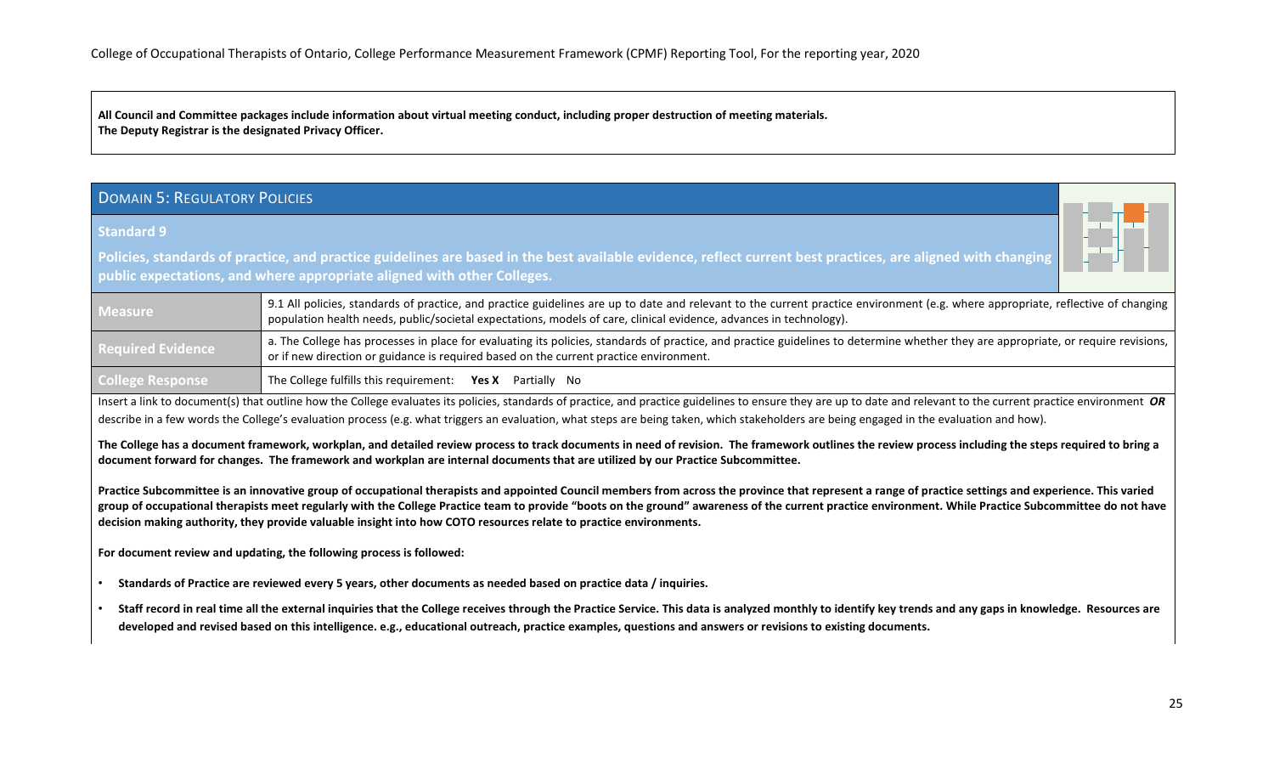**All Council and Committee packages include information about virtual meeting conduct, including proper destruction of meeting materials. The Deputy Registrar is the designated Privacy Officer.**

# <span id="page-24-0"></span>DOMAIN 5: REGULATORY POLICIES

#### **Standard 9**

**Policies, standards of practice, and practice guidelines are based in the best available evidence, reflect current best practices, are aligned with changing public expectations, and where appropriate aligned with other Colleges.**

| <b>Measure</b>           | 9.1 All policies, standards of practice, and practice guidelines are up to date and relevant to the current practice environment (e.g. where appropriate, reflective of changing<br>population health needs, public/societal expectations, models of care, clinical evidence, advances in technology). |
|--------------------------|--------------------------------------------------------------------------------------------------------------------------------------------------------------------------------------------------------------------------------------------------------------------------------------------------------|
| <b>Required Evidence</b> | a. The College has processes in place for evaluating its policies, standards of practice, and practice guidelines to determine whether they are appropriate, or require revisions,<br>or if new direction or guidance is required based on the current practice environment.                           |
| <b>College Response</b>  | The College fulfills this requirement: Yes X Partially No                                                                                                                                                                                                                                              |

Insert a link to document(s) that outline how the College evaluates its policies, standards of practice, and practice guidelines to ensure they are up to date and relevant to the current practice environment *OR* describe in a few words the College's evaluation process (e.g. what triggers an evaluation, what steps are being taken, which stakeholders are being engaged in the evaluation and how).

**The College has a document framework, workplan, and detailed review process to track documents in need of revision. The framework outlines the review process including the steps required to bring a document forward for changes. The framework and workplan are internal documents that are utilized by our Practice Subcommittee.** 

Practice Subcommittee is an innovative group of occupational therapists and appointed Council members from across the province that represent a range of practice settings and experience. This varied **group of occupational therapists meet regularly with the College Practice team to provide "boots on the ground" awareness of the current practice environment. While Practice Subcommittee do not have decision making authority, they provide valuable insight into how COTO resources relate to practice environments.** 

**For document review and updating, the following process is followed:**

- **Standards of Practice are reviewed every 5 years, other documents as needed based on practice data / inquiries.**
- **Staff record in real time all the external inquiries that the College receives through the Practice Service. This data is analyzed monthly to identify key trends and any gaps in knowledge. Resources are developed and revised based on this intelligence. e.g., educational outreach, practice examples, questions and answers or revisions to existing documents.**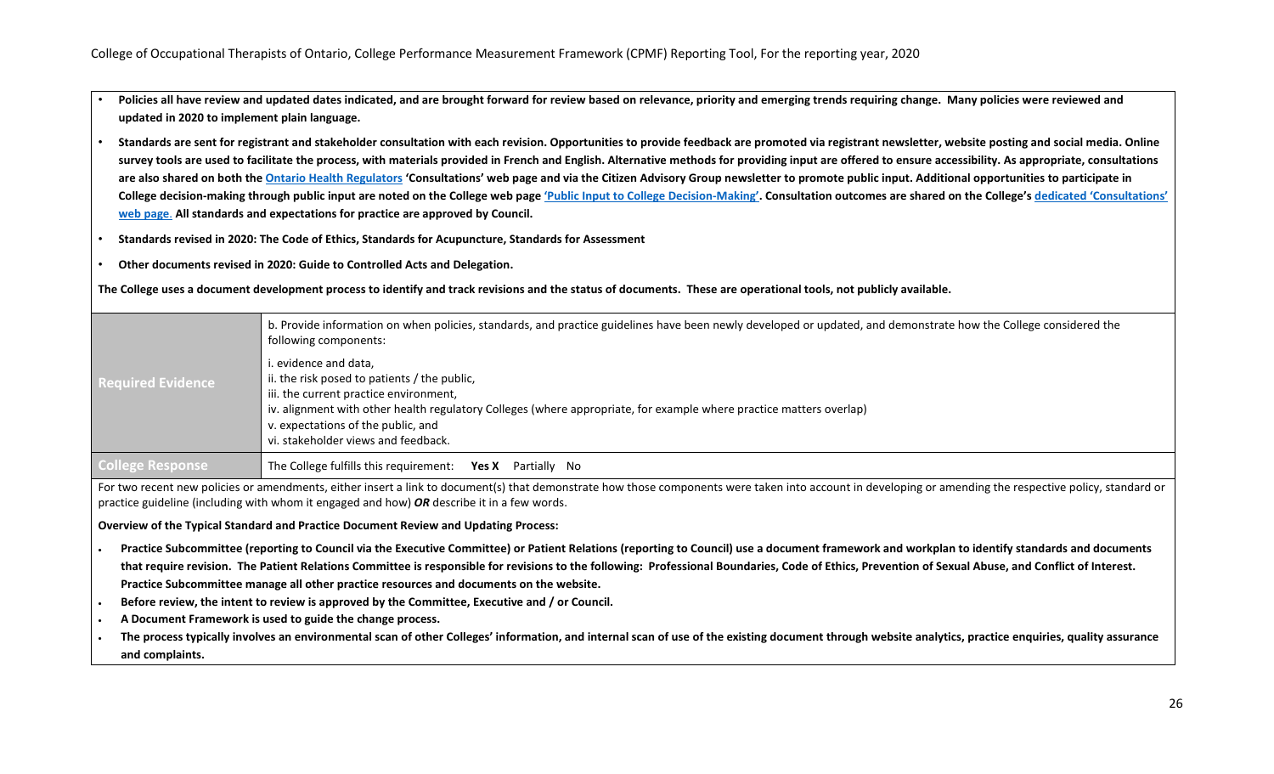- **Policies all have review and updated dates indicated, and are brought forward for review based on relevance, priority and emerging trends requiring change. Many policies were reviewed and updated in 2020 to implement plain language.**
- **Standards are sent for registrant and stakeholder consultation with each revision. Opportunities to provide feedback are promoted via registrant newsletter, website posting and social media. Online survey tools are used to facilitate the process, with materials provided in French and English. Alternative methods for providing input are offered to ensure accessibility. As appropriate, consultations are also shared on both the [Ontario Health Regulators](file://gfserver/Company/Shared/CPMF%20(JE)/Submission%202021/ontariohealthregulators.ca) 'Consultations' web page and via the Citizen Advisory Group newsletter to promote public input. Additional opportunities to participate in**  College decision-making through public input are noted on the College web page 'Public Input [to College Decision-Making'.](file://gfserver/Company/Shared/CPMF%20(JE)/Submission%202021/coto.org/you-and-your-ot/public-input) Consultation outcomes are shared on the College's dedicated 'Consultations' **[web page](https://www.coto.org/about/consultations)**. **All standards and expectations for practice are approved by Council.**
- **Standards revised in 2020: The Code of Ethics, Standards for Acupuncture, Standards for Assessment**
- **Other documents revised in 2020: Guide to Controlled Acts and Delegation.**

**The College uses a document development process to identify and track revisions and the status of documents. These are operational tools, not publicly available.**

| <b>Required Evidence</b> | b. Provide information on when policies, standards, and practice guidelines have been newly developed or updated, and demonstrate how the College considered the<br>following components: |
|--------------------------|-------------------------------------------------------------------------------------------------------------------------------------------------------------------------------------------|
|                          | i. evidence and data,                                                                                                                                                                     |
|                          | ii. the risk posed to patients / the public,<br>iii. the current practice environment,                                                                                                    |
|                          | iv. alignment with other health regulatory Colleges (where appropriate, for example where practice matters overlap)                                                                       |
|                          | v. expectations of the public, and                                                                                                                                                        |
|                          | vi. stakeholder views and feedback.                                                                                                                                                       |
| <b>College Response</b>  | The College fulfills this requirement: <b>Yes X</b> Partially No                                                                                                                          |

For two recent new policies or amendments, either insert a link to document(s) that demonstrate how those components were taken into account in developing or amending the respective policy, standard or practice guideline (including with whom it engaged and how) *OR* describe it in a few words.

**Overview of the Typical Standard and Practice Document Review and Updating Process:** 

- **Practice Subcommittee (reporting to Council via the Executive Committee) or Patient Relations (reporting to Council) use a document framework and workplan to identify standards and documents that require revision. The Patient Relations Committee is responsible for revisions to the following: Professional Boundaries, Code of Ethics, Prevention of Sexual Abuse, and Conflict of Interest. Practice Subcommittee manage all other practice resources and documents on the website.**
- **Before review, the intent to review is approved by the Committee, Executive and / or Council.**
- **A Document Framework is used to guide the change process.**
- **The process typically involves an environmental scan of other Colleges' information, and internal scan of use of the existing document through website analytics, practice enquiries, quality assurance and complaints.**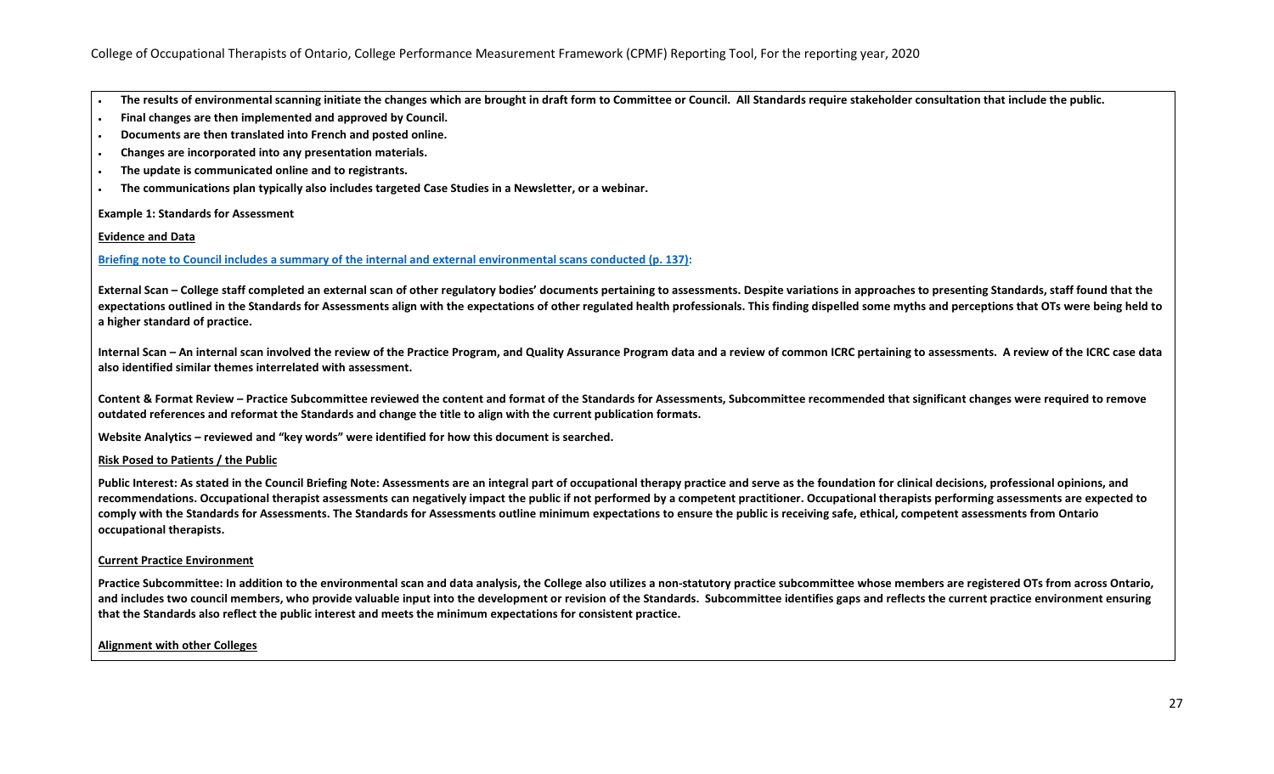- **The results of environmental scanning initiate the changes which are brought in draft form to Committee or Council. All Standards require stakeholder consultation that include the public.**
- **Final changes are then implemented and approved by Council.**
- **Documents are then translated into French and posted online.**
- **Changes are incorporated into any presentation materials.**
- **The update is communicated online and to registrants.**
- **The communications plan typically also includes targeted Case Studies in a Newsletter, or a webinar.**

#### **Example 1: Standards for Assessment**

#### **Evidence and Data**

#### **[Briefing note to Council includes a summary of the internal and external environmental scans conducted](https://www.coto.org/docs/default-source/council-meeting-materials/council-package---march-26-2020.pdf?sfvrsn=3213134d_2) (p. 137):**

**External Scan – College staff completed an external scan of other regulatory bodies' documents pertaining to assessments. Despite variations in approaches to presenting Standards, staff found that the expectations outlined in the Standards for Assessments align with the expectations of other regulated health professionals. This finding dispelled some myths and perceptions that OTs were being held to a higher standard of practice.**

**Internal Scan – An internal scan involved the review of the Practice Program, and Quality Assurance Program data and a review of common ICRC pertaining to assessments. A review of the ICRC case data also identified similar themes interrelated with assessment.**

**Content & Format Review – Practice Subcommittee reviewed the content and format of the Standards for Assessments, Subcommittee recommended that significant changes were required to remove outdated references and reformat the Standards and change the title to align with the current publication formats.**

**Website Analytics – reviewed and "key words" were identified for how this document is searched.**

#### **Risk Posed to Patients / the Public**

Public Interest: As stated in the Council Briefing Note: Assessments are an integral part of occupational therapy practice and serve as the foundation for clinical decisions, professional opinions, and **recommendations. Occupational therapist assessments can negatively impact the public if not performed by a competent practitioner. Occupational therapists performing assessments are expected to comply with the Standards for Assessments. The Standards for Assessments outline minimum expectations to ensure the public is receiving safe, ethical, competent assessments from Ontario occupational therapists.**

#### **Current Practice Environment**

**Practice Subcommittee: In addition to the environmental scan and data analysis, the College also utilizes a non-statutory practice subcommittee whose members are registered OTs from across Ontario,**  and includes two council members, who provide valuable input into the development or revision of the Standards. Subcommittee identifies gaps and reflects the current practice environment ensuring **that the Standards also reflect the public interest and meets the minimum expectations for consistent practice.**

#### **Alignment with other Colleges**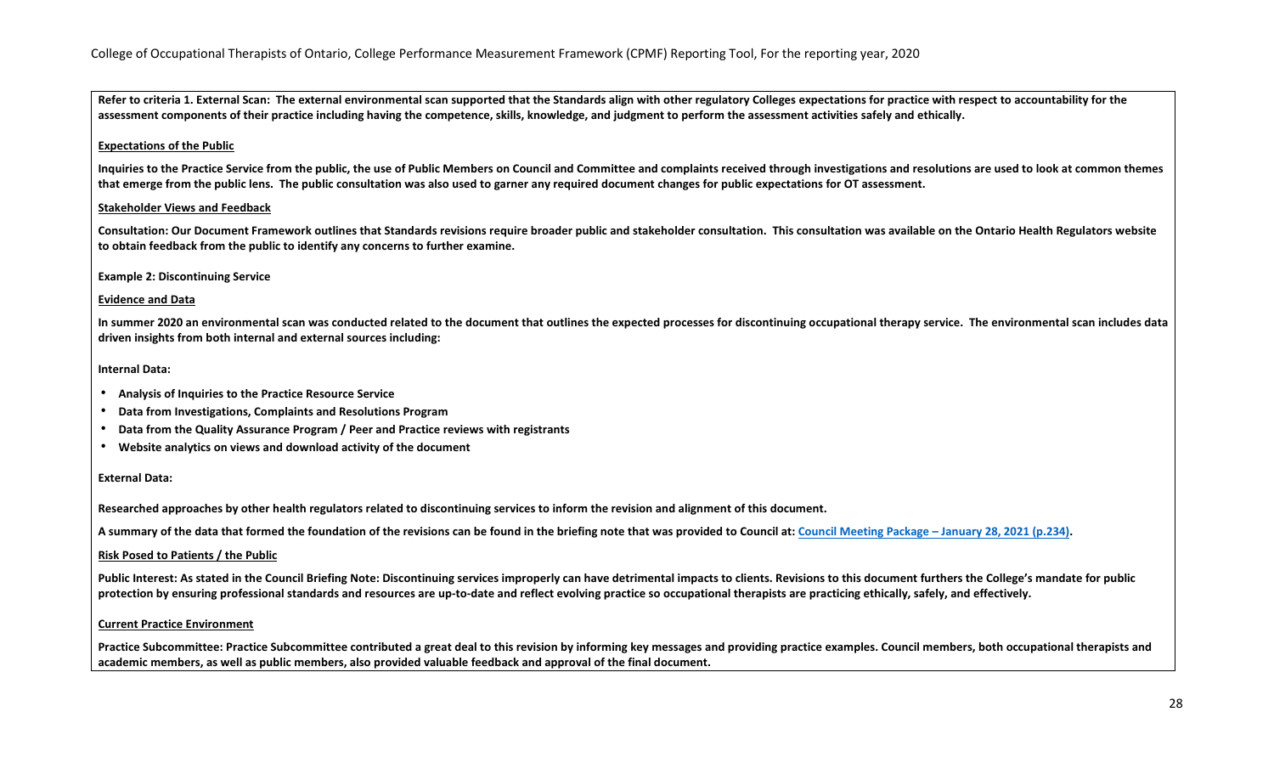**Refer to criteria 1. External Scan: The external environmental scan supported that the Standards align with other regulatory Colleges expectations for practice with respect to accountability for the assessment components of their practice including having the competence, skills, knowledge, and judgment to perform the assessment activities safely and ethically.** 

#### **Expectations of the Public**

**Inquiries to the Practice Service from the public, the use of Public Members on Council and Committee and complaints received through investigations and resolutions are used to look at common themes that emerge from the public lens. The public consultation was also used to garner any required document changes for public expectations for OT assessment.**

#### **Stakeholder Views and Feedback**

**Consultation: Our Document Framework outlines that Standards revisions require broader public and stakeholder consultation. This consultation was available on the Ontario Health Regulators website to obtain feedback from the public to identify any concerns to further examine.** 

#### **Example 2: Discontinuing Service**

#### **Evidence and Data**

**In summer 2020 an environmental scan was conducted related to the document that outlines the expected processes for discontinuing occupational therapy service. The environmental scan includes data driven insights from both internal and external sources including:** 

#### **Internal Data:**

- **Analysis of Inquiries to the Practice Resource Service**
- **Data from Investigations, Complaints and Resolutions Program**
- **Data from the Quality Assurance Program / Peer and Practice reviews with registrants**
- **Website analytics on views and download activity of the document**

#### **External Data:**

**Researched approaches by other health regulators related to discontinuing services to inform the revision and alignment of this document.** 

**A summary of the data that formed the foundation of the revisions can be found in the briefing note that was provided to Council at[: Council Meeting Package –](https://www.coto.org/docs/default-source/council-meeting-materials/council-meeting-package-january-28-2021.pdf?sfvrsn=1d4beaef_2) January 28, 2021 (p.234).**

#### **Risk Posed to Patients / the Public**

**Public Interest: As stated in the Council Briefing Note: Discontinuing services improperly can have detrimental impacts to clients. Revisions to this document furthers the College's mandate for public protection by ensuring professional standards and resources are up-to-date and reflect evolving practice so occupational therapists are practicing ethically, safely, and effectively.** 

#### **Current Practice Environment**

Practice Subcommittee: Practice Subcommittee contributed a great deal to this revision by informing key messages and providing practice examples. Council members, both occupational therapists and **academic members, as well as public members, also provided valuable feedback and approval of the final document.**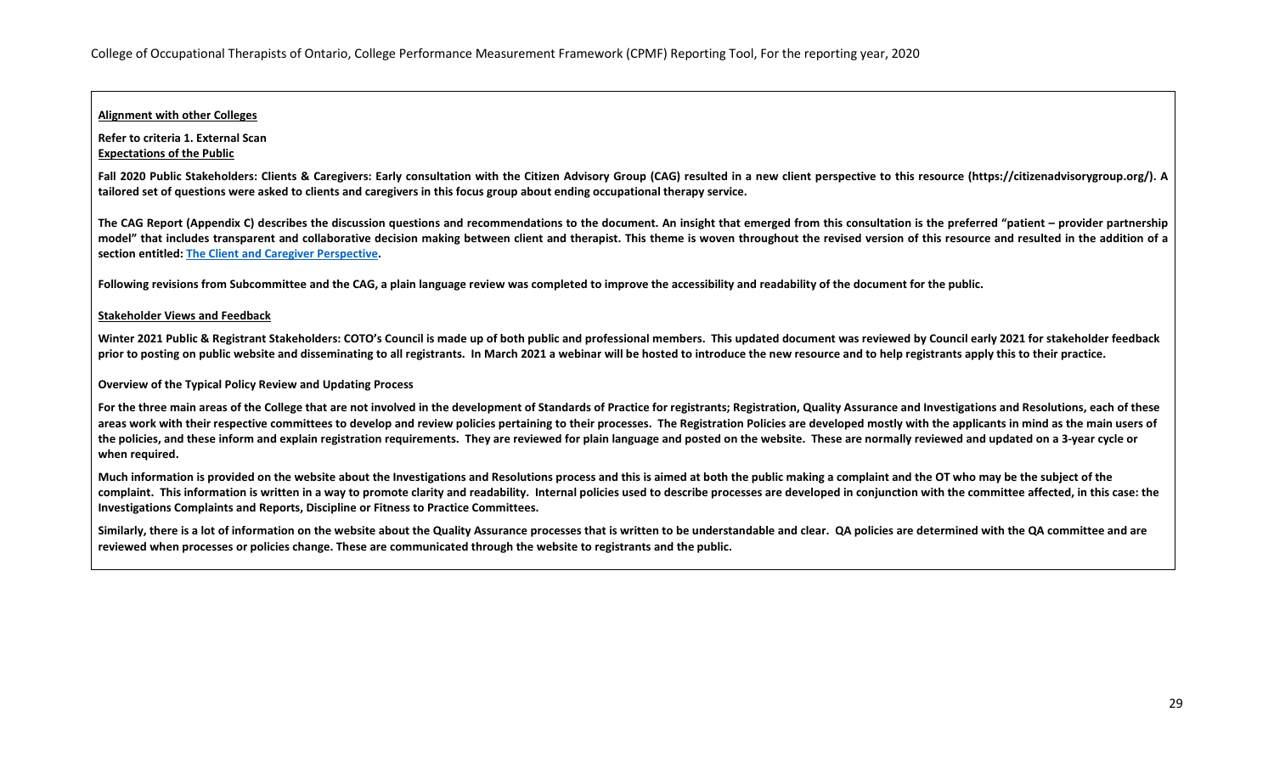### **Alignment with other Colleges**

**Refer to criteria 1. External Scan Expectations of the Public**

Fall 2020 Public Stakeholders: Clients & Caregivers: Early consultation with the Citizen Advisory Group (CAG) resulted in a new client perspective to this resource (https://citizenadvisorygroup.org/). A **tailored set of questions were asked to clients and caregivers in this focus group about ending occupational therapy service.** 

The CAG Report (Appendix C) describes the discussion questions and recommendations to the document. An insight that emerged from this consultation is the preferred "patient – provider partnership **model" that includes transparent and collaborative decision making between client and therapist. This theme is woven throughout the revised version of this resource and resulted in the addition of a section entitled[: The Client and Caregiver Perspective.](https://www.coto.org/resources/details/discontinuing-services-2021)** 

**Following revisions from Subcommittee and the CAG, a plain language review was completed to improve the accessibility and readability of the document for the public.** 

#### **Stakeholder Views and Feedback**

Winter 2021 Public & Registrant Stakeholders: COTO's Council is made up of both public and professional members. This updated document was reviewed by Council early 2021 for stakeholder feedback **prior to posting on public website and disseminating to all registrants. In March 2021 a webinar will be hosted to introduce the new resource and to help registrants apply this to their practice.** 

**Overview of the Typical Policy Review and Updating Process**

**For the three main areas of the College that are not involved in the development of Standards of Practice for registrants; Registration, Quality Assurance and Investigations and Resolutions, each of these areas work with their respective committees to develop and review policies pertaining to their processes. The Registration Policies are developed mostly with the applicants in mind as the main users of the policies, and these inform and explain registration requirements. They are reviewed for plain language and posted on the website. These are normally reviewed and updated on a 3-year cycle or when required.** 

**Much information is provided on the website about the Investigations and Resolutions process and this is aimed at both the public making a complaint and the OT who may be the subject of the**  complaint. This information is written in a way to promote clarity and readability. Internal policies used to describe processes are developed in conjunction with the committee affected, in this case: the **Investigations Complaints and Reports, Discipline or Fitness to Practice Committees.**

**Similarly, there is a lot of information on the website about the Quality Assurance processes that is written to be understandable and clear. QA policies are determined with the QA committee and are reviewed when processes or policies change. These are communicated through the website to registrants and the public.**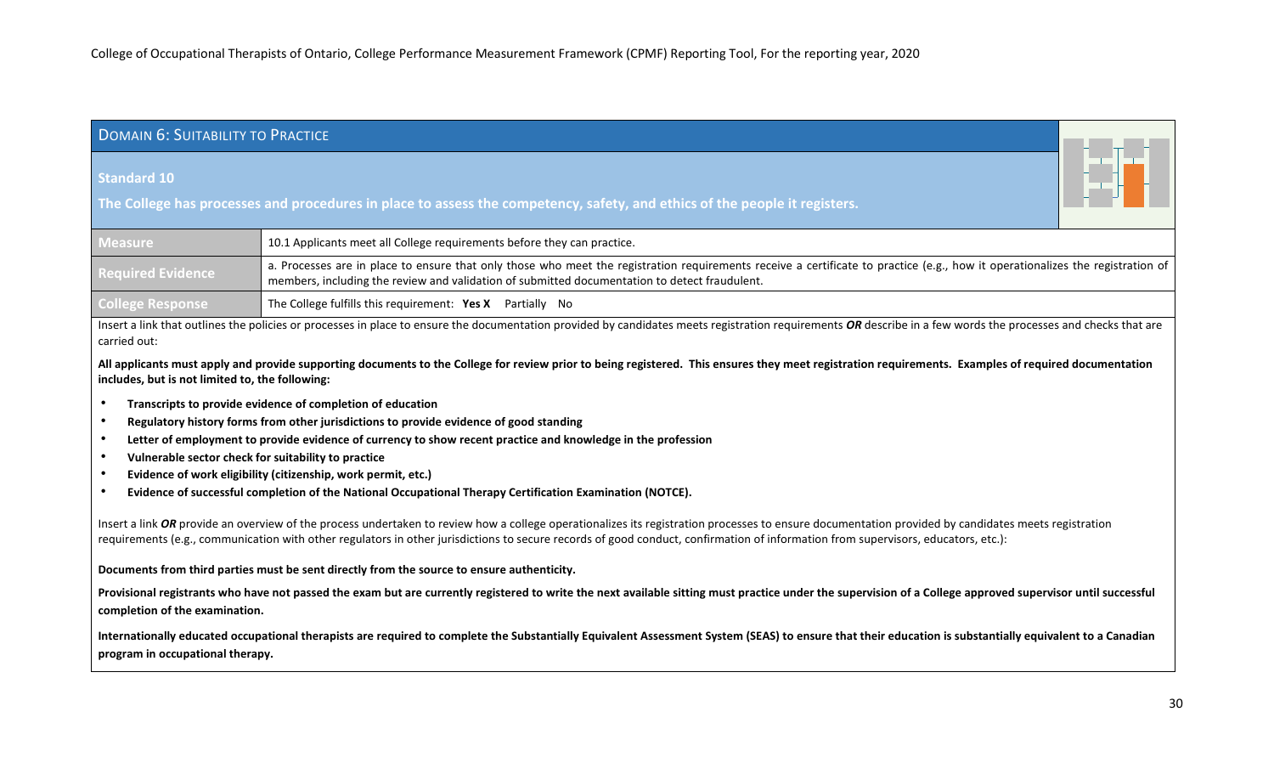# <span id="page-29-0"></span>DOMAIN 6: SUITABILITY TO PRACTICE

### **Standard 10**

**The College has processes and procedures in place to assess the competency, safety, and ethics of the people it registers.**

| <b>Measure</b>           | 10.1 Applicants meet all College requirements before they can practice.                                                                                                                                                                                                         |
|--------------------------|---------------------------------------------------------------------------------------------------------------------------------------------------------------------------------------------------------------------------------------------------------------------------------|
| <b>Required Evidence</b> | a. Processes are in place to ensure that only those who meet the registration requirements receive a certificate to practice (e.g., how it operationalizes the registration of<br>members, including the review and validation of submitted documentation to detect fraudulent. |
| <b>College Response</b>  | The College fulfills this requirement: Yes X Partially No                                                                                                                                                                                                                       |

Insert a link that outlines the policies or processes in place to ensure the documentation provided by candidates meets registration requirements *OR* describe in a few words the processes and checks that are carried out:

**All applicants must apply and provide supporting documents to the College for review prior to being registered. This ensures they meet registration requirements. Examples of required documentation includes, but is not limited to, the following:**

- **Transcripts to provide evidence of completion of education**
- **Regulatory history forms from other jurisdictions to provide evidence of good standing**
- **Letter of employment to provide evidence of currency to show recent practice and knowledge in the profession**
- **Vulnerable sector check for suitability to practice**
- **Evidence of work eligibility (citizenship, work permit, etc.)**
- **Evidence of successful completion of the National Occupational Therapy Certification Examination (NOTCE).**

Insert a link *OR* provide an overview of the process undertaken to review how a college operationalizes its registration processes to ensure documentation provided by candidates meets registration requirements (e.g., communication with other regulators in other jurisdictions to secure records of good conduct, confirmation of information from supervisors, educators, etc.):

#### **Documents from third parties must be sent directly from the source to ensure authenticity.**

Provisional registrants who have not passed the exam but are currently registered to write the next available sitting must practice under the supervision of a College approved supervisor until successful **completion of the examination.** 

**Internationally educated occupational therapists are required to complete the Substantially Equivalent Assessment System (SEAS) to ensure that their education is substantially equivalent to a Canadian program in occupational therapy.**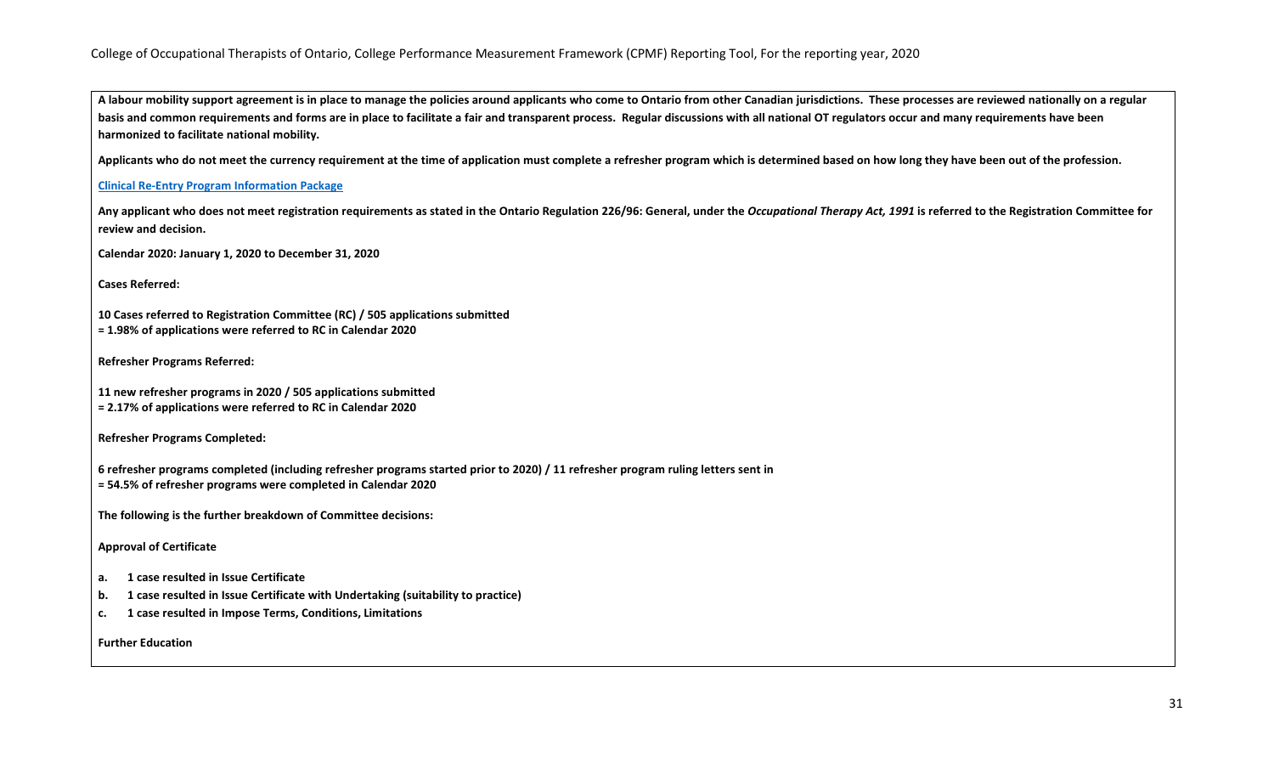**A labour mobility support agreement is in place to manage the policies around applicants who come to Ontario from other Canadian jurisdictions. These processes are reviewed nationally on a regular basis and common requirements and forms are in place to facilitate a fair and transparent process. Regular discussions with all national OT regulators occur and many requirements have been harmonized to facilitate national mobility.**

**Applicants who do not meet the currency requirement at the time of application must complete a refresher program which is determined based on how long they have been out of the profession.**

### **[Clinical Re-Entry Program Information Package](https://www.coto.org/docs/default-source/default-document-library/practicesupervisorinformationpackage(1).pdf?sfvrsn=2)**

Any applicant who does not meet registration requirements as stated in the Ontario Regulation 226/96: General, under the Occupational Therapy Act, 1991 is referred to the Registration Committee for **review and decision.**

**Calendar 2020: January 1, 2020 to December 31, 2020**

**Cases Referred:**

**10 Cases referred to Registration Committee (RC) / 505 applications submitted = 1.98% of applications were referred to RC in Calendar 2020**

**Refresher Programs Referred:**

**11 new refresher programs in 2020 / 505 applications submitted = 2.17% of applications were referred to RC in Calendar 2020**

**Refresher Programs Completed:**

**6 refresher programs completed (including refresher programs started prior to 2020) / 11 refresher program ruling letters sent in = 54.5% of refresher programs were completed in Calendar 2020**

**The following is the further breakdown of Committee decisions:**

**Approval of Certificate**

- **a. 1 case resulted in Issue Certificate**
- **b. 1 case resulted in Issue Certificate with Undertaking (suitability to practice)**
- **c. 1 case resulted in Impose Terms, Conditions, Limitations**

**Further Education**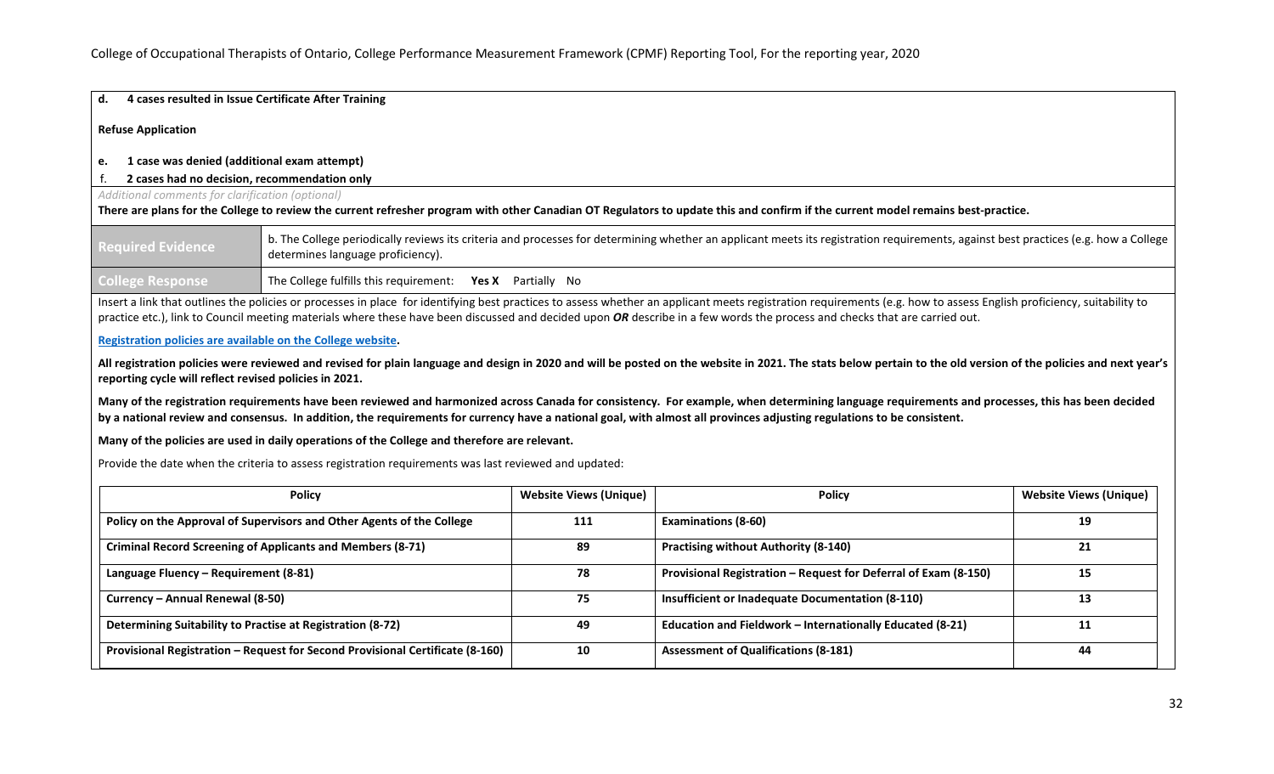#### **d. 4 cases resulted in Issue Certificate After Training**

**Refuse Application**

#### **e. 1 case was denied (additional exam attempt)**

### f. **2 cases had no decision, recommendation only**

#### *Additional comments for clarification (optional)*

**There are plans for the College to review the current refresher program with other Canadian OT Regulators to update this and confirm if the current model remains best-practice.**

| <b>Required Evidence</b> | b. The College periodically reviews its criteria and processes for determining whether an applicant meets its registration requirements, against best practices (e.g. how a College<br>determines language proficiency). |  |  |
|--------------------------|--------------------------------------------------------------------------------------------------------------------------------------------------------------------------------------------------------------------------|--|--|
| <b>College Response</b>  | The College fulfills this requirement: Yes X Partially No                                                                                                                                                                |  |  |

Insert a link that outlines the policies or processes in place for identifying best practices to assess whether an applicant meets registration requirements (e.g. how to assess English proficiency, suitability to practice etc.), link to Council meeting materials where these have been discussed and decided upon *OR* describe in a few words the process and checks that are carried out.

## **[Registration policies are available on the College website.](https://www.coto.org/memberservices/policies)**

All registration policies were reviewed and revised for plain language and design in 2020 and will be posted on the website in 2021. The stats below pertain to the old version of the policies and next year's **reporting cycle will reflect revised policies in 2021.**

Many of the registration requirements have been reviewed and harmonized across Canada for consistency. For example, when determining language requirements and processes, this has been decided **by a national review and consensus. In addition, the requirements for currency have a national goal, with almost all provinces adjusting regulations to be consistent.** 

#### **Many of the policies are used in daily operations of the College and therefore are relevant.**

Provide the date when the criteria to assess registration requirements was last reviewed and updated:

| <b>Policy</b>                                                                 | <b>Website Views (Unique)</b> | <b>Policy</b>                                                   | <b>Website Views (Unique)</b> |
|-------------------------------------------------------------------------------|-------------------------------|-----------------------------------------------------------------|-------------------------------|
| Policy on the Approval of Supervisors and Other Agents of the College         | 111                           | <b>Examinations (8-60)</b>                                      | 19                            |
| <b>Criminal Record Screening of Applicants and Members (8-71)</b>             | 89                            | <b>Practising without Authority (8-140)</b>                     | 21                            |
| Language Fluency - Requirement (8-81)                                         | 78                            | Provisional Registration - Request for Deferral of Exam (8-150) | 15                            |
| Currency - Annual Renewal (8-50)                                              | 75                            | Insufficient or Inadequate Documentation (8-110)                | 13                            |
| Determining Suitability to Practise at Registration (8-72)                    | 49                            | Education and Fieldwork - Internationally Educated (8-21)       |                               |
| Provisional Registration - Request for Second Provisional Certificate (8-160) | 10                            | <b>Assessment of Qualifications (8-181)</b>                     | 44                            |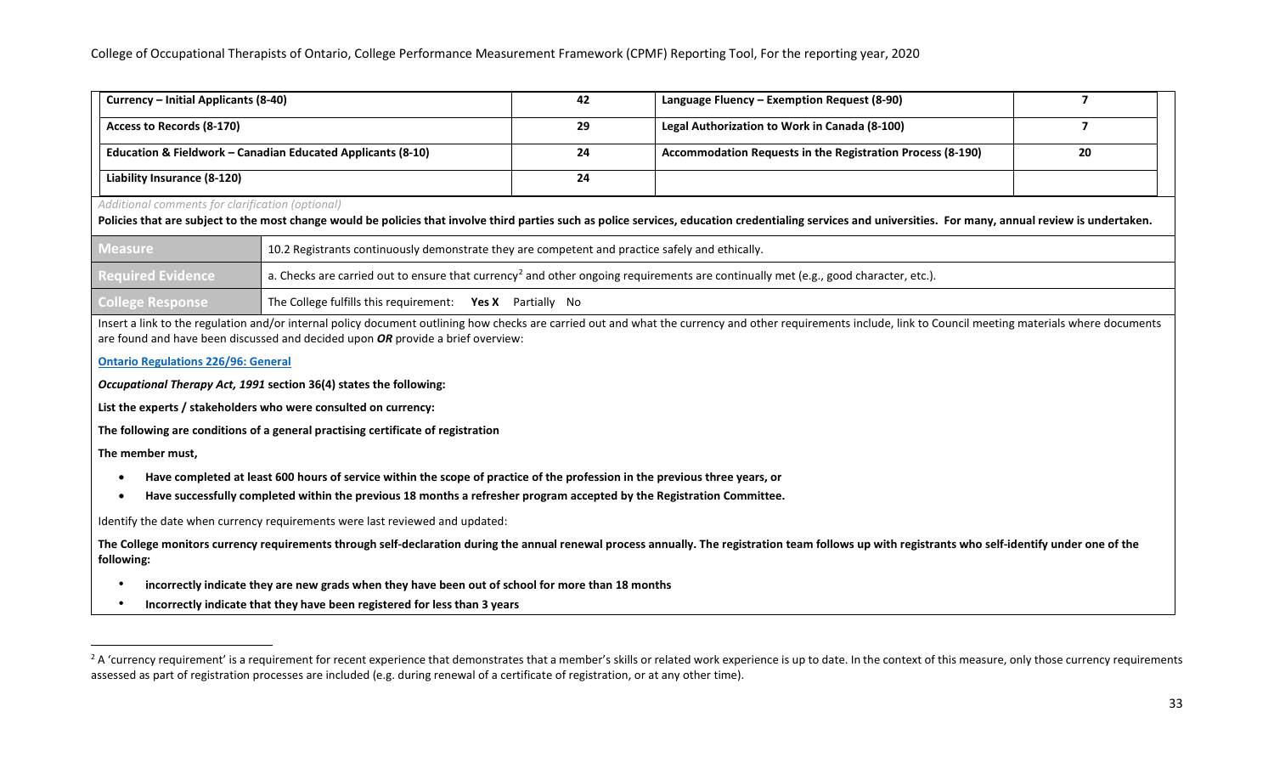<span id="page-32-0"></span>

| Currency – Initial Applicants (8-40)                                   | 42 | Language Fluency - Exemption Request (8-90)                |    |
|------------------------------------------------------------------------|----|------------------------------------------------------------|----|
| Access to Records (8-170)                                              | 29 | Legal Authorization to Work in Canada (8-100)              |    |
| <b>Education &amp; Fieldwork - Canadian Educated Applicants (8-10)</b> | 24 | Accommodation Requests in the Registration Process (8-190) | 20 |
| Liability Insurance (8-120)                                            | 24 |                                                            |    |

*Additional comments for clarification (optional)*

**Policies that are subject to the most change would be policies that involve third parties such as police services, education credentialing services and universities. For many, annual review is undertaken.**

| Measure                  | 10.2 Registrants continuously demonstrate they are competent and practice safely and ethically.                                                             |  |
|--------------------------|-------------------------------------------------------------------------------------------------------------------------------------------------------------|--|
| <b>Required Evidence</b> | $\parallel$ a. Checks are carried out to ensure that currency <sup>2</sup> and other ongoing requirements are continually met (e.g., good character, etc.). |  |
| <b>College Response</b>  | <sup>1</sup> The College fulfills this requirement: Yes X Partially No                                                                                      |  |

Insert a link to the regulation and/or internal policy document outlining how checks are carried out and what the currency and other requirements include, link to Council meeting materials where documents are found and have been discussed and decided upon *OR* provide a brief overview:

#### **[Ontario Regulations 226/96: General](https://www.ontario.ca/laws/regulation/960226%20The%20Ontario%20Regulations%20226/96)**

*Occupational Therapy Act, 1991* **section 36(4) states the following:** 

**List the experts / stakeholders who were consulted on currency:**

**The following are conditions of a general practising certificate of registration** 

**The member must,** 

- **Have completed at least 600 hours of service within the scope of practice of the profession in the previous three years, or**
- **Have successfully completed within the previous 18 months a refresher program accepted by the Registration Committee.**

Identify the date when currency requirements were last reviewed and updated:

The College monitors currency requirements through self-declaration during the annual renewal process annually. The registration team follows up with registrants who self-identify under one of the **following:**

- **incorrectly indicate they are new grads when they have been out of school for more than 18 months**
- **Incorrectly indicate that they have been registered for less than 3 years**

 $^{2}$  A 'currency requirement' is a requirement for recent experience that demonstrates that a member's skills or related work experience is up to date. In the context of this measure, only those currency requirements assessed as part of registration processes are included (e.g. during renewal of a certificate of registration, or at any other time).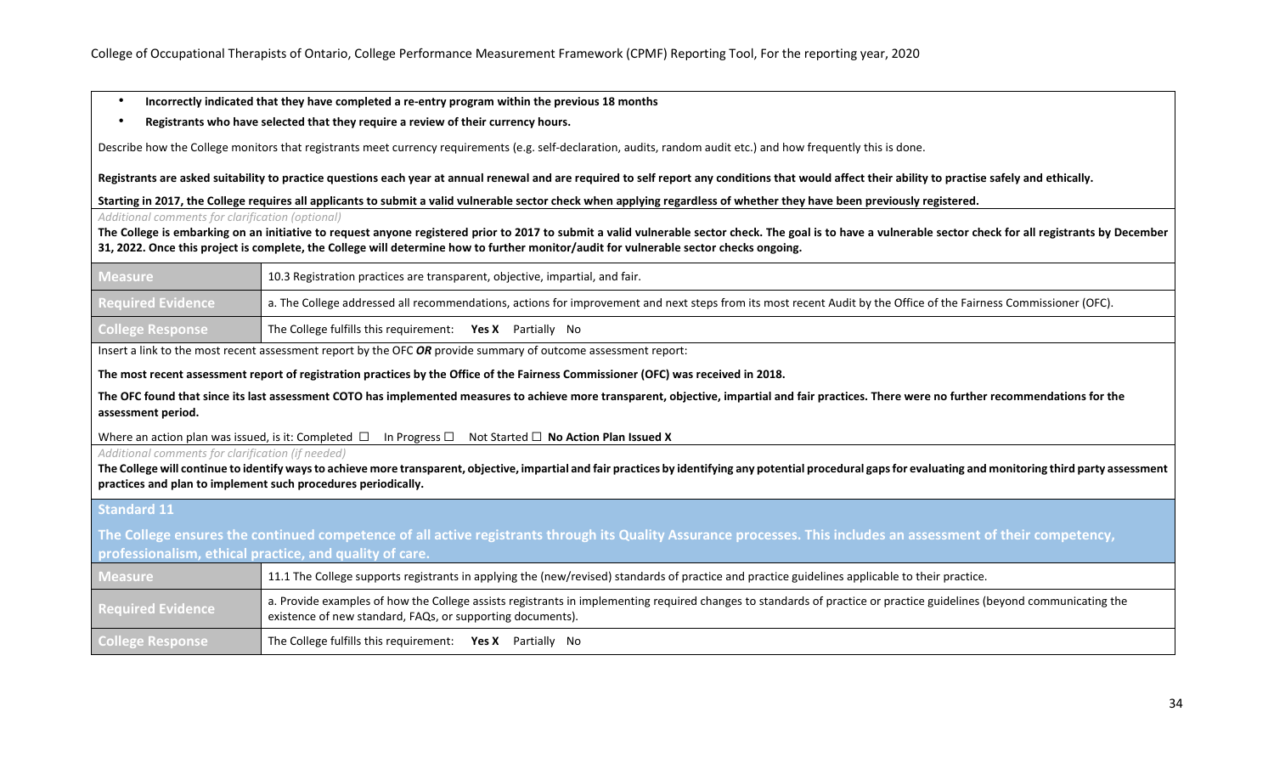- **Incorrectly indicated that they have completed a re-entry program within the previous 18 months**
- **Registrants who have selected that they require a review of their currency hours.**

Describe how the College monitors that registrants meet currency requirements (e.g. self-declaration, audits, random audit etc.) and how frequently this is done.

**Registrants are asked suitability to practice questions each year at annual renewal and are required to self report any conditions that would affect their ability to practise safely and ethically.**

**Starting in 2017, the College requires all applicants to submit a valid vulnerable sector check when applying regardless of whether they have been previously registered.**

*Additional comments for clarification (optional)*

**The College is embarking on an initiative to request anyone registered prior to 2017 to submit a valid vulnerable sector check. The goal is to have a vulnerable sector check for all registrants by December 31, 2022. Once this project is complete, the College will determine how to further monitor/audit for vulnerable sector checks ongoing.** 

| <b>Measure</b>           | 10.3 Registration practices are transparent, objective, impartial, and fair.                                                                                                  |  |
|--------------------------|-------------------------------------------------------------------------------------------------------------------------------------------------------------------------------|--|
| <b>Required Evidence</b> | $\parallel$ a. The College addressed all recommendations, actions for improvement and next steps from its most recent Audit by the Office of the Fairness Commissioner (OFC). |  |
| <b>College Response</b>  | The College fulfills this requirement: Yes X Partially No                                                                                                                     |  |

Insert a link to the most recent assessment report by the OFC *OR* provide summary of outcome assessment report:

**The most recent assessment report of registration practices by the Office of the Fairness Commissioner (OFC) was received in 2018.** 

**The OFC found that since its last assessment COTO has implemented measures to achieve more transparent, objective, impartial and fair practices. There were no further recommendations for the assessment period.** 

Where an action plan was issued, is it: Completed □ In Progress □ Not Started □ **No Action Plan Issued X** 

*Additional comments for clarification (if needed)*

**The College will continue to identify ways to achieve more transparent, objective, impartial and fair practices by identifying any potential procedural gaps for evaluating and monitoring third party assessment practices and plan to implement such procedures periodically.**

#### **Standard 11**

**The College ensures the continued competence of all active registrants through its Quality Assurance processes. This includes an assessment of their competency, professionalism, ethical practice, and quality of care.**

| <b>Measure</b>           | 11.1 The College supports registrants in applying the (new/revised) standards of practice and practice guidelines applicable to their practice.                                                                                     |  |
|--------------------------|-------------------------------------------------------------------------------------------------------------------------------------------------------------------------------------------------------------------------------------|--|
| <b>Required Evidence</b> | a. Provide examples of how the College assists registrants in implementing required changes to standards of practice or practice guidelines (beyond communicating the<br>existence of new standard, FAQs, or supporting documents). |  |
| <b>College Response</b>  | The College fulfills this requirement: $Yes X$ Partially No                                                                                                                                                                         |  |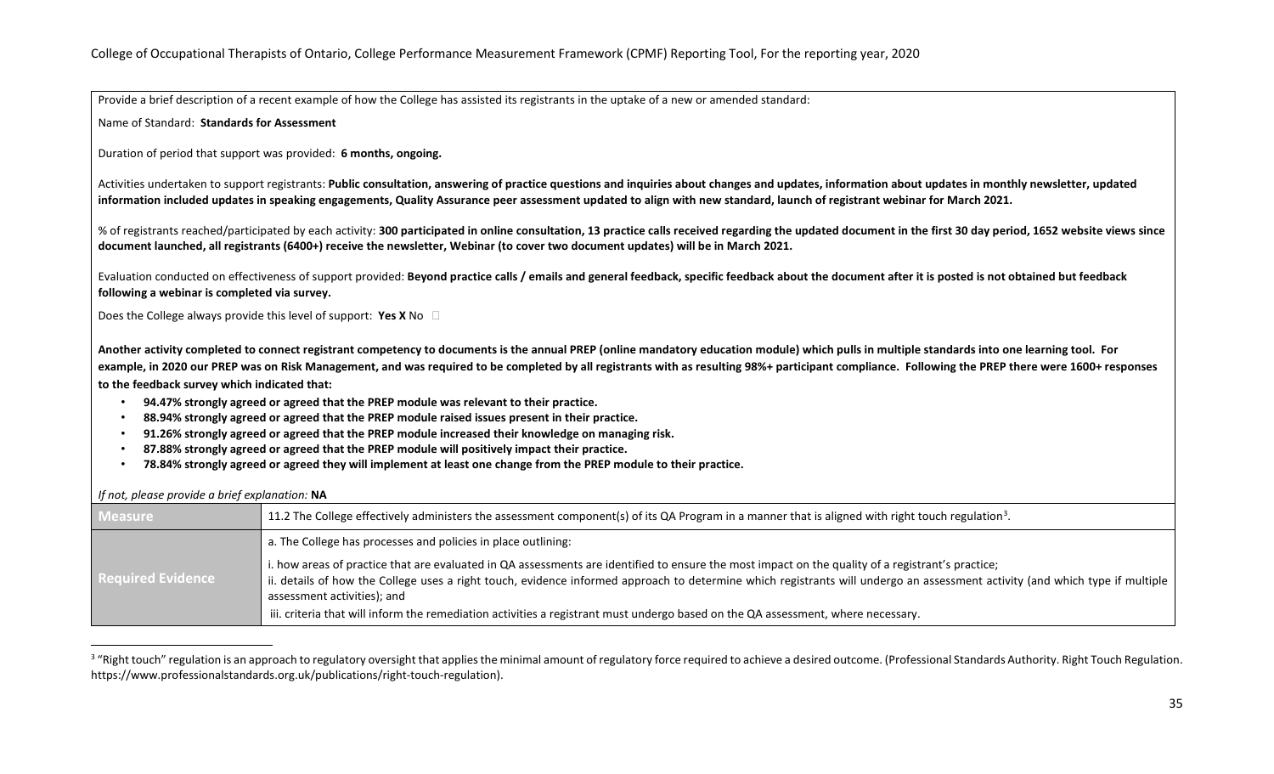<span id="page-34-0"></span>Provide a brief description of a recent example of how the College has assisted its registrants in the uptake of a new or amended standard:

Name of Standard: **Standards for Assessment**

Duration of period that support was provided: **6 months, ongoing.**

Activities undertaken to support registrants: **Public consultation, answering of practice questions and inquiries about changes and updates, information about updates in monthly newsletter, updated information included updates in speaking engagements, Quality Assurance peer assessment updated to align with new standard, launch of registrant webinar for March 2021.**

% of registrants reached/participated by each activity: **300 participated in online consultation, 13 practice calls received regarding the updated document in the first 30 day period, 1652 website views since document launched, all registrants (6400+) receive the newsletter, Webinar (to cover two document updates) will be in March 2021.**

Evaluation conducted on effectiveness of support provided: **Beyond practice calls / emails and general feedback, specific feedback about the document after it is posted is not obtained but feedback following a webinar is completed via survey.**

Does the College always provide this level of support: **Yes X** No

**Another activity completed to connect registrant competency to documents is the annual PREP (online mandatory education module) which pulls in multiple standards into one learning tool. For example, in 2020 our PREP was on Risk Management, and was required to be completed by all registrants with as resulting 98%+ participant compliance. Following the PREP there were 1600+ responses to the feedback survey which indicated that:**

- **94.47% strongly agreed or agreed that the PREP module was relevant to their practice.**
- **88.94% strongly agreed or agreed that the PREP module raised issues present in their practice.**
- **91.26% strongly agreed or agreed that the PREP module increased their knowledge on managing risk.**
- **87.88% strongly agreed or agreed that the PREP module will positively impact their practice.**
- **78.84% strongly agreed or agreed they will implement at least one change from the PREP module to their practice.**

| <b>Measure</b>           | 11.2 The College effectively administers the assessment component(s) of its QA Program in a manner that is aligned with right touch regulation <sup>3</sup> .                                                                                                                                                                                                        |
|--------------------------|----------------------------------------------------------------------------------------------------------------------------------------------------------------------------------------------------------------------------------------------------------------------------------------------------------------------------------------------------------------------|
| <b>Required Evidence</b> | a. The College has processes and policies in place outlining:                                                                                                                                                                                                                                                                                                        |
|                          | i. how areas of practice that are evaluated in QA assessments are identified to ensure the most impact on the quality of a registrant's practice;<br>  ii. details of how the College uses a right touch, evidence informed approach to determine which registrants will undergo an assessment activity (and which type if multiple  <br>assessment activities); and |
|                          | iii. criteria that will inform the remediation activities a registrant must undergo based on the QA assessment, where necessary.                                                                                                                                                                                                                                     |

*If not, please provide a brief explanation:* **NA**

<sup>&</sup>lt;sup>3</sup> "Right touch" regulation is an approach to regulatory oversight that applies the minimal amount of regulatory force required to achieve a desired outcome. (Professional Standards Authority. Right Touch Regulation. https://www.professionalstandards.org.uk/publications/right-touch-regulation).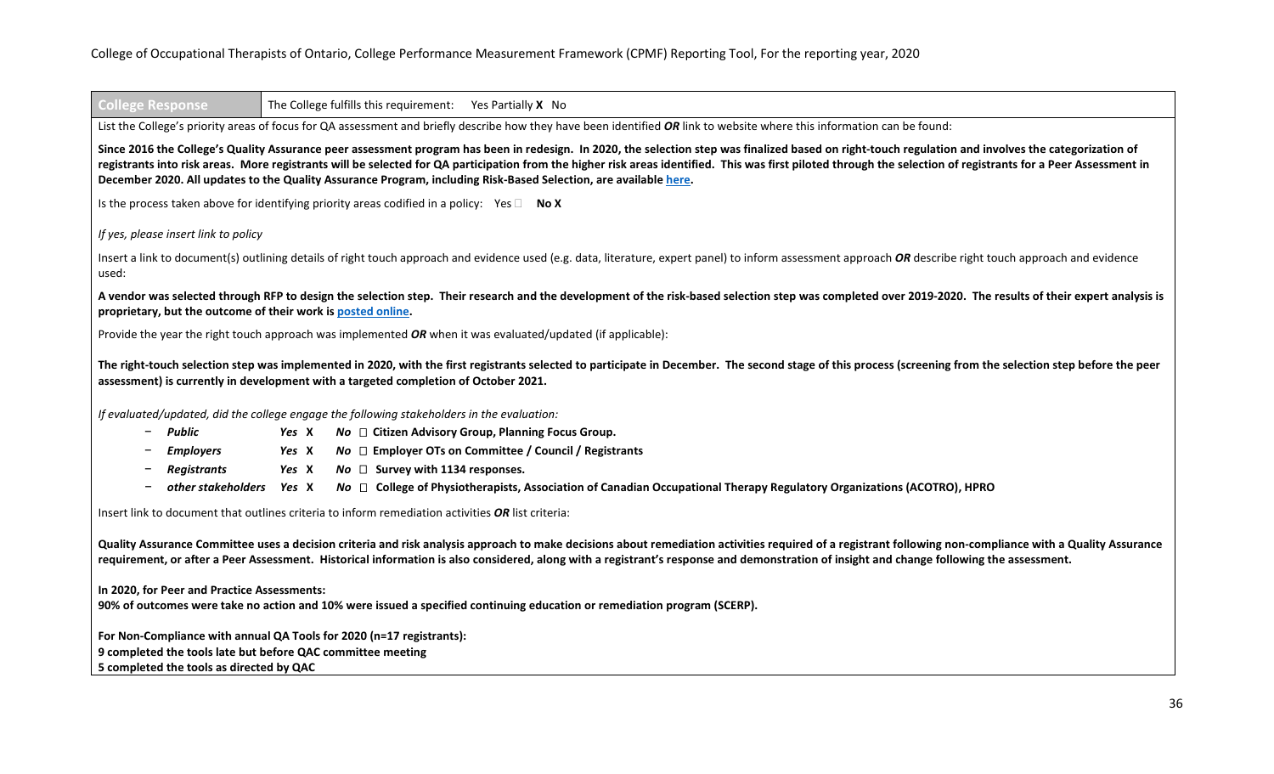| <b>College Response</b>                                                                                                                                                                                                                                                                                                                                                                               |       | The College fulfills this requirement: Yes Partially X No                                                                                                                                                                                                                                                                                                                                                                                                                                                                                    |
|-------------------------------------------------------------------------------------------------------------------------------------------------------------------------------------------------------------------------------------------------------------------------------------------------------------------------------------------------------------------------------------------------------|-------|----------------------------------------------------------------------------------------------------------------------------------------------------------------------------------------------------------------------------------------------------------------------------------------------------------------------------------------------------------------------------------------------------------------------------------------------------------------------------------------------------------------------------------------------|
|                                                                                                                                                                                                                                                                                                                                                                                                       |       | List the College's priority areas of focus for QA assessment and briefly describe how they have been identified OR link to website where this information can be found:                                                                                                                                                                                                                                                                                                                                                                      |
|                                                                                                                                                                                                                                                                                                                                                                                                       |       | Since 2016 the College's Quality Assurance peer assessment program has been in redesign. In 2020, the selection step was finalized based on right-touch regulation and involves the categorization of<br>registrants into risk areas. More registrants will be selected for QA participation from the higher risk areas identified. This was first piloted through the selection of registrants for a Peer Assessment in<br>December 2020. All updates to the Quality Assurance Program, including Risk-Based Selection, are available here. |
|                                                                                                                                                                                                                                                                                                                                                                                                       |       | Is the process taken above for identifying priority areas codified in a policy: Yes $\square$ No X                                                                                                                                                                                                                                                                                                                                                                                                                                           |
| If yes, please insert link to policy                                                                                                                                                                                                                                                                                                                                                                  |       |                                                                                                                                                                                                                                                                                                                                                                                                                                                                                                                                              |
| used:                                                                                                                                                                                                                                                                                                                                                                                                 |       | Insert a link to document(s) outlining details of right touch approach and evidence used (e.g. data, literature, expert panel) to inform assessment approach OR describe right touch approach and evidence                                                                                                                                                                                                                                                                                                                                   |
| proprietary, but the outcome of their work is posted online.                                                                                                                                                                                                                                                                                                                                          |       | A vendor was selected through RFP to design the selection step. Their research and the development of the risk-based selection step was completed over 2019-2020. The results of their expert analysis is                                                                                                                                                                                                                                                                                                                                    |
|                                                                                                                                                                                                                                                                                                                                                                                                       |       | Provide the year the right touch approach was implemented OR when it was evaluated/updated (if applicable):                                                                                                                                                                                                                                                                                                                                                                                                                                  |
|                                                                                                                                                                                                                                                                                                                                                                                                       |       | The right-touch selection step was implemented in 2020, with the first registrants selected to participate in December. The second stage of this process (screening from the selection step before the peer<br>assessment) is currently in development with a targeted completion of October 2021.                                                                                                                                                                                                                                           |
|                                                                                                                                                                                                                                                                                                                                                                                                       |       | If evaluated/updated, did the college engage the following stakeholders in the evaluation:                                                                                                                                                                                                                                                                                                                                                                                                                                                   |
| Public<br>Ξ.                                                                                                                                                                                                                                                                                                                                                                                          | Yes X | $No \square$ Citizen Advisory Group, Planning Focus Group.                                                                                                                                                                                                                                                                                                                                                                                                                                                                                   |
| <b>Employers</b>                                                                                                                                                                                                                                                                                                                                                                                      | Yes X | No □ Employer OTs on Committee / Council / Registrants                                                                                                                                                                                                                                                                                                                                                                                                                                                                                       |
| <b>Registrants</b>                                                                                                                                                                                                                                                                                                                                                                                    | Yes X | $No \square$ Survey with 1134 responses.                                                                                                                                                                                                                                                                                                                                                                                                                                                                                                     |
| other stakeholders                                                                                                                                                                                                                                                                                                                                                                                    | Yes X | $No \square$ College of Physiotherapists, Association of Canadian Occupational Therapy Regulatory Organizations (ACOTRO), HPRO                                                                                                                                                                                                                                                                                                                                                                                                               |
| Insert link to document that outlines criteria to inform remediation activities OR list criteria:                                                                                                                                                                                                                                                                                                     |       |                                                                                                                                                                                                                                                                                                                                                                                                                                                                                                                                              |
| Quality Assurance Committee uses a decision criteria and risk analysis approach to make decisions about remediation activities required of a registrant following non-compliance with a Quality Assurance<br>requirement, or after a Peer Assessment. Historical information is also considered, along with a registrant's response and demonstration of insight and change following the assessment. |       |                                                                                                                                                                                                                                                                                                                                                                                                                                                                                                                                              |
| In 2020, for Peer and Practice Assessments:                                                                                                                                                                                                                                                                                                                                                           |       | 90% of outcomes were take no action and 10% were issued a specified continuing education or remediation program (SCERP).                                                                                                                                                                                                                                                                                                                                                                                                                     |
| For Non-Compliance with annual QA Tools for 2020 (n=17 registrants):<br>9 completed the tools late but before QAC committee meeting<br>5 completed the tools as directed by QAC                                                                                                                                                                                                                       |       |                                                                                                                                                                                                                                                                                                                                                                                                                                                                                                                                              |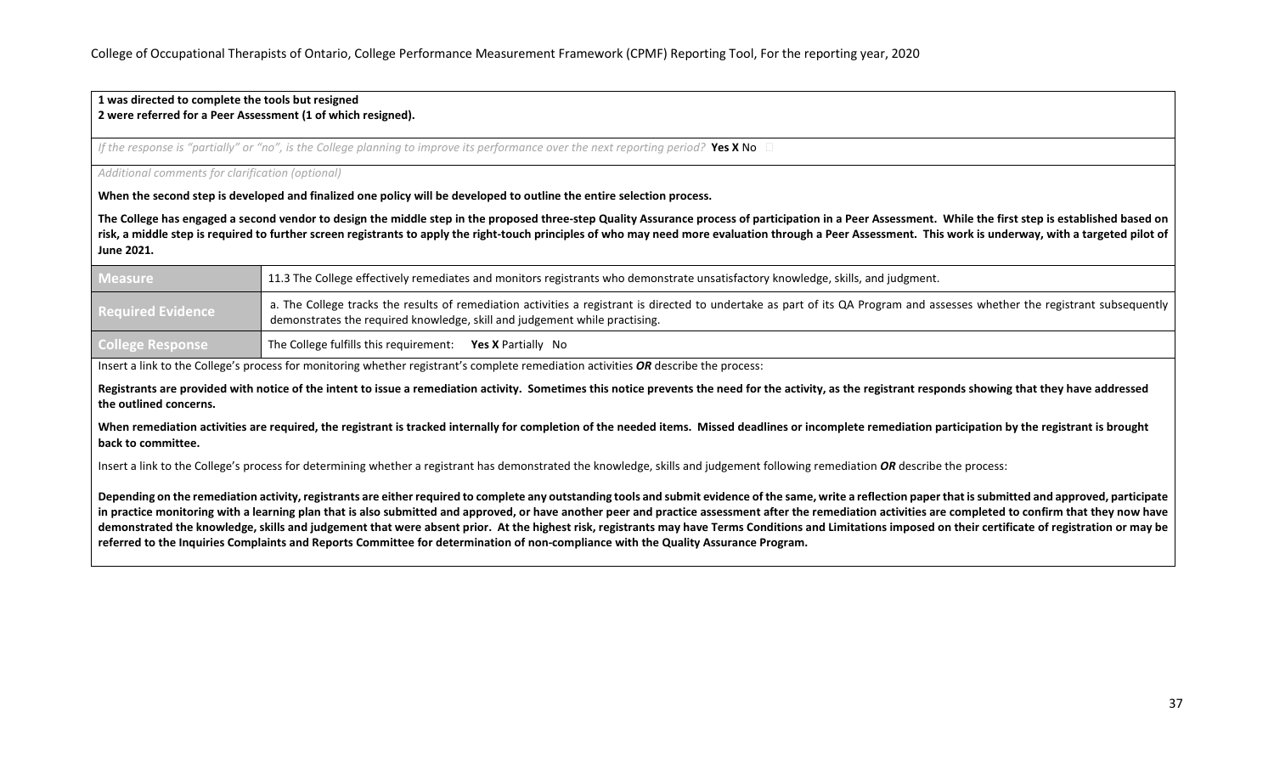#### **1 was directed to complete the tools but resigned 2 were referred for a Peer Assessment (1 of which resigned).**

*If the response is "partially" or "no", is the College planning to improve its performance over the next reporting period?* Yes X No

#### *Additional comments for clarification (optional)*

**When the second step is developed and finalized one policy will be developed to outline the entire selection process.** 

The College has engaged a second vendor to design the middle step in the proposed three-step Quality Assurance process of participation in a Peer Assessment. While the first step is established based on risk, a middle step is required to further screen registrants to apply the right-touch principles of who may need more evaluation through a Peer Assessment. This work is underway, with a targeted pilot of **June 2021.**

| Measure                  | 11.3 The College effectively remediates and monitors registrants who demonstrate unsatisfactory knowledge, skills, and judgment.                                                                                                                           |  |
|--------------------------|------------------------------------------------------------------------------------------------------------------------------------------------------------------------------------------------------------------------------------------------------------|--|
| <b>Required Evidence</b> | a. The College tracks the results of remediation activities a registrant is directed to undertake as part of its QA Program and assesses whether the registrant subsequently<br>demonstrates the required knowledge, skill and judgement while practising. |  |
| <b>College Response</b>  | The College fulfills this requirement: Yes X Partially No                                                                                                                                                                                                  |  |

Insert a link to the College's process for monitoring whether registrant's complete remediation activities *OR* describe the process:

**Registrants are provided with notice of the intent to issue a remediation activity. Sometimes this notice prevents the need for the activity, as the registrant responds showing that they have addressed the outlined concerns.**

When remediation activities are required, the registrant is tracked internally for completion of the needed items. Missed deadlines or incomplete remediation participation by the registrant is brought **back to committee.**

Insert a link to the College's process for determining whether a registrant has demonstrated the knowledge, skills and judgement following remediation *OR* describe the process:

**Depending on the remediation activity, registrants are either required to complete any outstanding tools and submit evidence of the same, write a reflection paper that is submitted and approved, participate in practice monitoring with a learning plan that is also submitted and approved, or have another peer and practice assessment after the remediation activities are completed to confirm that they now have demonstrated the knowledge, skills and judgement that were absent prior. At the highest risk, registrants may have Terms Conditions and Limitations imposed on their certificate of registration or may be referred to the Inquiries Complaints and Reports Committee for determination of non-compliance with the Quality Assurance Program.**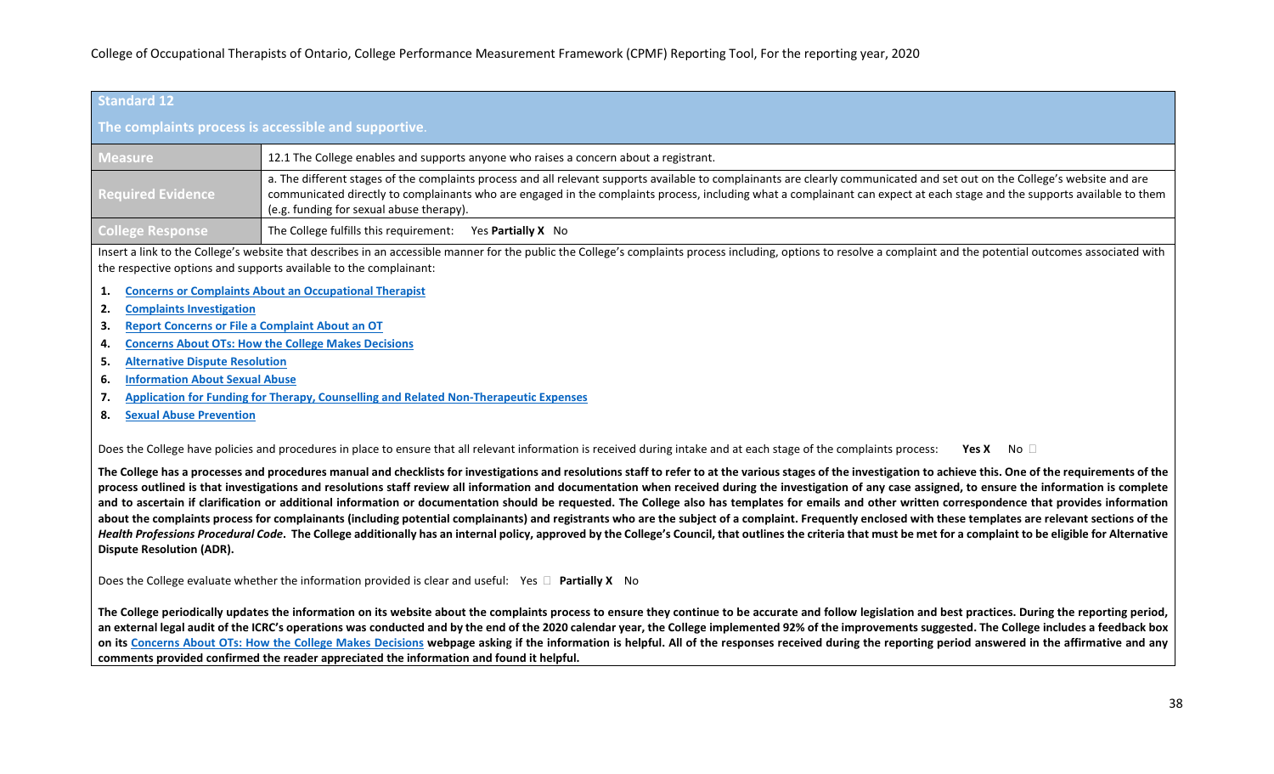| Standard 12                                                                                                                                                                                       |                                                                                                                                                                                                                                                                                                                                                                                                      |  |  |
|---------------------------------------------------------------------------------------------------------------------------------------------------------------------------------------------------|------------------------------------------------------------------------------------------------------------------------------------------------------------------------------------------------------------------------------------------------------------------------------------------------------------------------------------------------------------------------------------------------------|--|--|
| The complaints process is accessible and supportive.                                                                                                                                              |                                                                                                                                                                                                                                                                                                                                                                                                      |  |  |
| <b>Measure</b>                                                                                                                                                                                    | 12.1 The College enables and supports anyone who raises a concern about a registrant.                                                                                                                                                                                                                                                                                                                |  |  |
| <b>Required Evidence</b>                                                                                                                                                                          | a. The different stages of the complaints process and all relevant supports available to complainants are clearly communicated and set out on the College's website and are<br>communicated directly to complainants who are engaged in the complaints process, including what a complainant can expect at each stage and the supports available to them<br>(e.g. funding for sexual abuse therapy). |  |  |
| <b>College Response</b>                                                                                                                                                                           | The College fulfills this requirement:<br>Yes <b>Partially X</b> No                                                                                                                                                                                                                                                                                                                                  |  |  |
|                                                                                                                                                                                                   | Insert a link to the College's website that describes in an accessible manner for the public the College's complaints process including, options to resolve a complaint and the potential outcomes associated with<br>the respective options and supports available to the complainant:                                                                                                              |  |  |
| 1.                                                                                                                                                                                                | <b>Concerns or Complaints About an Occupational Therapist</b>                                                                                                                                                                                                                                                                                                                                        |  |  |
| <b>Complaints Investigation</b><br>2.                                                                                                                                                             |                                                                                                                                                                                                                                                                                                                                                                                                      |  |  |
| З.                                                                                                                                                                                                | <b>Report Concerns or File a Complaint About an OT</b>                                                                                                                                                                                                                                                                                                                                               |  |  |
| 4.                                                                                                                                                                                                | <b>Concerns About OTs: How the College Makes Decisions</b>                                                                                                                                                                                                                                                                                                                                           |  |  |
| 5.                                                                                                                                                                                                | <b>Alternative Dispute Resolution</b>                                                                                                                                                                                                                                                                                                                                                                |  |  |
| <b>Information About Sexual Abuse</b><br>6.                                                                                                                                                       |                                                                                                                                                                                                                                                                                                                                                                                                      |  |  |
| <b>Application for Funding for Therapy, Counselling and Related Non-Therapeutic Expenses</b><br>7.                                                                                                |                                                                                                                                                                                                                                                                                                                                                                                                      |  |  |
| <b>Sexual Abuse Prevention</b><br>8.                                                                                                                                                              |                                                                                                                                                                                                                                                                                                                                                                                                      |  |  |
| Does the College have policies and procedures in place to ensure that all relevant information is received during intake and at each stage of the complaints process:<br>Yes X<br>No <sub>1</sub> |                                                                                                                                                                                                                                                                                                                                                                                                      |  |  |

The College has a processes and procedures manual and checklists for investigations and resolutions staff to refer to at the various stages of the investigation to achieve this. One of the requirements of the **process outlined is that investigations and resolutions staff review all information and documentation when received during the investigation of any case assigned, to ensure the information is complete and to ascertain if clarification or additional information or documentation should be requested. The College also has templates for emails and other written correspondence that provides information**  about the complaints process for complainants (including potential complainants) and registrants who are the subject of a complaint. Frequently enclosed with these templates are relevant sections of the Health Professions Procedural Code. The College additionally has an internal policy, approved by the College's Council, that outlines the criteria that must be met for a complaint to be eligible for Alternative **Dispute Resolution (ADR).**

Does the College evaluate whether the information provided is clear and useful: Yes  $\Box$  Partially X No

**The College periodically updates the information on its website about the complaints process to ensure they continue to be accurate and follow legislation and best practices. During the reporting period, an external legal audit of the ICRC's operations was conducted and by the end of the 2020 calendar year, the College implemented 92% of the improvements suggested. The College includes a feedback box**  on its [Concerns About OTs: How the College Makes Decisions](https://www.coto.org/risk-framework/) webpage asking if the information is helpful. All of the responses received during the reporting period answered in the affirmative and any **comments provided confirmed the reader appreciated the information and found it helpful.**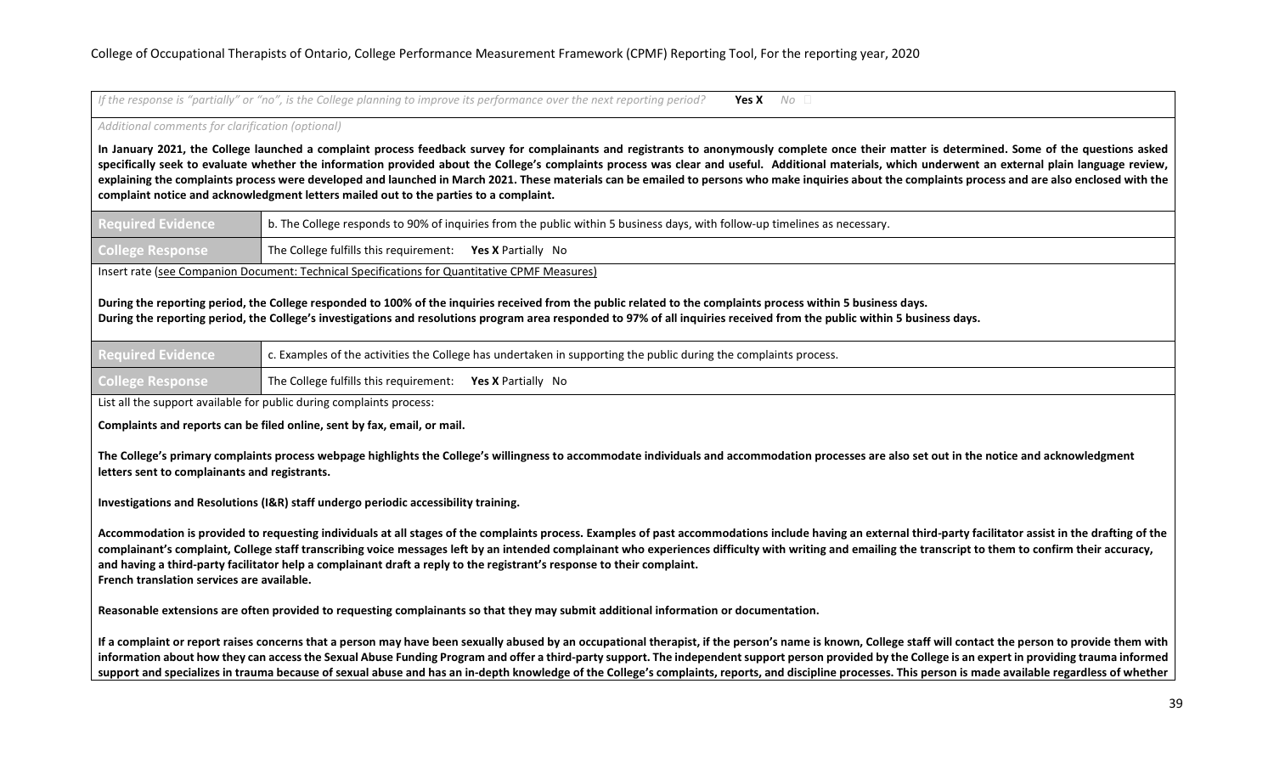If the response is "partially" or "no", is the College planning to improve its performance over the next reporting period? **Yes X** No □

*Additional comments for clarification (optional)*

**In January 2021, the College launched a complaint process feedback survey for complainants and registrants to anonymously complete once their matter is determined. Some of the questions asked**  specifically seek to evaluate whether the information provided about the College's complaints process was clear and useful. Additional materials, which underwent an external plain language review, **explaining the complaints process were developed and launched in March 2021. These materials can be emailed to persons who make inquiries about the complaints process and are also enclosed with the complaint notice and acknowledgment letters mailed out to the parties to a complaint.**

| <b>Required Evidence</b>                                                                      | b. The College responds to 90% of inquiries from the public within 5 business days, with follow-up timelines as necessary. |  |
|-----------------------------------------------------------------------------------------------|----------------------------------------------------------------------------------------------------------------------------|--|
| <b>College Response</b>                                                                       | The College fulfills this requirement: Yes X Partially No                                                                  |  |
| Insert rate (see Companion Document: Technical Specifications for Quantitative CPMF Measures) |                                                                                                                            |  |

**During the reporting period, the College responded to 100% of the inquiries received from the public related to the complaints process within 5 business days. During the reporting period, the College's investigations and resolutions program area responded to 97% of all inquiries received from the public within 5 business days.**

| <b>Required</b> | olaints process.<br>activities the College has undertaken in supporting the public during the compl<br>. Example<br>. the |
|-----------------|---------------------------------------------------------------------------------------------------------------------------|
|                 |                                                                                                                           |

**College Response** The College fulfills this requirement: **Yes X** Partially No

List all the support available for public during complaints process:

**Complaints and reports can be filed online, sent by fax, email, or mail.**

**The College's primary complaints process webpage highlights the College's willingness to accommodate individuals and accommodation processes are also set out in the notice and acknowledgment letters sent to complainants and registrants.**

**Investigations and Resolutions (I&R) staff undergo periodic accessibility training.**

**Accommodation is provided to requesting individuals at all stages of the complaints process. Examples of past accommodations include having an external third-party facilitator assist in the drafting of the complainant's complaint, College staff transcribing voice messages left by an intended complainant who experiences difficulty with writing and emailing the transcript to them to confirm their accuracy, and having a third-party facilitator help a complainant draft a reply to the registrant's response to their complaint. French translation services are available.**

**Reasonable extensions are often provided to requesting complainants so that they may submit additional information or documentation.** 

If a complaint or report raises concerns that a person may have been sexually abused by an occupational therapist, if the person's name is known, College staff will contact the person to provide them with **information about how they can access the Sexual Abuse Funding Program and offer a third-party support. The independent support person provided by the College is an expert in providing trauma informed**  support and specializes in trauma because of sexual abuse and has an in-depth knowledge of the College's complaints, reports, and discipline processes. This person is made available regardless of whether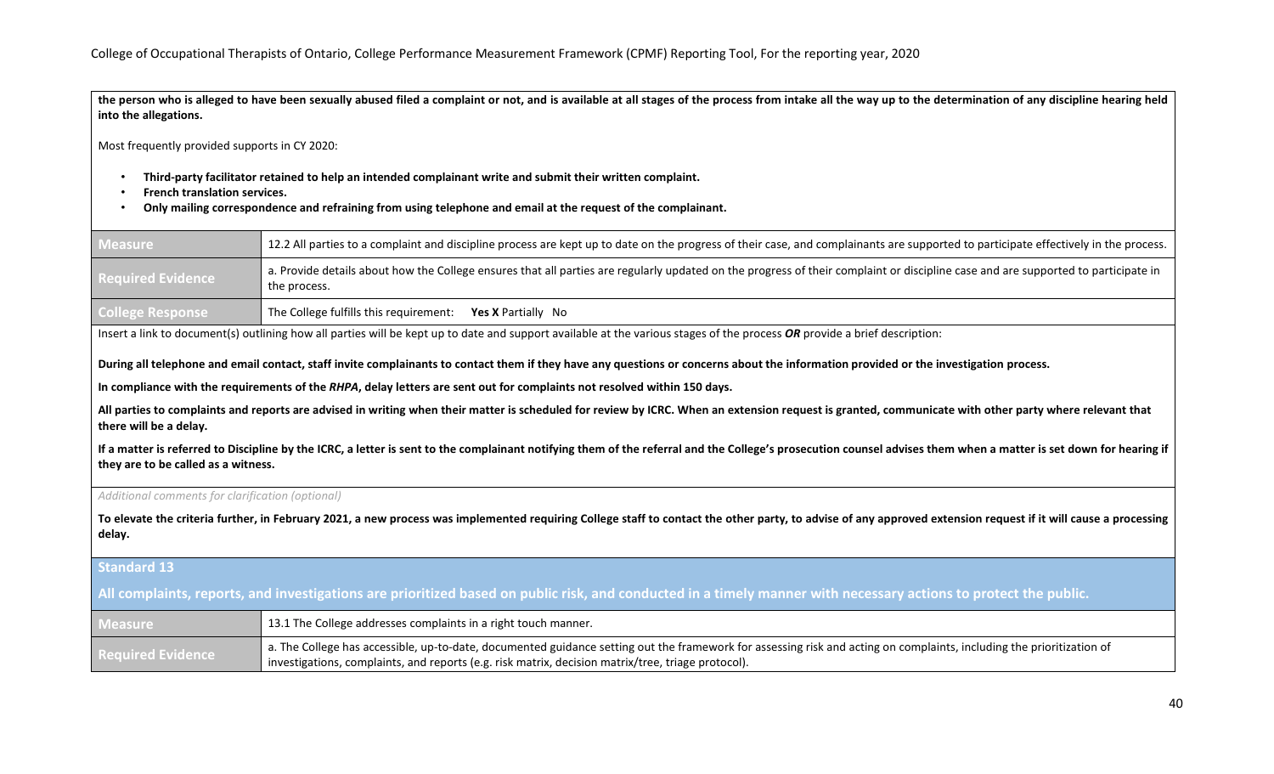**the person who is alleged to have been sexually abused filed a complaint or not, and is available at all stages of the process from intake all the way up to the determination of any discipline hearing held into the allegations.**

Most frequently provided supports in CY 2020:

- **Third-party facilitator retained to help an intended complainant write and submit their written complaint.**
- **French translation services.**
- **Only mailing correspondence and refraining from using telephone and email at the request of the complainant.**

| <b>Measure</b>           | 12.2 All parties to a complaint and discipline process are kept up to date on the progress of their case, and complainants are supported to participate effectively in the process.               |
|--------------------------|---------------------------------------------------------------------------------------------------------------------------------------------------------------------------------------------------|
| <b>Required Evidence</b> | a. Provide details about how the College ensures that all parties are regularly updated on the progress of their complaint or discipline case and are supported to participate in<br>the process. |
| College Response         | The College fulfills this requirement:<br><b>Yes X</b> Partially No                                                                                                                               |

Insert a link to document(s) outlining how all parties will be kept up to date and support available at the various stages of the process *OR* provide a brief description:

**During all telephone and email contact, staff invite complainants to contact them if they have any questions or concerns about the information provided or the investigation process.**

**In compliance with the requirements of the** *RHPA***, delay letters are sent out for complaints not resolved within 150 days.** 

**All parties to complaints and reports are advised in writing when their matter is scheduled for review by ICRC. When an extension request is granted, communicate with other party where relevant that there will be a delay.** 

**If a matter is referred to Discipline by the ICRC, a letter is sent to the complainant notifying them of the referral and the College's prosecution counsel advises them when a matter is set down for hearing if they are to be called as a witness.**

#### *Additional comments for clarification (optional)*

**To elevate the criteria further, in February 2021, a new process was implemented requiring College staff to contact the other party, to advise of any approved extension request if it will cause a processing delay.**

#### **Standard 13**

**All complaints, reports, and investigations are prioritized based on public risk, and conducted in a timely manner with necessary actions to protect the public.**

| <b>Measure</b>           | 13.1 The College addresses complaints in a right touch manner.                                                                                                                                                                                                              |
|--------------------------|-----------------------------------------------------------------------------------------------------------------------------------------------------------------------------------------------------------------------------------------------------------------------------|
| <b>Required Evidence</b> | a. The College has accessible, up-to-date, documented guidance setting out the framework for assessing risk and acting on complaints, including the prioritization of<br>investigations, complaints, and reports (e.g. risk matrix, decision matrix/tree, triage protocol). |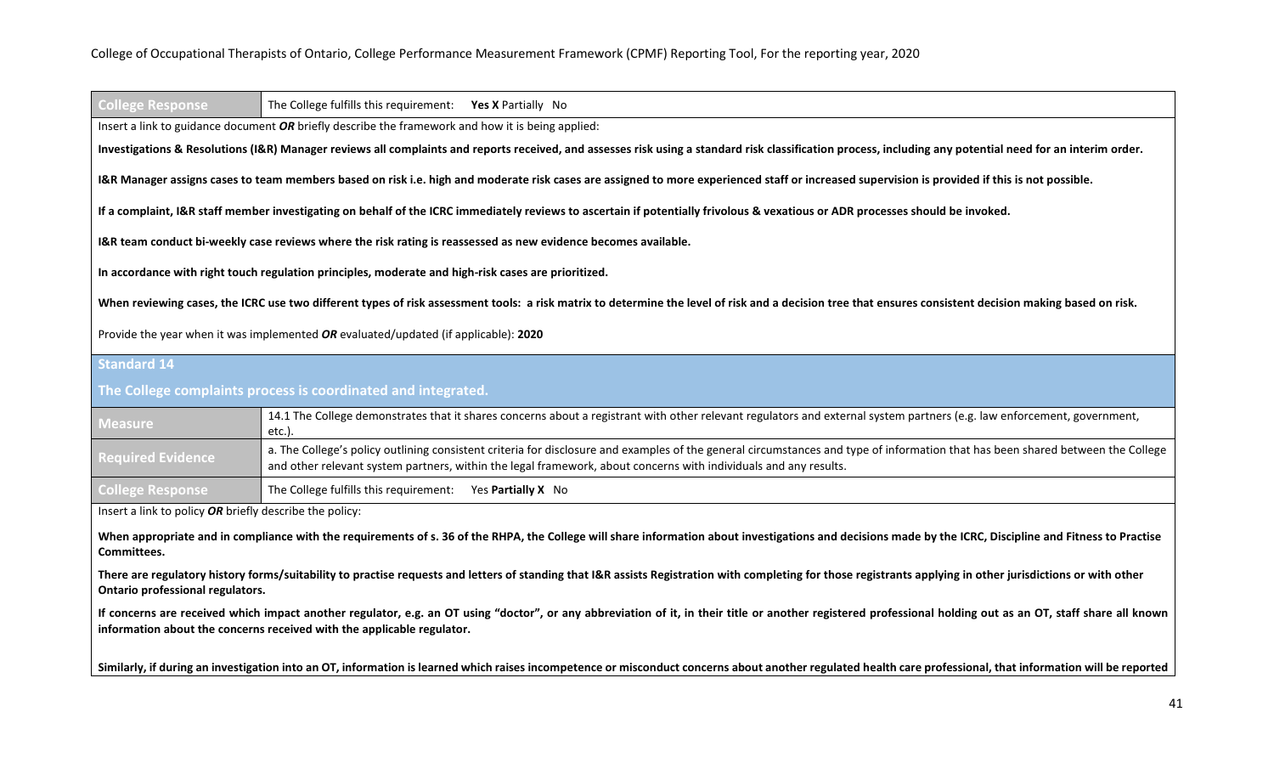| <b>College Response</b>                                 | The College fulfills this requirement: Yes X Partially No                                                                                                                                                                                                                                           |
|---------------------------------------------------------|-----------------------------------------------------------------------------------------------------------------------------------------------------------------------------------------------------------------------------------------------------------------------------------------------------|
|                                                         | Insert a link to guidance document OR briefly describe the framework and how it is being applied:                                                                                                                                                                                                   |
|                                                         | Investigations & Resolutions (I&R) Manager reviews all complaints and reports received, and assesses risk using a standard risk classification process, including any potential need for an interim order.                                                                                          |
|                                                         | I&R Manager assigns cases to team members based on risk i.e. high and moderate risk cases are assigned to more experienced staff or increased supervision is provided if this is not possible.                                                                                                      |
|                                                         | If a complaint, I&R staff member investigating on behalf of the ICRC immediately reviews to ascertain if potentially frivolous & vexatious or ADR processes should be invoked.                                                                                                                      |
|                                                         | I&R team conduct bi-weekly case reviews where the risk rating is reassessed as new evidence becomes available.                                                                                                                                                                                      |
|                                                         | In accordance with right touch regulation principles, moderate and high-risk cases are prioritized.                                                                                                                                                                                                 |
|                                                         | When reviewing cases, the ICRC use two different types of risk assessment tools: a risk matrix to determine the level of risk and a decision tree that ensures consistent decision making based on risk.                                                                                            |
|                                                         | Provide the year when it was implemented OR evaluated/updated (if applicable): 2020                                                                                                                                                                                                                 |
| Standard <sub>14</sub>                                  |                                                                                                                                                                                                                                                                                                     |
|                                                         | The College complaints process is coordinated and integrated.                                                                                                                                                                                                                                       |
| <b>Measure</b>                                          | 14.1 The College demonstrates that it shares concerns about a registrant with other relevant regulators and external system partners (e.g. law enforcement, government,<br>etc.).                                                                                                                   |
| <b>Required Evidence</b>                                | a. The College's policy outlining consistent criteria for disclosure and examples of the general circumstances and type of information that has been shared between the College<br>and other relevant system partners, within the legal framework, about concerns with individuals and any results. |
| <b>College Response</b>                                 | The College fulfills this requirement: Yes Partially X No                                                                                                                                                                                                                                           |
| Insert a link to policy OR briefly describe the policy: |                                                                                                                                                                                                                                                                                                     |
| Committees.                                             | When appropriate and in compliance with the requirements of s. 36 of the RHPA, the College will share information about investigations and decisions made by the ICRC, Discipline and Fitness to Practise                                                                                           |
| Ontario professional regulators.                        | There are regulatory history forms/suitability to practise requests and letters of standing that I&R assists Registration with completing for those registrants applying in other jurisdictions or with other                                                                                       |
|                                                         | If concerns are received which impact another regulator, e.g. an OT using "doctor", or any abbreviation of it, in their title or another registered professional holding out as an OT, staff share all known<br>information about the concerns received with the applicable regulator.              |
|                                                         |                                                                                                                                                                                                                                                                                                     |

**Similarly, if during an investigation into an OT, information is learned which raises incompetence or misconduct concerns about another regulated health care professional, that information will be reported**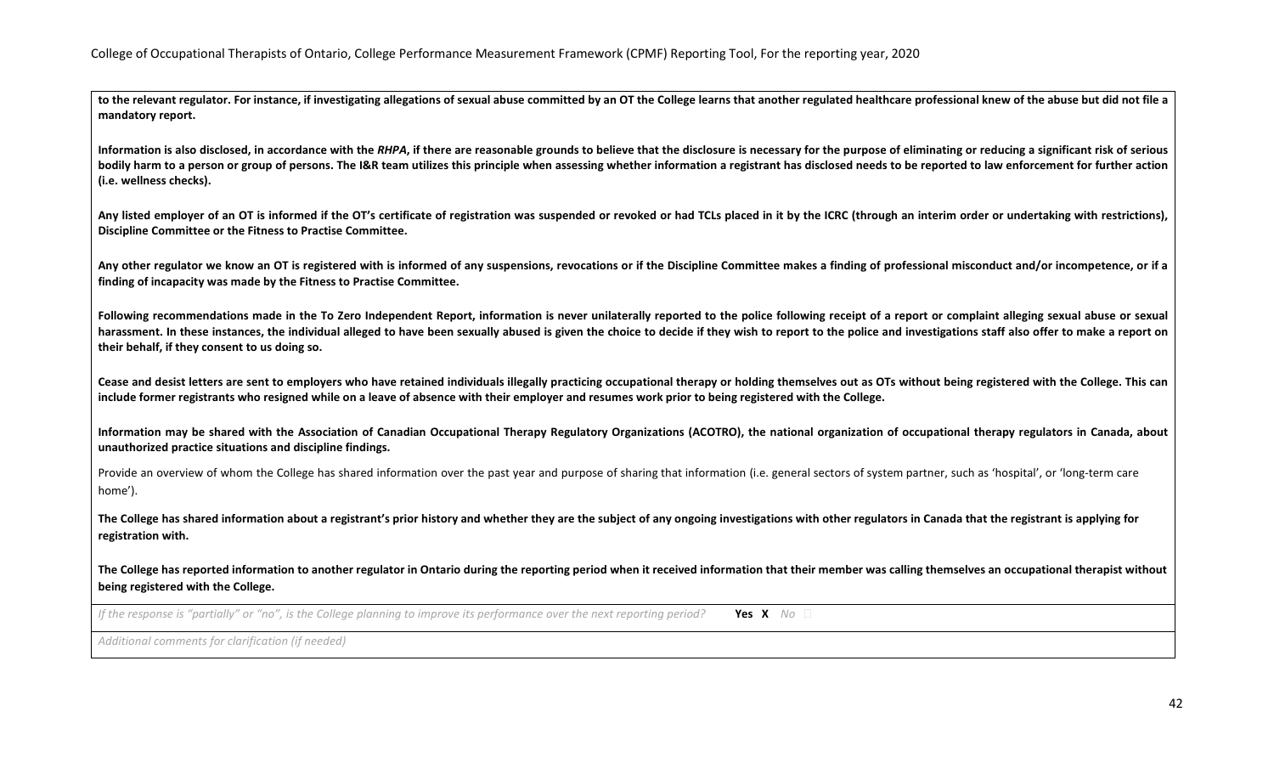to the relevant regulator. For instance, if investigating allegations of sexual abuse committed by an OT the College learns that another regulated healthcare professional knew of the abuse but did not file a **mandatory report.** 

Information is also disclosed, in accordance with the RHPA, if there are reasonable grounds to believe that the disclosure is necessary for the purpose of eliminating or reducing a significant risk of serious **bodily harm to a person or group of persons. The I&R team utilizes this principle when assessing whether information a registrant has disclosed needs to be reported to law enforcement for further action (i.e. wellness checks).** 

**Any listed employer of an OT is informed if the OT's certificate of registration was suspended or revoked or had TCLs placed in it by the ICRC (through an interim order or undertaking with restrictions), Discipline Committee or the Fitness to Practise Committee.** 

**Any other regulator we know an OT is registered with is informed of any suspensions, revocations or if the Discipline Committee makes a finding of professional misconduct and/or incompetence, or if a finding of incapacity was made by the Fitness to Practise Committee.** 

Following recommendations made in the To Zero Independent Report, information is never unilaterally reported to the police following receipt of a report or complaint alleging sexual abuse or sexual harassment. In these instances, the individual alleged to have been sexually abused is given the choice to decide if they wish to report to the police and investigations staff also offer to make a report on **their behalf, if they consent to us doing so.**

**Cease and desist letters are sent to employers who have retained individuals illegally practicing occupational therapy or holding themselves out as OTs without being registered with the College. This can include former registrants who resigned while on a leave of absence with their employer and resumes work prior to being registered with the College.**

**Information may be shared with the Association of Canadian Occupational Therapy Regulatory Organizations (ACOTRO), the national organization of occupational therapy regulators in Canada, about unauthorized practice situations and discipline findings.**

Provide an overview of whom the College has shared information over the past year and purpose of sharing that information (i.e. general sectors of system partner, such as 'hospital', or 'long-term care home').

**The College has shared information about a registrant's prior history and whether they are the subject of any ongoing investigations with other regulators in Canada that the registrant is applying for registration with.** 

**The College has reported information to another regulator in Ontario during the reporting period when it received information that their member was calling themselves an occupational therapist without being registered with the College.**

*If the response is "partially" or "no", is the College planning to improve its performance over the next reporting period?* **Yes X** No □

*Additional comments for clarification (if needed)*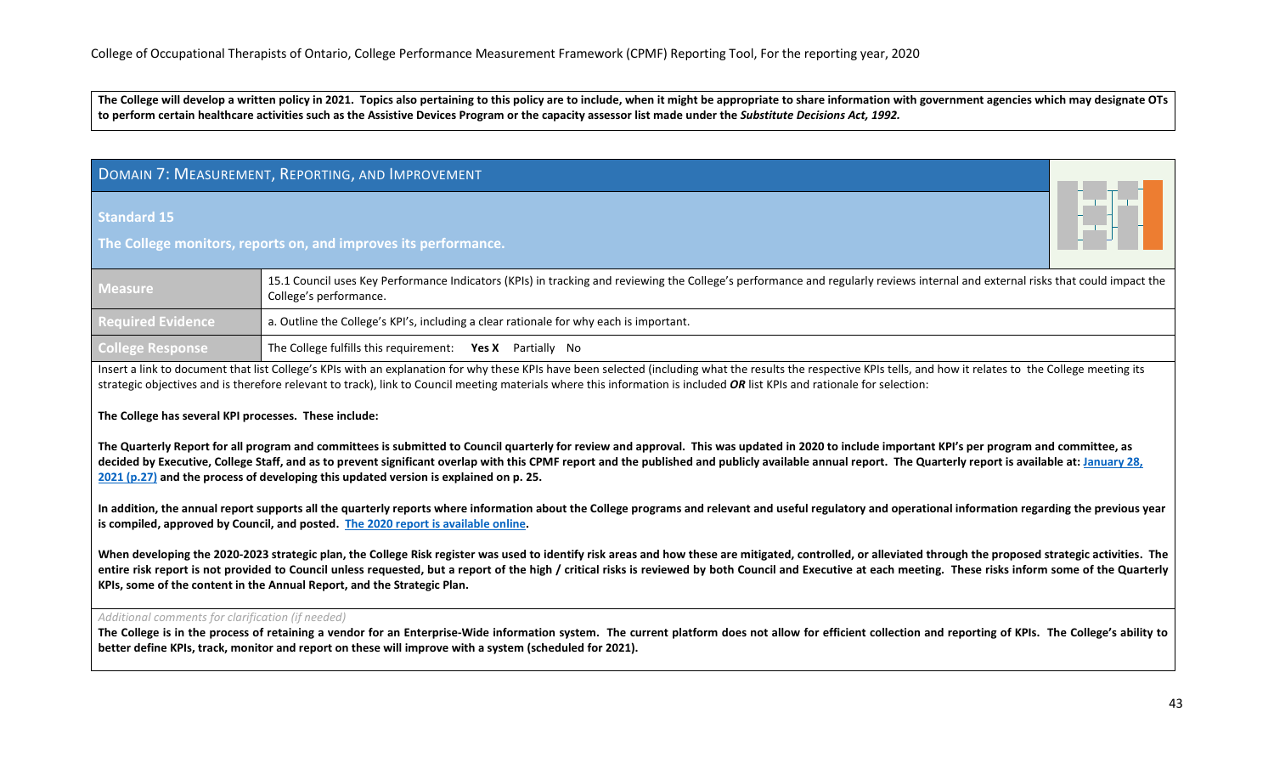**The College will develop a written policy in 2021. Topics also pertaining to this policy are to include, when it might be appropriate to share information with government agencies which may designate OTs to perform certain healthcare activities such as the Assistive Devices Program or the capacity assessor list made under the** *Substitute Decisions Act, 1992.*

# <span id="page-42-0"></span>DOMAIN 7: MEASUREMENT, REPORTING, AND IMPROVEMENT

**Standard 15**

**The College monitors, reports on, and improves its performance.**

| Measure <sup>1</sup>     | 15.1 Council uses Key Performance Indicators (KPIs) in tracking and reviewing the College's performance and regularly reviews internal and external risks that could impact the<br>College's performance. |
|--------------------------|-----------------------------------------------------------------------------------------------------------------------------------------------------------------------------------------------------------|
| <b>Required Evidence</b> | a. Outline the College's KPI's, including a clear rationale for why each is important.                                                                                                                    |
| <b>College Response</b>  | The College fulfills this requirement: Yes X Partially No                                                                                                                                                 |

Insert a link to document that list College's KPIs with an explanation for why these KPIs have been selected (including what the results the respective KPIs tells, and how it relates to the College meeting its strategic objectives and is therefore relevant to track), link to Council meeting materials where this information is included *OR* list KPIs and rationale for selection:

**The College has several KPI processes. These include:**

**The Quarterly Report for all program and committees is submitted to Council quarterly for review and approval. This was updated in 2020 to include important KPI's per program and committee, as decided by Executive, College Staff, and as to prevent significant overlap with this CPMF report and the published and publicly available annual report. The Quarterly report is available at: [January 28,](https://www.coto.org/docs/default-source/council-meeting-materials/council-meeting-package-january-28-2021.pdf?sfvrsn=1d4beaef_2)  [2021 \(p.27\)](https://www.coto.org/docs/default-source/council-meeting-materials/council-meeting-package-january-28-2021.pdf?sfvrsn=1d4beaef_2) and the process of developing this updated version is explained on p. 25.**

**In addition, the annual report supports all the quarterly reports where information about the College programs and relevant and useful regulatory and operational information regarding the previous year is compiled, approved by Council, and posted. [The 2020 report is available](file://gfserver/Company/Shared/CPMF%20(JE)/Submission%202021/annualreport.coto.org/year-in-review) online.**

When developing the 2020-2023 strategic plan, the College Risk register was used to identify risk areas and how these are mitigated, controlled, or alleviated through the proposed strategic activities. The **entire risk report is not provided to Council unless requested, but a report of the high / critical risks is reviewed by both Council and Executive at each meeting. These risks inform some of the Quarterly KPIs, some of the content in the Annual Report, and the Strategic Plan.**

#### *Additional comments for clarification (if needed)*

**The College is in the process of retaining a vendor for an Enterprise-Wide information system. The current platform does not allow for efficient collection and reporting of KPIs. The College's ability to better define KPIs, track, monitor and report on these will improve with a system (scheduled for 2021).**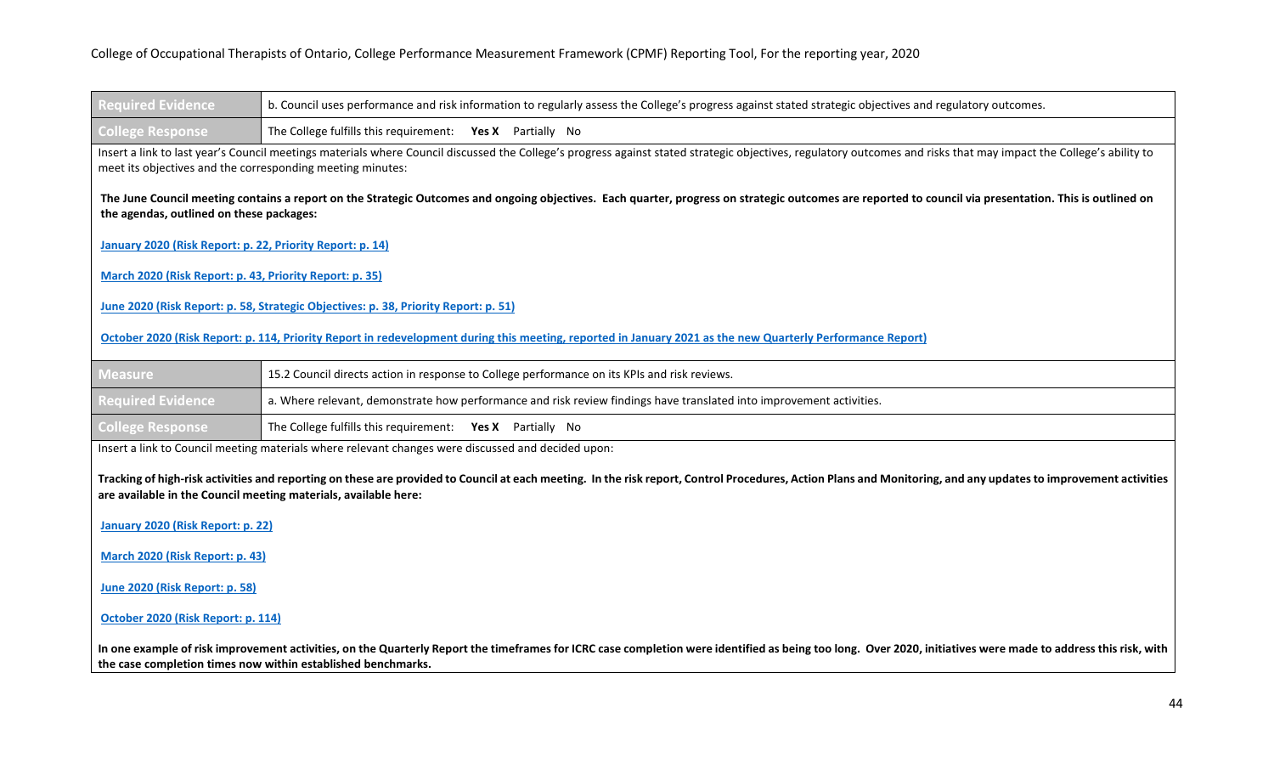| <b>Required Evidence</b>                                  | b. Council uses performance and risk information to regularly assess the College's progress against stated strategic objectives and regulatory outcomes.                                                                                                                           |
|-----------------------------------------------------------|------------------------------------------------------------------------------------------------------------------------------------------------------------------------------------------------------------------------------------------------------------------------------------|
| <b>College Response</b>                                   | The College fulfills this requirement: Yes X Partially No                                                                                                                                                                                                                          |
|                                                           | Insert a link to last year's Council meetings materials where Council discussed the College's progress against stated strategic objectives, regulatory outcomes and risks that may impact the College's ability to<br>meet its objectives and the corresponding meeting minutes:   |
| the agendas, outlined on these packages:                  | The June Council meeting contains a report on the Strategic Outcomes and ongoing objectives. Each quarter, progress on strategic outcomes are reported to council via presentation. This is outlined on                                                                            |
| January 2020 (Risk Report: p. 22, Priority Report: p. 14) |                                                                                                                                                                                                                                                                                    |
| March 2020 (Risk Report: p. 43, Priority Report: p. 35)   |                                                                                                                                                                                                                                                                                    |
|                                                           | June 2020 (Risk Report: p. 58, Strategic Objectives: p. 38, Priority Report: p. 51)                                                                                                                                                                                                |
|                                                           | October 2020 (Risk Report: p. 114, Priority Report in redevelopment during this meeting, reported in January 2021 as the new Quarterly Performance Report)                                                                                                                         |
| <b>Measure</b>                                            | 15.2 Council directs action in response to College performance on its KPIs and risk reviews.                                                                                                                                                                                       |
| <b>Required Evidence</b>                                  | a. Where relevant, demonstrate how performance and risk review findings have translated into improvement activities.                                                                                                                                                               |
| <b>College Response</b>                                   | The College fulfills this requirement: Yes X Partially No                                                                                                                                                                                                                          |
|                                                           | Insert a link to Council meeting materials where relevant changes were discussed and decided upon:                                                                                                                                                                                 |
|                                                           | Tracking of high-risk activities and reporting on these are provided to Council at each meeting. In the risk report, Control Procedures, Action Plans and Monitoring, and any updates to improvement activities<br>are available in the Council meeting materials, available here: |
| January 2020 (Risk Report: p. 22)                         |                                                                                                                                                                                                                                                                                    |
| March 2020 (Risk Report: p. 43)                           |                                                                                                                                                                                                                                                                                    |
| June 2020 (Risk Report: p. 58)                            |                                                                                                                                                                                                                                                                                    |
| October 2020 (Risk Report: p. 114)                        |                                                                                                                                                                                                                                                                                    |

**In one example of risk improvement activities, on the Quarterly Report the timeframes for ICRC case completion were identified as being too long. Over 2020, initiatives were made to address this risk, with the case completion times now within established benchmarks.**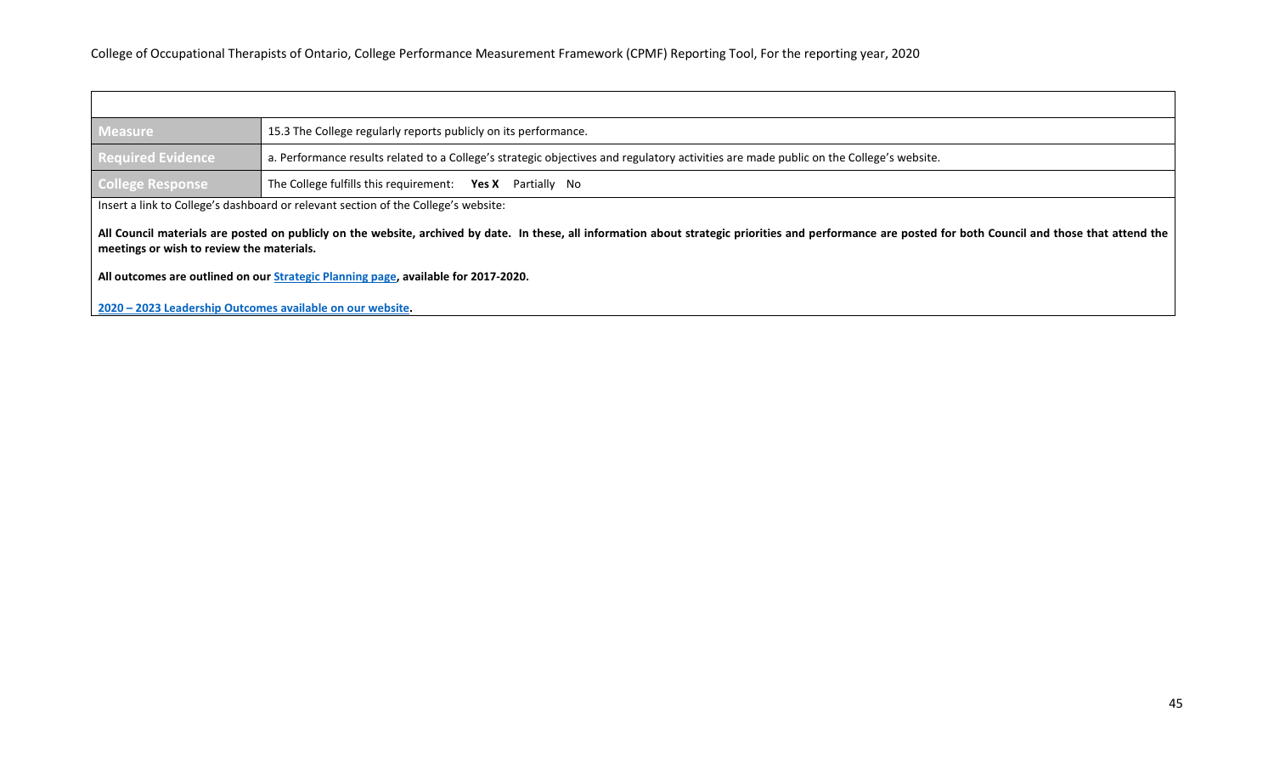| <b>Measure</b>                            | 15.3 The College regularly reports publicly on its performance.                                                                                                                                           |
|-------------------------------------------|-----------------------------------------------------------------------------------------------------------------------------------------------------------------------------------------------------------|
| <b>Required Evidence</b>                  | a. Performance results related to a College's strategic objectives and regulatory activities are made public on the College's website.                                                                    |
| College Response                          | The College fulfills this requirement: Yes X Partially No                                                                                                                                                 |
|                                           | Insert a link to College's dashboard or relevant section of the College's website:                                                                                                                        |
| meetings or wish to review the materials. | All Council materials are posted on publicly on the website, archived by date. In these, all information about strategic priorities and performance are posted for both Council and those that attend the |

**All outcomes are outlined on ou[r Strategic Planning page,](https://www.coto.org/about/who-we-are/strategic-priorities/2020---2023-leadership-outcomes) available for 2017-2020.**

**2020 – [2023 Leadership Outcomes available on our website.](https://www.coto.org/about/who-we-are/strategic-priorities/2020---2023-leadership-outcomes)**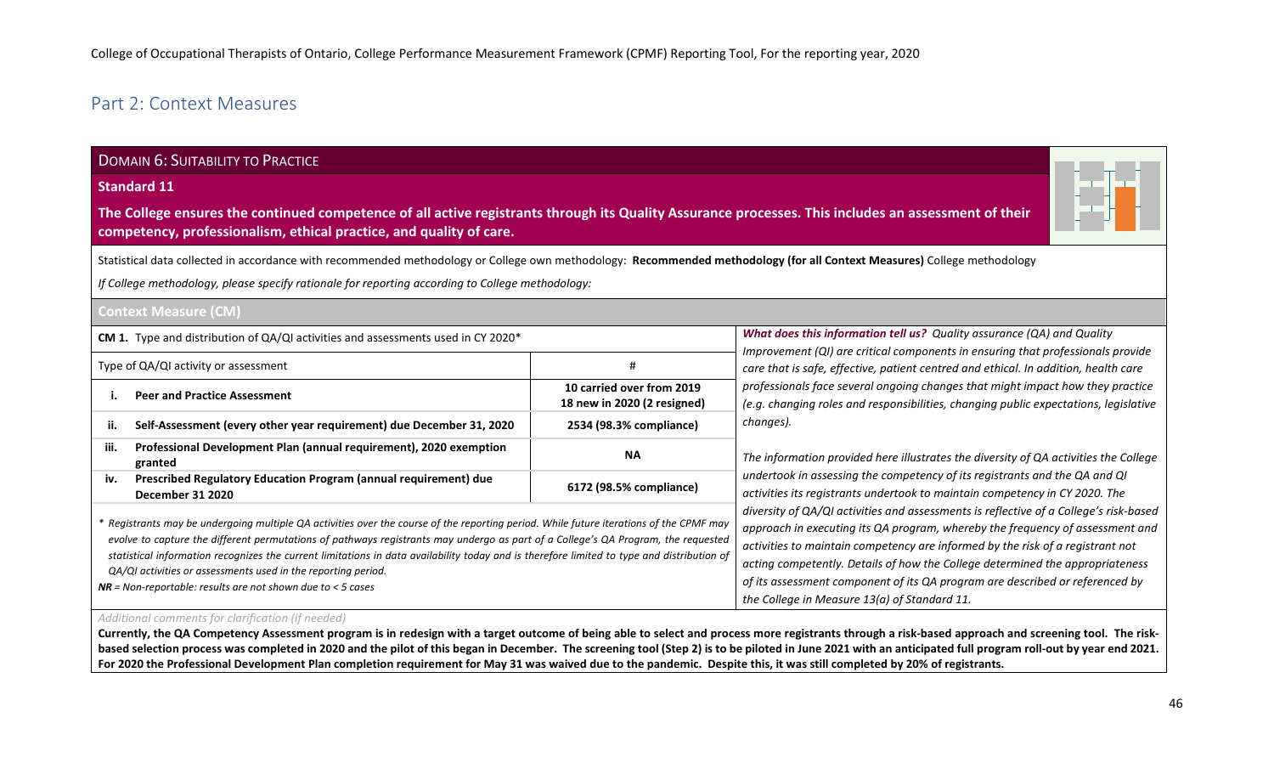# <span id="page-45-0"></span>Part 2: Context Measures

# DOMAIN 6: SUITABILITY TO PRACTICE

#### **Standard 11**

**The College ensures the continued competence of all active registrants through its Quality Assurance processes. This includes an assessment of their competency, professionalism, ethical practice, and quality of care.**



Statistical data collected in accordance with recommended methodology or College own methodology: **Recommended methodology (for all Context Measures)** College methodology

*If College methodology, please specify rationale for reporting according to College methodology:*

# **Context Measure (CM)**

| <b>CM 1.</b> Type and distribution of $QA/QI$ activities and assessments used in CY 2020*                                                                                                                                                                                                                                                                                                                                                                                                                                                                  |                                                          | What does this information tell us? Quality assurance (QA) and Quality                                                                                                                                                                                                                                                                                                                                                                                                    |
|------------------------------------------------------------------------------------------------------------------------------------------------------------------------------------------------------------------------------------------------------------------------------------------------------------------------------------------------------------------------------------------------------------------------------------------------------------------------------------------------------------------------------------------------------------|----------------------------------------------------------|---------------------------------------------------------------------------------------------------------------------------------------------------------------------------------------------------------------------------------------------------------------------------------------------------------------------------------------------------------------------------------------------------------------------------------------------------------------------------|
| Type of QA/QI activity or assessment                                                                                                                                                                                                                                                                                                                                                                                                                                                                                                                       |                                                          | Improvement (QI) are critical components in ensuring that professionals provide<br>care that is safe, effective, patient centred and ethical. In addition, health care                                                                                                                                                                                                                                                                                                    |
| <b>Peer and Practice Assessment</b>                                                                                                                                                                                                                                                                                                                                                                                                                                                                                                                        | 10 carried over from 2019<br>18 new in 2020 (2 resigned) | professionals face several ongoing changes that might impact how they practice<br>(e.g. changing roles and responsibilities, changing public expectations, legislative                                                                                                                                                                                                                                                                                                    |
| Self-Assessment (every other year requirement) due December 31, 2020<br>ii.                                                                                                                                                                                                                                                                                                                                                                                                                                                                                | 2534 (98.3% compliance)                                  | changes).                                                                                                                                                                                                                                                                                                                                                                                                                                                                 |
| Professional Development Plan (annual requirement), 2020 exemption<br>iii.<br>granted                                                                                                                                                                                                                                                                                                                                                                                                                                                                      | <b>NA</b>                                                | The information provided here illustrates the diversity of QA activities the College                                                                                                                                                                                                                                                                                                                                                                                      |
| Prescribed Regulatory Education Program (annual requirement) due<br>iv.<br><b>December 31 2020</b>                                                                                                                                                                                                                                                                                                                                                                                                                                                         | 6172 (98.5% compliance)                                  | undertook in assessing the competency of its registrants and the QA and QI<br>activities its registrants undertook to maintain competency in CY 2020. The                                                                                                                                                                                                                                                                                                                 |
| Registrants may be undergoing multiple QA activities over the course of the reporting period. While future iterations of the CPMF may<br>evolve to capture the different permutations of pathways registrants may undergo as part of a College's QA Program, the requested<br>statistical information recognizes the current limitations in data availability today and is therefore limited to type and distribution of<br>QA/QI activities or assessments used in the reporting period.<br>$NR = Non-reportable: results are not shown due to < 5 cases$ |                                                          | diversity of QA/QI activities and assessments is reflective of a College's risk-based<br>approach in executing its QA program, whereby the frequency of assessment and<br>activities to maintain competency are informed by the risk of a registrant not<br>acting competently. Details of how the College determined the appropriateness<br>of its assessment component of its QA program are described or referenced by<br>the College in Measure 13(a) of Standard 11. |

#### *Additional comments for clarification (if needed)*

**Currently, the QA Competency Assessment program is in redesign with a target outcome of being able to select and process more registrants through a risk-based approach and screening tool. The risk**based selection process was completed in 2020 and the pilot of this began in December. The screening tool (Step 2) is to be piloted in June 2021 with an anticipated full program roll-out by year end 2021. **For 2020 the Professional Development Plan completion requirement for May 31 was waived due to the pandemic. Despite this, it was still completed by 20% of registrants.**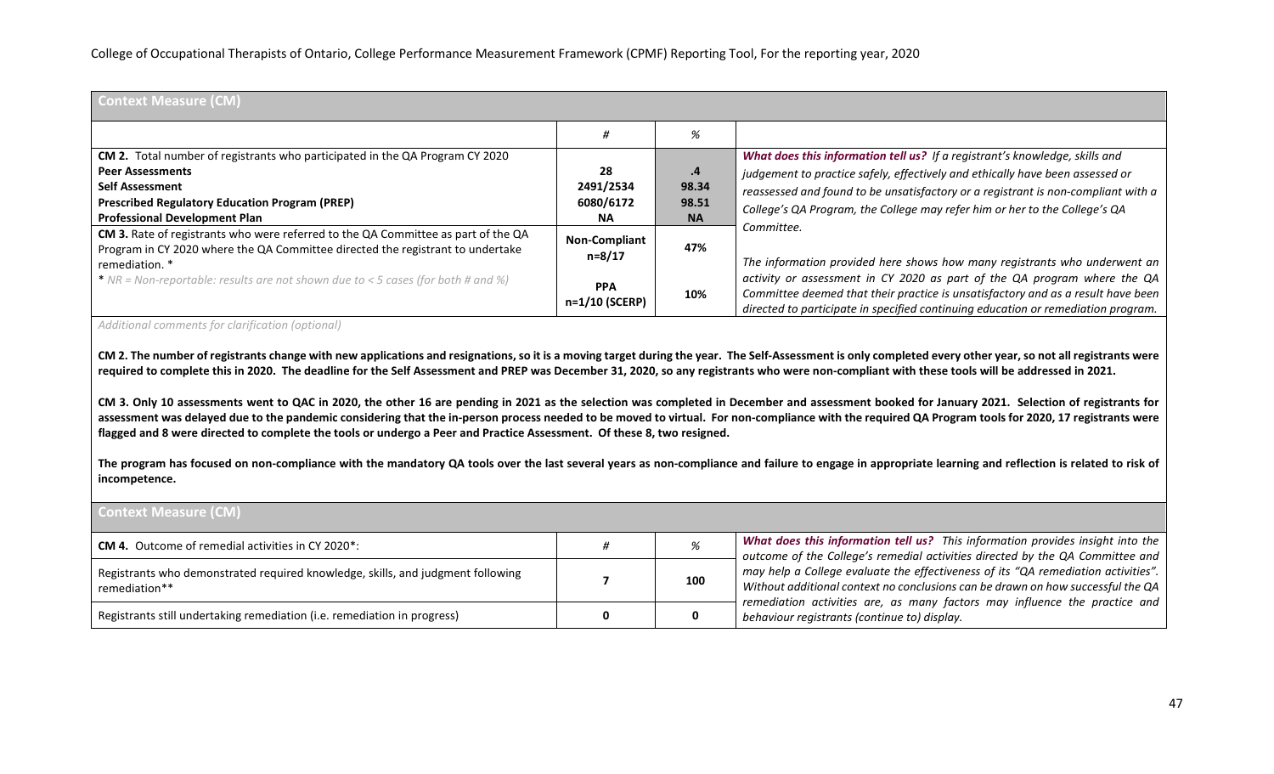| <b>Context Measure (CM)</b>                                                                                                                                                                                                        |                                           |                                   |                                                                                                                                                                                                                                                                                                                                               |
|------------------------------------------------------------------------------------------------------------------------------------------------------------------------------------------------------------------------------------|-------------------------------------------|-----------------------------------|-----------------------------------------------------------------------------------------------------------------------------------------------------------------------------------------------------------------------------------------------------------------------------------------------------------------------------------------------|
|                                                                                                                                                                                                                                    |                                           | %                                 |                                                                                                                                                                                                                                                                                                                                               |
| CM 2. Total number of registrants who participated in the QA Program CY 2020<br><b>Peer Assessments</b><br><b>Self Assessment</b><br><b>Prescribed Regulatory Education Program (PREP)</b><br><b>Professional Development Plan</b> | 28<br>2491/2534<br>6080/6172<br><b>NA</b> | .4<br>98.34<br>98.51<br><b>NA</b> | What does this information tell us? If a registrant's knowledge, skills and<br>judgement to practice safely, effectively and ethically have been assessed or<br>reassessed and found to be unsatisfactory or a registrant is non-compliant with a<br>College's QA Program, the College may refer him or her to the College's QA<br>Committee. |
| CM 3. Rate of registrants who were referred to the QA Committee as part of the QA<br>Program in CY 2020 where the QA Committee directed the registrant to undertake<br>remediation. *                                              | <b>Non-Compliant</b><br>$n = 8/17$        | 47%                               | The information provided here shows how many registrants who underwent an                                                                                                                                                                                                                                                                     |
| * NR = Non-reportable: results are not shown due to < 5 cases (for both # and %)                                                                                                                                                   | <b>PPA</b><br>n=1/10 (SCERP)              | 10%                               | activity or assessment in CY 2020 as part of the QA program where the QA<br>Committee deemed that their practice is unsatisfactory and as a result have been<br>directed to participate in specified continuing education or remediation program.                                                                                             |

*Additional comments for clarification (optional)*

**CM 2. The number of registrants change with new applications and resignations, so it is a moving target during the year. The Self-Assessment is only completed every other year, so not all registrants were required to complete this in 2020. The deadline for the Self Assessment and PREP was December 31, 2020, so any registrants who were non-compliant with these tools will be addressed in 2021.**

**CM 3. Only 10 assessments went to QAC in 2020, the other 16 are pending in 2021 as the selection was completed in December and assessment booked for January 2021. Selection of registrants for assessment was delayed due to the pandemic considering that the in-person process needed to be moved to virtual. For non-compliance with the required QA Program tools for 2020, 17 registrants were flagged and 8 were directed to complete the tools or undergo a Peer and Practice Assessment. Of these 8, two resigned.**

**The program has focused on non-compliance with the mandatory QA tools over the last several years as non-compliance and failure to engage in appropriate learning and reflection is related to risk of incompetence.**

| <b>Context Measure (CM)</b>                                                                      |     |                                                                                                                                                                      |
|--------------------------------------------------------------------------------------------------|-----|----------------------------------------------------------------------------------------------------------------------------------------------------------------------|
| <b>CM 4.</b> Outcome of remedial activities in CY 2020*:                                         |     | What does this information tell us? This information provides insight into the<br>outcome of the College's remedial activities directed by the QA Committee and      |
| Registrants who demonstrated required knowledge, skills, and judgment following<br>remediation** | 100 | may help a College evaluate the effectiveness of its "QA remediation activities".<br>Without additional context no conclusions can be drawn on how successful the QA |
| Registrants still undertaking remediation (i.e. remediation in progress)                         |     | remediation activities are, as many factors may influence the practice and<br>behaviour registrants (continue to) display.                                           |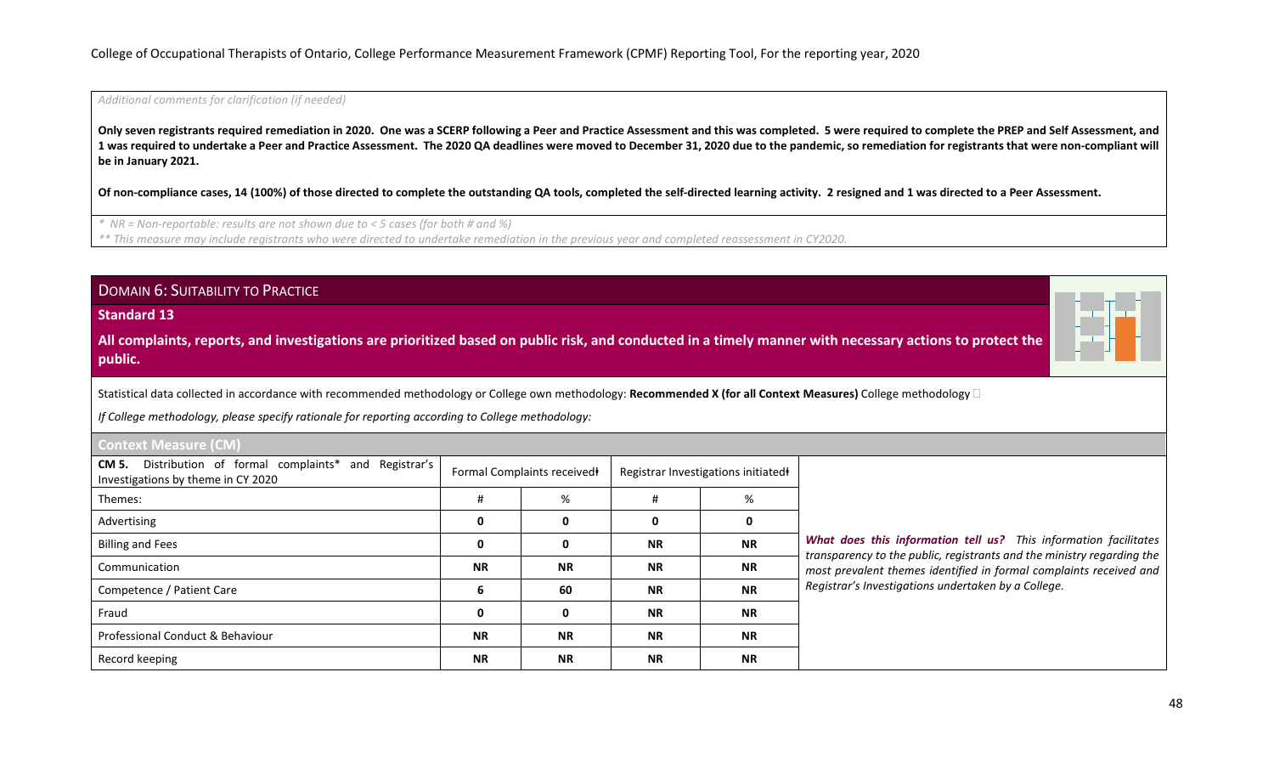*Additional comments for clarification (if needed)*

**Only seven registrants required remediation in 2020. One was a SCERP following a Peer and Practice Assessment and this was completed. 5 were required to complete the PREP and Self Assessment, and 1 was required to undertake a Peer and Practice Assessment. The 2020 QA deadlines were moved to December 31, 2020 due to the pandemic, so remediation for registrants that were non-compliant will be in January 2021.**

**Of non-compliance cases, 14 (100%) of those directed to complete the outstanding QA tools, completed the self-directed learning activity. 2 resigned and 1 was directed to a Peer Assessment.**

*\* NR = Non-reportable: results are not shown due to < 5 cases (for both # and %)*

*\*\* This measure may include registrants who were directed to undertake remediation in the previous year and completed reassessment in CY2020.*

Billing and Fees **0 0 NR NR** Communication **NR NR NR NR** Competence / Patient Care **6 60 NR NR** Fraud **0 0 NR NR** Professional Conduct & Behaviour **NR NR NR NR** Record keeping **NR NR NR NR**

| <b>DOMAIN 6: SUITABILITY TO PRACTICE</b>                                                                                                                                                                                                                                  |   |                            |   |                                    |  |
|---------------------------------------------------------------------------------------------------------------------------------------------------------------------------------------------------------------------------------------------------------------------------|---|----------------------------|---|------------------------------------|--|
| <b>Standard 13</b>                                                                                                                                                                                                                                                        |   |                            |   |                                    |  |
| All complaints, reports, and investigations are prioritized based on public risk, and conducted in a timely manner with necessary actions to protect the<br>public.                                                                                                       |   |                            |   |                                    |  |
| Statistical data collected in accordance with recommended methodology or College own methodology: Recommended X (for all Context Measures) College methodology $\Box$<br>If College methodology, please specify rationale for reporting according to College methodology: |   |                            |   |                                    |  |
| <b>Context Measure (CM)</b>                                                                                                                                                                                                                                               |   |                            |   |                                    |  |
| Distribution of formal complaints* and Registrar's<br>CM 5.<br>Investigations by theme in CY 2020                                                                                                                                                                         |   | Formal Complaints received |   | Registrar Investigations initiated |  |
| Themes:                                                                                                                                                                                                                                                                   |   | %                          |   | %                                  |  |
| Advertising                                                                                                                                                                                                                                                               | 0 | 0                          | 0 | 0                                  |  |

*What does this information tell us? This information facilitates transparency to the public, registrants and the ministry regarding the most prevalent themes identified in formal complaints received and Registrar's Investigations undertaken by a College.*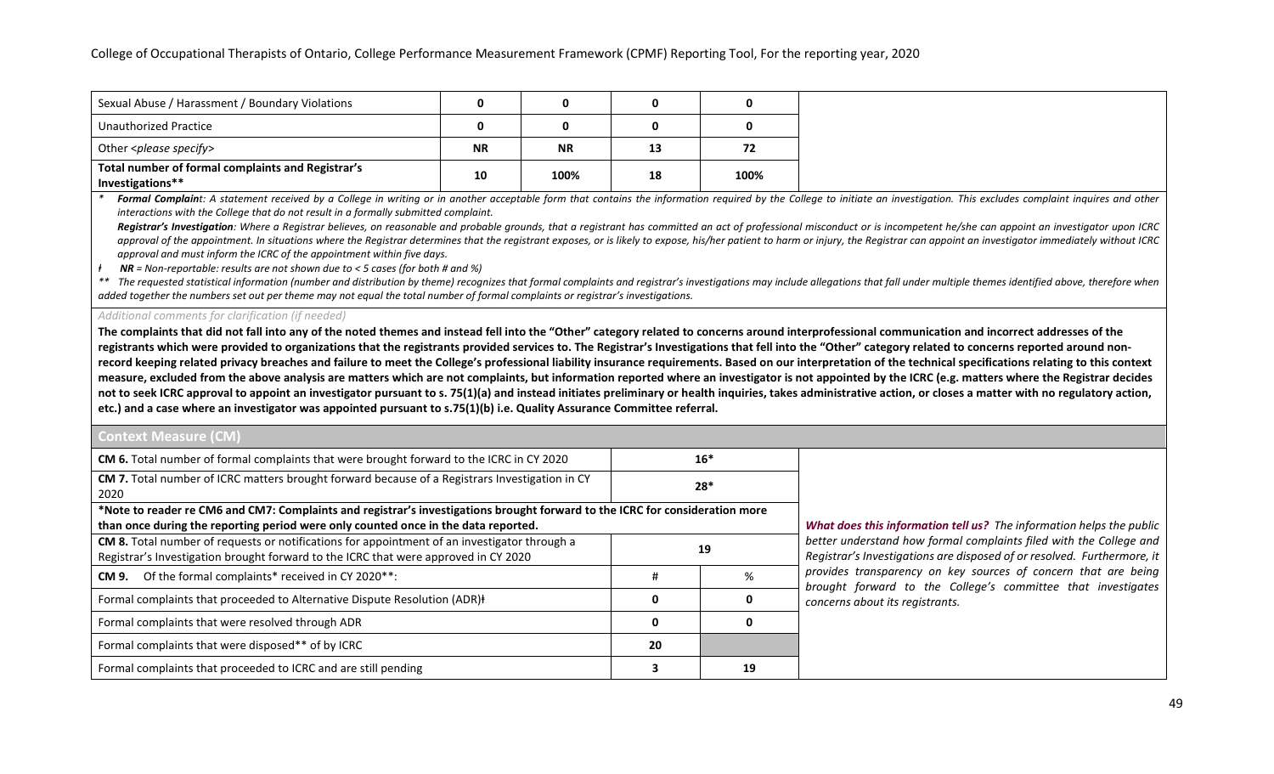| Sexual Abuse / Harassment / Boundary Violations   |           |           |    |      |
|---------------------------------------------------|-----------|-----------|----|------|
| <b>Unauthorized Practice</b>                      |           |           |    |      |
| Other <please specify=""></please>                | <b>NR</b> | <b>NR</b> | 13 | 72   |
| Total number of formal complaints and Registrar's | 10        | 100%      | 18 | 100% |
| Investigations**                                  |           |           |    |      |

Formal Complaint: A statement received by a College in writing or in another acceptable form that contains the information required by the College to initiate an investigation. This excludes complaint inquires and other *interactions with the College that do not result in a formally submitted complaint.*

Registrar's Investigation: Where a Registrar believes, on reasonable and probable grounds, that a registrant has committed an act of professional misconduct or is incompetent he/she can appoint an investigator upon ICRC approval of the appointment. In situations where the Registrar determines that the registrant exposes, or is likely to expose, his/her patient to harm or injury, the Registrar can appoint an investigator immediately withou *approval and must inform the ICRC of the appointment within five days.*

*ⱡ NR = Non-reportable: results are not shown due to < 5 cases (for both # and %)*

\*\* The requested statistical information (number and distribution by theme) recognizes that formal complaints and registrar's investigations may include allegations that fall under multiple themes identified above, therefo *added together the numbers set out per theme may not equal the total number of formal complaints or registrar's investigations.*

#### *Additional comments for clarification (if needed)*

**The complaints that did not fall into any of the noted themes and instead fell into the "Other" category related to concerns around interprofessional communication and incorrect addresses of the registrants which were provided to organizations that the registrants provided services to. The Registrar's Investigations that fell into the "Other" category related to concerns reported around non**record keeping related privacy breaches and failure to meet the College's professional liability insurance requirements. Based on our interpretation of the technical specifications relating to this context **measure, excluded from the above analysis are matters which are not complaints, but information reported where an investigator is not appointed by the ICRC (e.g. matters where the Registrar decides**  not to seek ICRC approval to appoint an investigator pursuant to s. 75(1)(a) and instead initiates preliminary or health inquiries, takes administrative action, or closes a matter with no regulatory action, **etc.) and a case where an investigator was appointed pursuant to s.75(1)(b) i.e. Quality Assurance Committee referral.**

# **Context Measure (CM)**

| CM 6. Total number of formal complaints that were brought forward to the ICRC in CY 2020<br>$16*$                            |    |    |                                   |  |  |
|------------------------------------------------------------------------------------------------------------------------------|----|----|-----------------------------------|--|--|
| CM 7. Total number of ICRC matters brought forward because of a Registrars Investigation in CY<br>$28*$                      |    |    |                                   |  |  |
| 2020                                                                                                                         |    |    |                                   |  |  |
| *Note to reader re CM6 and CM7: Complaints and registrar's investigations brought forward to the ICRC for consideration more |    |    |                                   |  |  |
| than once during the reporting period were only counted once in the data reported.                                           |    |    |                                   |  |  |
| CM 8. Total number of requests or notifications for appointment of an investigator through a<br>19                           |    |    |                                   |  |  |
| Registrar's Investigation brought forward to the ICRC that were approved in CY 2020                                          |    |    |                                   |  |  |
| Of the formal complaints* received in CY 2020**:<br>CM 9.                                                                    | #  | %  | provides transp<br>brought forwar |  |  |
| Formal complaints that proceeded to Alternative Dispute Resolution (ADR)+                                                    |    | 0  | concerns about                    |  |  |
| Formal complaints that were resolved through ADR                                                                             |    | 0  |                                   |  |  |
| Formal complaints that were disposed** of by ICRC                                                                            | 20 |    |                                   |  |  |
| Formal complaints that proceeded to ICRC and are still pending                                                               |    | 19 |                                   |  |  |

*What does this information tell us? The information helps the public*  nd how formal complaints filed with the College and *Registrar's Investigations are disposed of or resolved. Furthermore, it arency on key sources of concern that are being brought forward to the College's committee that investigates concerns about its registrants.*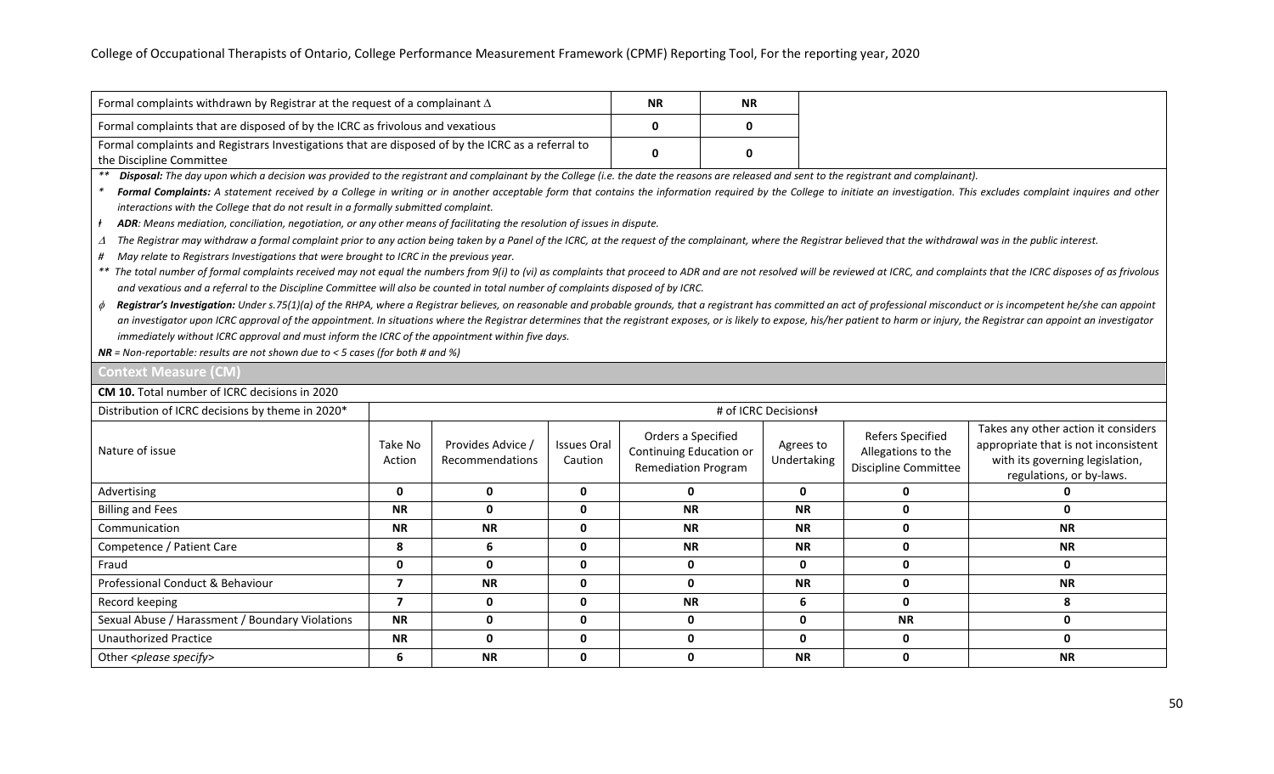| Formal complaints withdrawn by Registrar at the request of a complainant $\Delta$                 | <b>NR</b> | <b>NR</b> |
|---------------------------------------------------------------------------------------------------|-----------|-----------|
| Formal complaints that are disposed of by the ICRC as frivolous and vexatious                     |           |           |
| Formal complaints and Registrars Investigations that are disposed of by the ICRC as a referral to |           |           |
| the Discipline Committee                                                                          |           |           |

*\*\* Disposal: The day upon which a decision was provided to the registrant and complainant by the College (i.e. the date the reasons are released and sent to the registrant and complainant).*

Formal Complaints: A statement received by a College in writing or in another acceptable form that contains the information required by the College to initiate an investigation. This excludes complaint inquires and other *interactions with the College that do not result in a formally submitted complaint.* 

*ⱡ ADR: Means mediation, conciliation, negotiation, or any other means of facilitating the resolution of issues in dispute.*

<sup>∆</sup> *The Registrar may withdraw a formal complaint prior to any action being taken by a Panel of the ICRC, at the request of the complainant, where the Registrar believed that the withdrawal was in the public interest.*

*# May relate to Registrars Investigations that were brought to ICRC in the previous year.*

\*\* The total number of formal complaints received may not equal the numbers from 9(i) to (vi) as complaints that proceed to ADR and are not resolved will be reviewed at ICRC, and complaints that the ICRC disposes of as fri *and vexatious and a referral to the Discipline Committee will also be counted in total number of complaints disposed of by ICRC.*

φ Registrar's Investigation: Under s.75(1)(a) of the RHPA, where a Registrar believes, on reasonable and probable grounds, that a registrant has committed an act of professional misconduct or is incompetent he/she can app an investigator upon ICRC approval of the appointment. In situations where the Registrar determines that the registrant exposes, or is likely to expose, his/her patient to harm or injury, the Registrar can appoint an inves *immediately without ICRC approval and must inform the ICRC of the appointment within five days.*

*NR = Non-reportable: results are not shown due to < 5 cases (for both # and %)*

#### **Context Measure (CM)**

**CM 10.** Total number of ICRC decisions in 2020

| Distribution of ICRC decisions by theme in 2020* | # of ICRC Decisions |                                             |                               |                                                                             |                          |                                                                |                                                                                                                                            |
|--------------------------------------------------|---------------------|---------------------------------------------|-------------------------------|-----------------------------------------------------------------------------|--------------------------|----------------------------------------------------------------|--------------------------------------------------------------------------------------------------------------------------------------------|
| Nature of issue                                  | Take No<br>Action   | Provides Advice /<br><b>Recommendations</b> | <b>Issues Oral</b><br>Caution | Orders a Specified<br>Continuing Education or<br><b>Remediation Program</b> | Agrees to<br>Undertaking | Refers Specified<br>Allegations to the<br>Discipline Committee | Takes any other action it considers<br>appropriate that is not inconsistent<br>with its governing legislation,<br>regulations, or by-laws. |
| Advertising                                      | $\mathbf 0$         | $\mathbf{0}$                                | 0                             | $\mathbf{0}$                                                                | $\mathbf{0}$             |                                                                |                                                                                                                                            |
| <b>Billing and Fees</b>                          | <b>NR</b>           | 0                                           | $\mathbf 0$                   | <b>NR</b>                                                                   | <b>NR</b>                | 0                                                              | 0                                                                                                                                          |
| Communication                                    | <b>NR</b>           | <b>NR</b>                                   | $\mathbf 0$                   | <b>NR</b>                                                                   | <b>NR</b>                | 0                                                              | <b>NR</b>                                                                                                                                  |
| Competence / Patient Care                        | 8                   | 6                                           | 0                             | <b>NR</b>                                                                   | <b>NR</b>                | O                                                              | <b>NR</b>                                                                                                                                  |
| Fraud                                            | 0                   | 0                                           | $\mathbf 0$                   | 0                                                                           | 0                        | 0                                                              | 0                                                                                                                                          |
| Professional Conduct & Behaviour                 |                     | <b>NR</b>                                   | $\mathbf 0$                   | 0                                                                           | <b>NR</b>                | O                                                              | <b>NR</b>                                                                                                                                  |
| Record keeping                                   |                     | 0                                           | $\mathbf{0}$                  | <b>NR</b>                                                                   | 6                        | 0                                                              |                                                                                                                                            |
| Sexual Abuse / Harassment / Boundary Violations  | <b>NR</b>           | 0                                           | $\mathbf 0$                   | 0                                                                           | 0                        | <b>NR</b>                                                      | 0                                                                                                                                          |
| <b>Unauthorized Practice</b>                     | <b>NR</b>           | 0                                           | $\mathbf 0$                   | $\mathbf{0}$                                                                | 0                        | 0                                                              | 0                                                                                                                                          |
| Other <please specify=""></please>               | 6                   | <b>NR</b>                                   | 0                             | 0                                                                           | <b>NR</b>                | 0                                                              | <b>NR</b>                                                                                                                                  |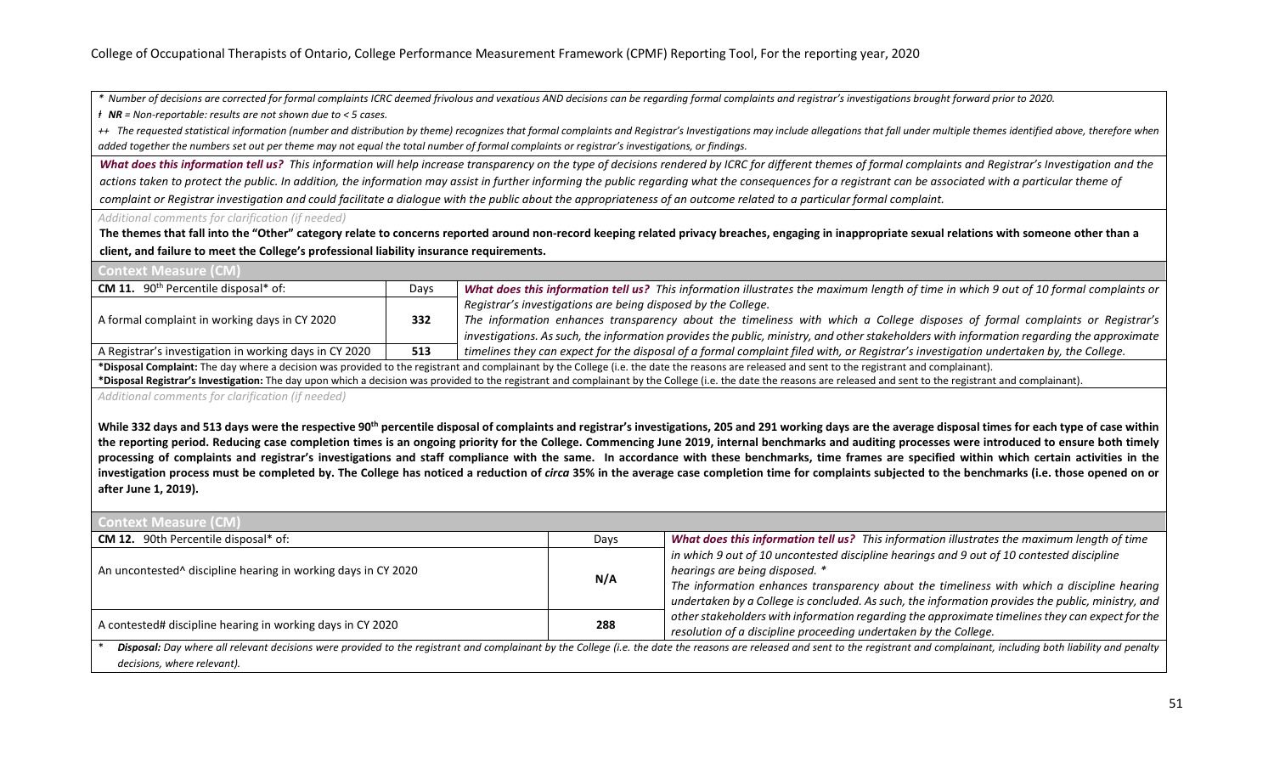*\* Number of decisions are corrected for formal complaints ICRC deemed frivolous and vexatious AND decisions can be regarding formal complaints and registrar's investigations brought forward prior to 2020.*

*ⱡ NR = Non-reportable: results are not shown due to < 5 cases.*

++ The requested statistical information (number and distribution by theme) recognizes that formal complaints and Registrar's Investigations may include allegations that fall under multiple themes identified above, therefo *added together the numbers set out per theme may not equal the total number of formal complaints or registrar's investigations, or findings.*

*What does this information tell us? This information will help increase transparency on the type of decisions rendered by ICRC for different themes of formal complaints and Registrar's Investigation and the actions taken to protect the public. In addition, the information may assist in further informing the public regarding what the consequences for a registrant can be associated with a particular theme of complaint or Registrar investigation and could facilitate a dialogue with the public about the appropriateness of an outcome related to a particular formal complaint.*

#### *Additional comments for clarification (if needed)*

**The themes that fall into the "Other" category relate to concerns reported around non-record keeping related privacy breaches, engaging in inappropriate sexual relations with someone other than a client, and failure to meet the College's professional liability insurance requirements.**

| <b>Context Measure (CM)</b>                                                                                                                                                                                           |      |                                                                                                                                           |  |
|-----------------------------------------------------------------------------------------------------------------------------------------------------------------------------------------------------------------------|------|-------------------------------------------------------------------------------------------------------------------------------------------|--|
| <b>CM 11.</b> 90 <sup>th</sup> Percentile disposal* of:                                                                                                                                                               | Days | What does this information tell us? This information illustrates the maximum length of time in which 9 out of 10 formal complaints or     |  |
|                                                                                                                                                                                                                       |      | Registrar's investigations are being disposed by the College.                                                                             |  |
| A formal complaint in working days in CY 2020                                                                                                                                                                         | 332  | The information enhances transparency about the timeliness with which a College disposes of formal complaints or Registrar's              |  |
|                                                                                                                                                                                                                       |      | investigations. As such, the information provides the public, ministry, and other stakeholders with information regarding the approximate |  |
| A Registrar's investigation in working days in CY 2020                                                                                                                                                                | 513  | timelines they can expect for the disposal of a formal complaint filed with, or Registrar's investigation undertaken by, the College.     |  |
| *Disposal Complaint: The day where a decision was provided to the registrant and complainant by the College (i.e. the date the reasons are released and sent to the registrant and complainant).                      |      |                                                                                                                                           |  |
| *Disposal Registrar's Investigation: The day upon which a decision was provided to the registrant and complainant by the College (i.e. the date the reasons are released and sent to the registrant and complainant). |      |                                                                                                                                           |  |

*Additional comments for clarification (if needed)*

While 332 days and 513 days were the respective 90<sup>th</sup> percentile disposal of complaints and registrar's investigations, 205 and 291 working days are the average disposal times for each type of case within **the reporting period. Reducing case completion times is an ongoing priority for the College. Commencing June 2019, internal benchmarks and auditing processes were introduced to ensure both timely processing of complaints and registrar's investigations and staff compliance with the same. In accordance with these benchmarks, time frames are specified within which certain activities in the**  investigation process must be completed by. The College has noticed a reduction of *circa* 35% in the average case completion time for complaints subjected to the benchmarks (i.e. those opened on or **after June 1, 2019).**

| <b>Context Measure (CM)</b>                                               |      |                                                                                                                                                                                                                                                                                                                                |
|---------------------------------------------------------------------------|------|--------------------------------------------------------------------------------------------------------------------------------------------------------------------------------------------------------------------------------------------------------------------------------------------------------------------------------|
| <b>CM 12.</b> 90th Percentile disposal* of:                               | Days | What does this information tell us? This information illustrates the maximum length of time                                                                                                                                                                                                                                    |
| An uncontested <sup>^</sup> discipline hearing in working days in CY 2020 | N/A  | in which 9 out of 10 uncontested discipline hearings and 9 out of 10 contested discipline<br>hearings are being disposed. *<br>The information enhances transparency about the timeliness with which a discipline hearing<br>undertaken by a College is concluded. As such, the information provides the public, ministry, and |
| A contested# discipline hearing in working days in CY 2020                | 288  | other stakeholders with information regarding the approximate timelines they can expect for the<br>resolution of a discipline proceeding undertaken by the College.                                                                                                                                                            |
| decisions, where relevant).                                               |      | Disposal: Day where all relevant decisions were provided to the registrant and complainant by the College (i.e. the date the reasons are released and sent to the registrant and complainant, including both liability and pen                                                                                                 |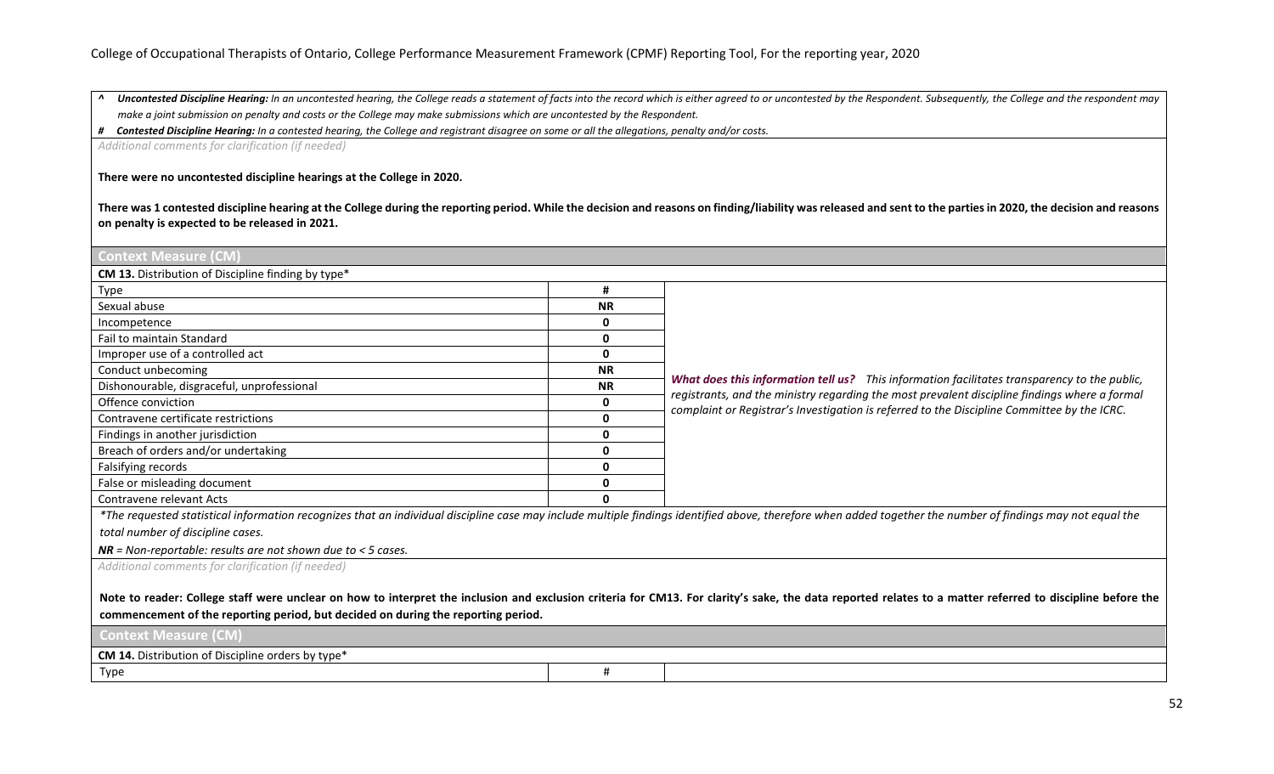A Uncontested Discipline Hearing: In an uncontested hearing, the College reads a statement of facts into the record which is either agreed to or uncontested by the Respondent. Subsequently, the College and the respondent m *make a joint submission on penalty and costs or the College may make submissions which are uncontested by the Respondent.*

*# Contested Discipline Hearing: In a contested hearing, the College and registrant disagree on some or all the allegations, penalty and/or costs.*

*Additional comments for clarification (if needed)*

**There were no uncontested discipline hearings at the College in 2020.** 

**There was 1 contested discipline hearing at the College during the reporting period. While the decision and reasons on finding/liability was released and sent to the parties in 2020, the decision and reasons on penalty is expected to be released in 2021.**

| #                                                                                                                                                                                                         |                                                                                                                                                                                                             |  |  |
|-----------------------------------------------------------------------------------------------------------------------------------------------------------------------------------------------------------|-------------------------------------------------------------------------------------------------------------------------------------------------------------------------------------------------------------|--|--|
| <b>NR</b>                                                                                                                                                                                                 |                                                                                                                                                                                                             |  |  |
| 0                                                                                                                                                                                                         |                                                                                                                                                                                                             |  |  |
| 0                                                                                                                                                                                                         |                                                                                                                                                                                                             |  |  |
| 0                                                                                                                                                                                                         |                                                                                                                                                                                                             |  |  |
| <b>NR</b>                                                                                                                                                                                                 |                                                                                                                                                                                                             |  |  |
| <b>NR</b>                                                                                                                                                                                                 | What does this information tell us? This information facilitates transparency to the public,<br>registrants, and the ministry regarding the most prevalent discipline findings where a formal               |  |  |
| 0                                                                                                                                                                                                         | complaint or Registrar's Investigation is referred to the Discipline Committee by the ICRC.                                                                                                                 |  |  |
| 0                                                                                                                                                                                                         |                                                                                                                                                                                                             |  |  |
| 0                                                                                                                                                                                                         |                                                                                                                                                                                                             |  |  |
| 0                                                                                                                                                                                                         |                                                                                                                                                                                                             |  |  |
| 0                                                                                                                                                                                                         |                                                                                                                                                                                                             |  |  |
| 0                                                                                                                                                                                                         |                                                                                                                                                                                                             |  |  |
| 0                                                                                                                                                                                                         |                                                                                                                                                                                                             |  |  |
|                                                                                                                                                                                                           | *The requested statistical information recognizes that an individual discipline case may include multiple findings identified above, therefore when added together the number of findings may not equal the |  |  |
|                                                                                                                                                                                                           |                                                                                                                                                                                                             |  |  |
|                                                                                                                                                                                                           |                                                                                                                                                                                                             |  |  |
|                                                                                                                                                                                                           |                                                                                                                                                                                                             |  |  |
| Additional comments for clarification (if needed)                                                                                                                                                         |                                                                                                                                                                                                             |  |  |
| Note to reader: College staff were unclear on how to interpret the inclusion and exclusion criteria for CM13. For clarity's sake, the data reported relates to a matter referred to discipline before the |                                                                                                                                                                                                             |  |  |
| commencement of the reporting period, but decided on during the reporting period.                                                                                                                         |                                                                                                                                                                                                             |  |  |
| <b>Context Measure (CM)</b>                                                                                                                                                                               |                                                                                                                                                                                                             |  |  |
| CM 14. Distribution of Discipline orders by type*                                                                                                                                                         |                                                                                                                                                                                                             |  |  |
| #                                                                                                                                                                                                         |                                                                                                                                                                                                             |  |  |
|                                                                                                                                                                                                           |                                                                                                                                                                                                             |  |  |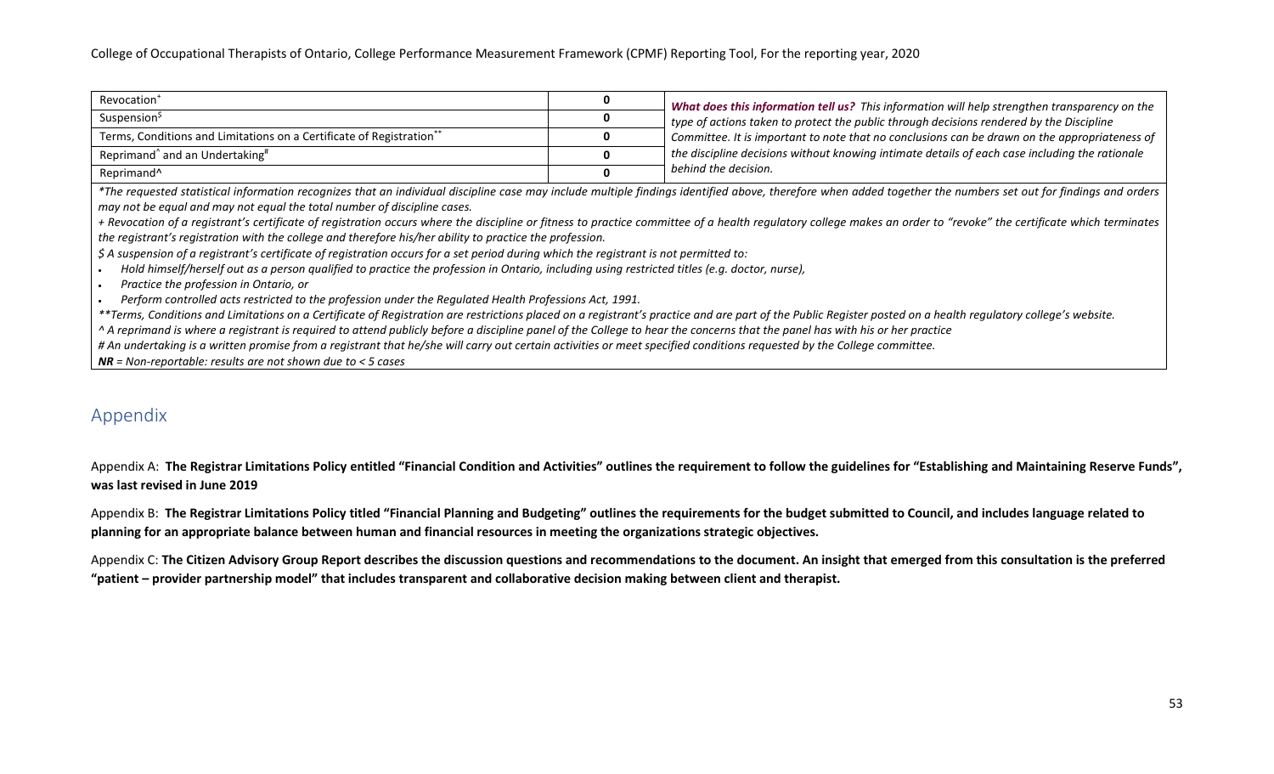| Revocation <sup>+</sup>                                              | What does this information tell us? This information will help strengthen transparency on the  |  |
|----------------------------------------------------------------------|------------------------------------------------------------------------------------------------|--|
| Suspension <sup>\$</sup>                                             | $\pm$ type of actions taken to protect the public through decisions rendered by the Discipline |  |
| Terms, Conditions and Limitations on a Certificate of Registration** | Committee. It is important to note that no conclusions can be drawn on the appropriateness of  |  |
| Reprimand <sup>^</sup> and an Undertaking <sup>#</sup>               | the discipline decisions without knowing intimate details of each case including the rationale |  |
| Reprimand <sup>^</sup>                                               | behind the decision.                                                                           |  |

*\*The requested statistical information recognizes that an individual discipline case may include multiple findings identified above, therefore when added together the numbers set out for findings and orders may not be equal and may not equal the total number of discipline cases.*

*+ Revocation of a registrant's certificate of registration occurs where the discipline or fitness to practice committee of a health regulatory college makes an order to "revoke" the certificate which terminates the registrant's registration with the college and therefore his/her ability to practice the profession.*

*\$ A suspension of a registrant's certificate of registration occurs for a set period during which the registrant is not permitted to:*

• *Hold himself/herself out as a person qualified to practice the profession in Ontario, including using restricted titles (e.g. doctor, nurse),*

• *Practice the profession in Ontario, or*

• *Perform controlled acts restricted to the profession under the Regulated Health Professions Act, 1991.*

*\*\*Terms, Conditions and Limitations on a Certificate of Registration are restrictions placed on a registrant's practice and are part of the Public Register posted on a health regulatory college's website.*

*^ A reprimand is where a registrant is required to attend publicly before a discipline panel of the College to hear the concerns that the panel has with his or her practice*

*# An undertaking is a written promise from a registrant that he/she will carry out certain activities or meet specified conditions requested by the College committee.*

*NR = Non-reportable: results are not shown due to < 5 cases*

# <span id="page-52-0"></span>Appendix

Appendix A: The Registrar Limitations Policy entitled "Financial Condition and Activities" outlines the requirement to follow the guidelines for "Establishing and Maintaining Reserve Funds", **was last revised in June 2019** 

Appendix B: **The Registrar Limitations Policy titled "Financial Planning and Budgeting" outlines the requirements for the budget submitted to Council, and includes language related to planning for an appropriate balance between human and financial resources in meeting the organizations strategic objectives.**

Appendix C: **The Citizen Advisory Group Report describes the discussion questions and recommendations to the document. An insight that emerged from this consultation is the preferred "patient – provider partnership model" that includes transparent and collaborative decision making between client and therapist.**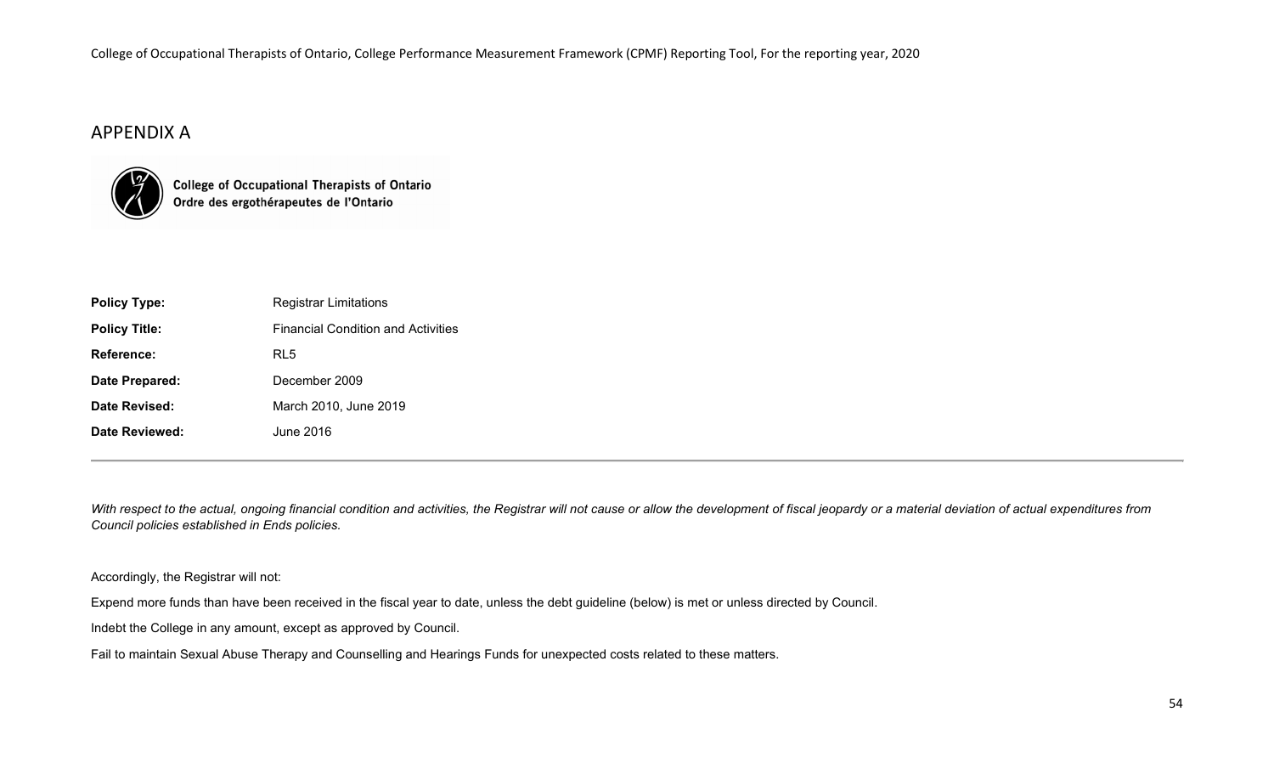# APPENDIX A



College of Occupational Therapists of Ontario<br>Ordre des ergothérapeutes de l'Ontario

| <b>Registrar Limitations</b>              |
|-------------------------------------------|
| <b>Financial Condition and Activities</b> |
| RL5                                       |
| December 2009                             |
| March 2010, June 2019                     |
| June 2016.                                |
|                                           |

With respect to the actual, ongoing financial condition and activities, the Registrar will not cause or allow the development of fiscal jeopardy or a material deviation of actual expenditures from *Council policies established in Ends policies.*

Accordingly, the Registrar will not:

Expend more funds than have been received in the fiscal year to date, unless the debt guideline (below) is met or unless directed by Council.

Indebt the College in any amount, except as approved by Council.

Fail to maintain Sexual Abuse Therapy and Counselling and Hearings Funds for unexpected costs related to these matters.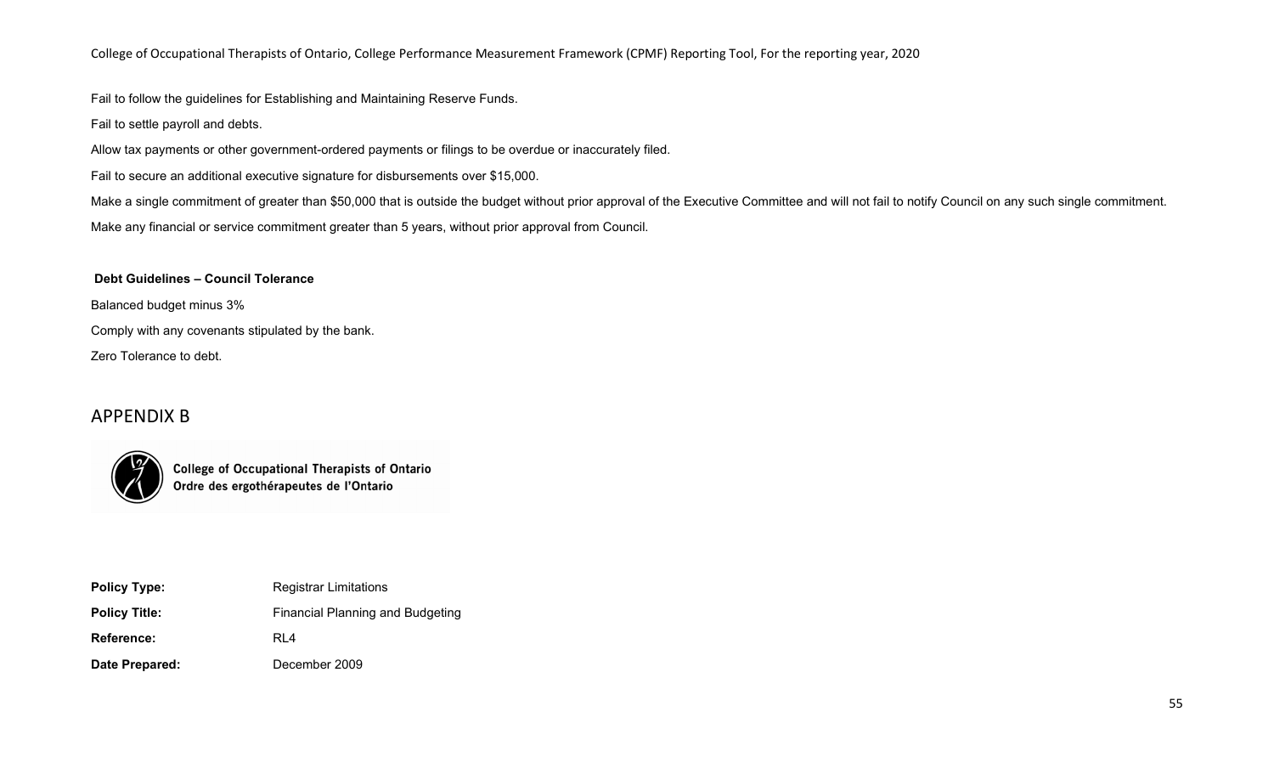Fail to follow the guidelines for Establishing and Maintaining Reserve Funds.

Fail to settle payroll and debts.

Allow tax payments or other government-ordered payments or filings to be overdue or inaccurately filed.

Fail to secure an additional executive signature for disbursements over \$15,000.

Make a single commitment of greater than \$50,000 that is outside the budget without prior approval of the Executive Committee and will not fail to notify Council on any such single commitment. Make any financial or service commitment greater than 5 years, without prior approval from Council.

**Debt Guidelines – Council Tolerance**

Balanced budget minus 3%

Comply with any covenants stipulated by the bank.

Zero Tolerance to debt.

# APPENDIX B



**College of Occupational Therapists of Ontario** Ordre des ergothérapeutes de l'Ontario

| <b>Policy Type:</b>  | <b>Registrar Limitations</b>            |
|----------------------|-----------------------------------------|
| <b>Policy Title:</b> | <b>Financial Planning and Budgeting</b> |
| Reference:           | RL4                                     |
| Date Prepared:       | December 2009                           |